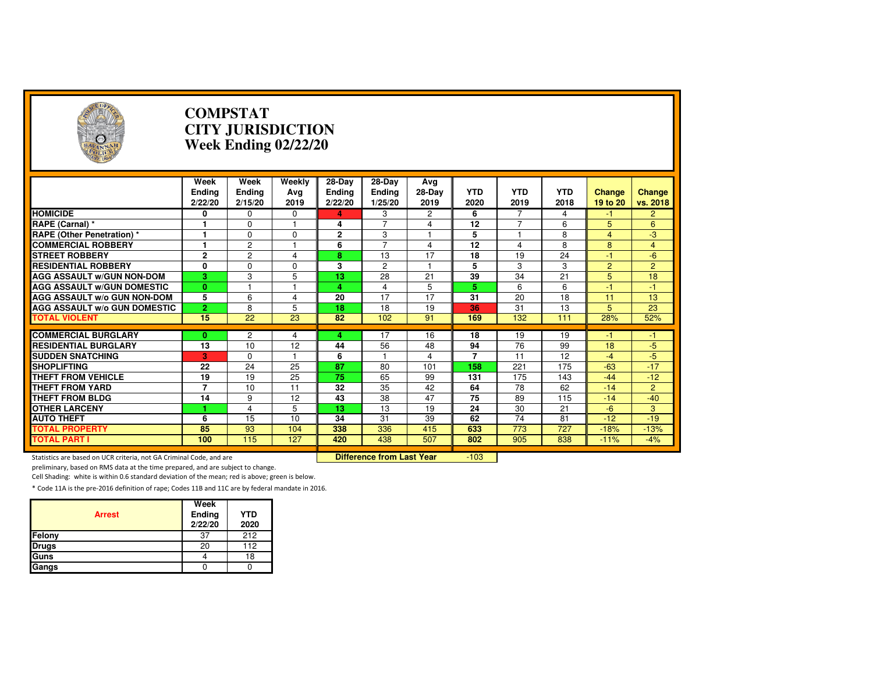| $\left( \frac{1}{2} \right)$                                        |                                  | <b>COMPSTAT</b><br><b>CITY JURISDICTION</b><br><b>Week Ending 02/22/20</b> |                       |                               |                                    |                       |                      |                    |                    |                           |                    |  |
|---------------------------------------------------------------------|----------------------------------|----------------------------------------------------------------------------|-----------------------|-------------------------------|------------------------------------|-----------------------|----------------------|--------------------|--------------------|---------------------------|--------------------|--|
|                                                                     | Week<br><b>Ending</b><br>2/22/20 | Week<br><b>Ending</b><br>2/15/20                                           | Weekly<br>Avg<br>2019 | $28-Dav$<br>Ending<br>2/22/20 | 28-Day<br><b>Ending</b><br>1/25/20 | Avg<br>28-Day<br>2019 | <b>YTD</b><br>2020   | <b>YTD</b><br>2019 | <b>YTD</b><br>2018 | <b>Change</b><br>19 to 20 | Change<br>vs. 2018 |  |
| <b>HOMICIDE</b>                                                     | 0                                | 0                                                                          | 0                     | д                             | 3                                  | $\overline{c}$        | 6                    |                    | 4                  | -1                        | $\overline{2}$     |  |
| RAPE (Carnal) *                                                     | 1                                | $\Omega$                                                                   | 1                     | 4                             | $\overline{7}$                     | 4                     | 12                   | 7                  | 6                  | 5                         | 6                  |  |
| <b>RAPE (Other Penetration) *</b>                                   | 1                                | $\Omega$                                                                   | 0                     | $\overline{2}$                | 3                                  | 1                     | 5                    | 1                  | 8                  | $\overline{4}$            | $-3$               |  |
| <b>COMMERCIAL ROBBERY</b>                                           | 1                                | $\overline{c}$                                                             |                       | 6                             | $\overline{7}$                     | $\overline{4}$        | 12                   | 4                  | 8                  | 8                         | $\overline{4}$     |  |
| <b>STREET ROBBERY</b>                                               | $\overline{2}$                   | $\overline{c}$                                                             | 4                     | 8                             | 13                                 | 17                    | 18                   | 19                 | 24                 | $-1$                      | $-6$               |  |
| <b>RESIDENTIAL ROBBERY</b>                                          | 0                                | $\Omega$                                                                   | 0                     | 3                             | $\overline{c}$                     | $\mathbf{1}$          | 5                    | 3                  | 3                  | $\overline{2}$            | $\overline{2}$     |  |
| <b>AGG ASSAULT W/GUN NON-DOM</b>                                    | $\overline{3}$                   | 3                                                                          | 5                     | $\overline{13}$               | 28                                 | $\overline{21}$       | 39                   | 34                 | 21                 | $\overline{5}$            | 18                 |  |
| <b>AGG ASSAULT W/GUN DOMESTIC</b>                                   | $\mathbf{0}$                     |                                                                            |                       | 4                             | 4                                  | $\overline{5}$        | 5                    | 6                  | 6                  | $-1$                      | $-1$               |  |
| AGG ASSAULT w/o GUN NON-DOM                                         | 5                                | 6                                                                          | 4                     | 20                            | 17                                 | 17                    | 31                   | 20                 | 18                 | 11                        | 13                 |  |
| AGG ASSAULT w/o GUN DOMESTIC                                        | $\overline{2}$                   | 8                                                                          | 5                     | 18                            | 18                                 | 19                    | 36                   | 31                 | 13                 | 5                         | 23                 |  |
| <b>TOTAL VIOLENT</b>                                                | 15                               | 22                                                                         | 23                    | 82                            | 102                                | 91                    | 169                  | 132                | 111                | 28%                       | 52%                |  |
|                                                                     |                                  |                                                                            |                       |                               |                                    |                       |                      |                    |                    |                           |                    |  |
| <b>COMMERCIAL BURGLARY</b>                                          | 0                                | 2                                                                          | 4                     | 4                             | 17                                 | 16                    | 18                   | 19<br>76           | 19                 | -1                        | -1                 |  |
| <b>RESIDENTIAL BURGLARY</b><br><b>SUDDEN SNATCHING</b>              | 13                               | 10                                                                         | 12<br>1               | 44                            | 56                                 | 48                    | 94<br>$\overline{7}$ | 11                 | 99<br>12           | 18<br>$-4$                | $-5$<br>$-5$       |  |
| <b>SHOPLIFTING</b>                                                  | 3<br>$\overline{22}$             | $\Omega$<br>24                                                             | 25                    | 6<br>87                       | 80                                 | 4<br>101              | 158                  | 221                | 175                | $-63$                     | $-17$              |  |
| <b>THEFT FROM VEHICLE</b>                                           | 19                               | 19                                                                         | 25                    | 75                            | 65                                 | 99                    | 131                  | 175                | 143                | $-44$                     | $-12$              |  |
| <b>THEFT FROM YARD</b>                                              | $\overline{7}$                   | 10                                                                         | 11                    | 32                            | 35                                 | 42                    | 64                   | 78                 | 62                 | $-14$                     | $\overline{2}$     |  |
| <b>THEFT FROM BLDG</b>                                              | 14                               | 9                                                                          | 12                    | 43                            | 38                                 | 47                    | $\overline{75}$      | 89                 | 115                | $-14$                     | $-40$              |  |
| <b>OTHER LARCENY</b>                                                |                                  | 4                                                                          | 5                     | 13                            | 13                                 | 19                    | 24                   | 30                 | 21                 | $-6$                      | 3                  |  |
| <b>AUTO THEFT</b>                                                   | 6                                | 15                                                                         | 10                    | 34                            | 31                                 | 39                    | 62                   | 74                 | 81                 | $-12$                     | $-19$              |  |
| <b>TOTAL PROPERTY</b>                                               | 85                               | $\overline{93}$                                                            | 104                   | 338                           | 336                                | 415                   | 633                  | 773                | 727                | $-18%$                    | $-13%$             |  |
| <b>TOTAL PART I</b>                                                 | 100                              | 115                                                                        | 127                   | 420                           | 438                                | 507                   | 802                  | 905                | 838                | $-11%$                    | $-4%$              |  |
|                                                                     |                                  |                                                                            |                       |                               |                                    |                       |                      |                    |                    |                           |                    |  |
| Statistics are based on UCR criteria, not GA Criminal Code, and are |                                  |                                                                            |                       |                               | <b>Difference from Last Year</b>   |                       | $-103$               |                    |                    |                           |                    |  |

Statistics are based on UCR criteria, not GA Criminal Code, and are **Difference from Last Year** 

preliminary, based on RMS data at the time prepared, and are subject to change.

Cell Shading: white is within 0.6 standard deviation of the mean; red is above; green is below.

| <b>Arrest</b> | Week<br>Ending<br>2/22/20 | <b>YTD</b><br>2020 |
|---------------|---------------------------|--------------------|
| Felony        | 37                        | 212                |
| <b>Drugs</b>  | 20                        | 112                |
| Guns          |                           | 18                 |
| Gangs         |                           |                    |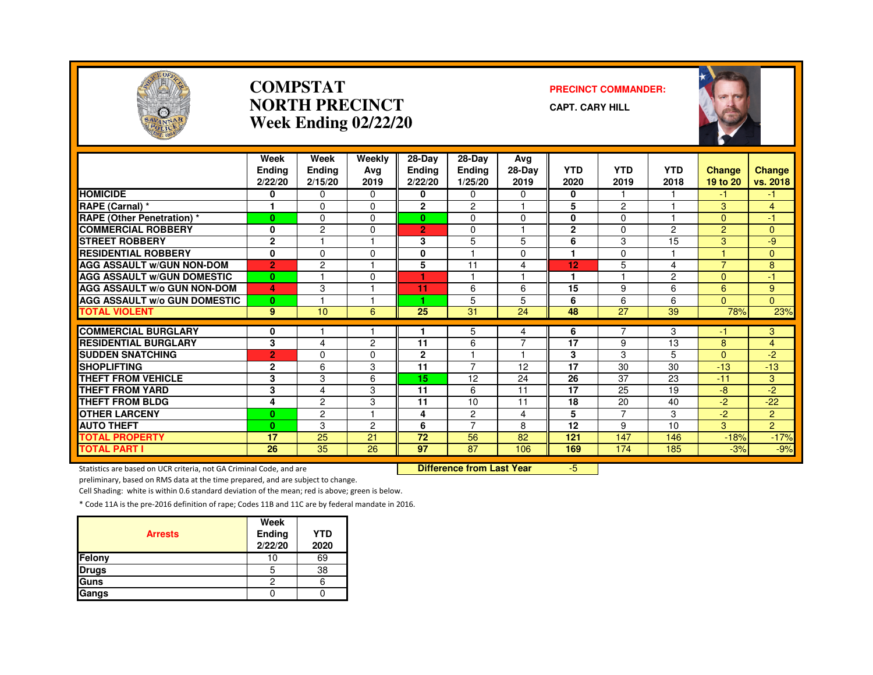

#### **COMPSTATNORTH PRECINCTWeek Ending 02/22/20**

#### **PRECINCT COMMANDER:**

**CAPT. CARY HILL**



|                                     | Week<br><b>Ending</b> | Week<br><b>Ending</b> | Weekly<br>Avg | 28-Day<br>Ending | 28-Day<br><b>Ending</b> | Avg<br>28-Day        | <b>YTD</b>   | <b>YTD</b>     | <b>YTD</b>     | <b>Change</b>  | <b>Change</b>  |
|-------------------------------------|-----------------------|-----------------------|---------------|------------------|-------------------------|----------------------|--------------|----------------|----------------|----------------|----------------|
|                                     | 2/22/20               | 2/15/20               | 2019          | 2/22/20          | 1/25/20                 | 2019                 | 2020         | 2019           | 2018           | 19 to 20       | vs. 2018       |
| <b>HOMICIDE</b>                     | 0                     | 0                     | 0             | 0                | 0                       | 0                    | 0            |                |                | -1             | -1             |
| RAPE (Carnal) *                     |                       | $\Omega$              | $\Omega$      | $\overline{2}$   | 2                       |                      | 5            | $\overline{c}$ |                | 3              | $\overline{4}$ |
| <b>RAPE (Other Penetration) *</b>   | $\mathbf{0}$          | $\Omega$              | $\Omega$      | $\mathbf{0}$     | $\Omega$                | $\Omega$             | 0            | $\Omega$       |                | $\Omega$       | $-1$           |
| <b>COMMERCIAL ROBBERY</b>           | 0                     | $\overline{c}$        | 0             | $\overline{2}$   | $\Omega$                | -1                   | $\mathbf{2}$ | $\Omega$       | $\overline{2}$ | $\overline{2}$ | $\Omega$       |
| <b>STREET ROBBERY</b>               | $\overline{2}$        |                       |               | 3                | 5                       | 5                    | 6            | 3              | 15             | 3              | $-9$           |
| <b>RESIDENTIAL ROBBERY</b>          | $\mathbf{0}$          | $\Omega$              | $\Omega$      | 0                |                         | 0                    |              | $\Omega$       |                |                | $\Omega$       |
| <b>AGG ASSAULT W/GUN NON-DOM</b>    | $\overline{2}$        | $\overline{c}$        |               | 5                | 11                      | 4                    | 12           | 5              | 4              | $\overline{7}$ | 8              |
| <b>AGG ASSAULT W/GUN DOMESTIC</b>   | $\bf{0}$              | 1                     | 0             | ٠                | ٠                       | $\overline{1}$       | 1            |                | $\overline{2}$ | $\Omega$       | $-1$           |
| <b>AGG ASSAULT w/o GUN NON-DOM</b>  | 4                     | 3                     |               | 11               | 6                       | 6                    | 15           | 9              | 6              | 6              | 9              |
| <b>AGG ASSAULT W/o GUN DOMESTIC</b> | $\bf{0}$              |                       |               | ٠                | 5                       | 5                    | 6            | 6              | 6              | $\Omega$       | $\Omega$       |
| <b>TOTAL VIOLENT</b>                | 9                     | 10                    | 6             | 25               | 31                      | 24                   | 48           | 27             | 39             | 78%            | 23%            |
|                                     |                       |                       |               |                  |                         |                      |              |                |                |                |                |
| <b>COMMERCIAL BURGLARY</b>          | 0                     |                       |               |                  | 5                       | 4                    | 6            | 7              | 3              | -1             | 3              |
| <b>RESIDENTIAL BURGLARY</b>         | 3                     | 4                     | $\mathcal{P}$ | 11               | 6                       | $\overline{7}$       | 17           | 9              | 13             | 8              | $\overline{4}$ |
| <b>SUDDEN SNATCHING</b>             | $\overline{2}$        | 0                     | 0             | $\mathbf{2}$     |                         | $\blacktriangleleft$ | 3            | 3              | 5              | $\Omega$       | $-2$           |
| <b>SHOPLIFTING</b>                  | $\mathbf{2}$          | 6                     | 3             | 11               | $\overline{7}$          | 12                   | 17           | 30             | 30             | $-13$          | $-13$          |
| <b>THEFT FROM VEHICLE</b>           | $\overline{3}$        | 3                     | 6             | 15               | 12                      | 24                   | 26           | 37             | 23             | $-11$          | 3              |
| <b>THEFT FROM YARD</b>              | 3                     | 4                     | 3             | 11               | 6                       | 11                   | 17           | 25             | 19             | $-8$           | $-2$           |
| <b>THEFT FROM BLDG</b>              | 4                     | $\overline{c}$        | 3             | 11               | 10                      | 11                   | 18           | 20             | 40             | $-2$           | $-22$          |
| <b>OTHER LARCENY</b>                | $\bf{0}$              | $\overline{c}$        |               | 4                | 2                       | 4                    | 5            | $\overline{7}$ | 3              | $-2$           | $\overline{2}$ |
| <b>AUTO THEFT</b>                   | $\mathbf{0}$          | 3                     | 2             | 6                | $\overline{7}$          | 8                    | 12           | 9              | 10             | 3              | $\overline{2}$ |
| <b>TOTAL PROPERTY</b>               | 17                    | 25                    | 21            | 72               | 56                      | 82                   | 121          | 147            | 146            | $-18%$         | $-17%$         |
| <b>TOTAL PART I</b>                 | 26                    | 35                    | 26            | 97               | $\overline{87}$         | 106                  | 169          | 174            | 185            | $-3%$          | $-9%$          |

Statistics are based on UCR criteria, not GA Criminal Code, and are **Difference from Last Year** 

-5

preliminary, based on RMS data at the time prepared, and are subject to change.

Cell Shading: white is within 0.6 standard deviation of the mean; red is above; green is below.

| <b>Arrests</b> | Week<br><b>Ending</b><br>2/22/20 | <b>YTD</b><br>2020 |
|----------------|----------------------------------|--------------------|
| <b>Felony</b>  | 10                               | 69                 |
| <b>Drugs</b>   | 5                                | 38                 |
| Guns           | 2                                |                    |
| <b>Gangs</b>   |                                  |                    |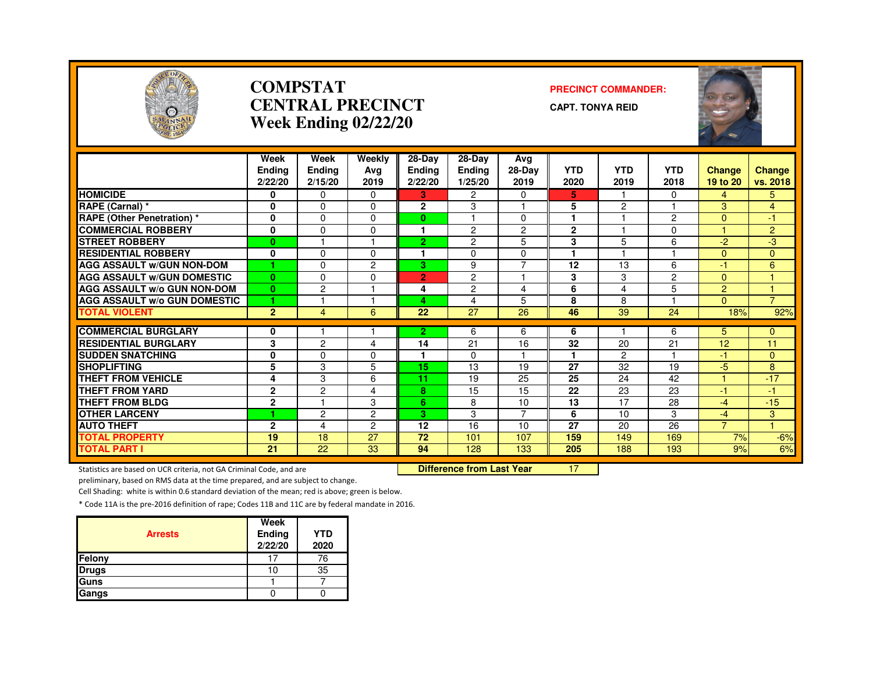

#### **COMPSTATCENTRAL PRECINCTWeek Ending 02/22/20**

#### **PRECINCT COMMANDER:**

**CAPT. TONYA REID**



|                                     | Week<br><b>Ending</b><br>2/22/20 | Week<br><b>Ending</b><br>2/15/20 | Weekly<br>Ava<br>2019 | 28-Day<br><b>Ending</b><br>2/22/20 | 28-Day<br><b>Ending</b><br>1/25/20 | Avg<br>28-Day<br>2019 | <b>YTD</b><br>2020 | <b>YTD</b><br>2019 | <b>YTD</b><br>2018 | <b>Change</b><br>19 to 20 | Change<br>vs. 2018   |
|-------------------------------------|----------------------------------|----------------------------------|-----------------------|------------------------------------|------------------------------------|-----------------------|--------------------|--------------------|--------------------|---------------------------|----------------------|
| <b>HOMICIDE</b>                     | 0                                | $\Omega$                         | $\Omega$              | 3                                  | $\overline{2}$                     | $\Omega$              | 5                  |                    | $\Omega$           | 4                         | 5.                   |
| RAPE (Carnal) *                     | 0                                | $\Omega$                         | $\Omega$              | $\mathbf{2}$                       | 3                                  |                       | 5                  | $\overline{c}$     |                    | 3                         | $\overline{4}$       |
| RAPE (Other Penetration) *          | 0                                | $\Omega$                         | $\Omega$              | $\bf{0}$                           |                                    | 0                     |                    |                    | $\overline{c}$     | $\Omega$                  | $\blacktriangleleft$ |
| <b>COMMERCIAL ROBBERY</b>           | 0                                | $\Omega$                         | $\Omega$              | 1                                  | 2                                  | $\overline{c}$        | $\mathbf{2}$       |                    | 0                  |                           | $\overline{2}$       |
| <b>STREET ROBBERY</b>               | 0                                |                                  |                       | $\overline{2}$                     | $\overline{c}$                     | 5                     | 3                  | 5                  | 6                  | $-2$                      | $-3$                 |
| <b>RESIDENTIAL ROBBERY</b>          | 0                                | $\Omega$                         | $\Omega$              | 1                                  | $\Omega$                           | $\mathbf 0$           | 1                  | ٠                  |                    | $\Omega$                  | $\overline{0}$       |
| <b>AGG ASSAULT W/GUN NON-DOM</b>    |                                  | $\Omega$                         | $\overline{2}$        | 3.                                 | 9                                  | $\overline{7}$        | 12                 | 13                 | 6                  | $-1$                      | 6                    |
| <b>AGG ASSAULT W/GUN DOMESTIC</b>   | $\mathbf{0}$                     | $\Omega$                         | $\Omega$              | $\overline{2}$                     | 2                                  |                       | 3                  | 3                  | $\overline{c}$     | $\Omega$                  |                      |
| <b>AGG ASSAULT W/o GUN NON-DOM</b>  | $\bf{0}$                         | $\overline{2}$                   |                       | 4                                  | 2                                  | 4                     | 6                  | 4                  | 5                  | $\overline{2}$            |                      |
| <b>AGG ASSAULT W/o GUN DOMESTIC</b> |                                  |                                  |                       | 4                                  | 4                                  | 5                     | 8                  | 8                  |                    | $\Omega$                  | $\overline{7}$       |
| <b>TOTAL VIOLENT</b>                | $\overline{2}$                   | 4                                | 6                     | 22                                 | $\overline{27}$                    | 26                    | 46                 | 39                 | 24                 | 18%                       | 92%                  |
| <b>COMMERCIAL BURGLARY</b>          |                                  |                                  |                       |                                    |                                    |                       |                    |                    | 6                  |                           |                      |
| <b>RESIDENTIAL BURGLARY</b>         | 0                                | $\overline{2}$                   |                       | $\overline{2}$<br>14               | 6<br>21                            | 6<br>16               | 6<br>32            | 20                 | 21                 | 5<br>12                   | $\mathbf{0}$<br>11   |
| <b>SUDDEN SNATCHING</b>             | 3                                | $\Omega$                         | 4<br>$\Omega$         | 1                                  | $\Omega$                           |                       | 1                  | 2                  |                    | $-1$                      |                      |
| <b>SHOPLIFTING</b>                  | 0<br>5                           | 3                                | 5                     | 15                                 | 13                                 | 19                    | 27                 | 32                 | 19                 | -5                        | $\mathbf{0}$<br>8    |
| <b>THEFT FROM VEHICLE</b>           | 4                                | 3                                | 6                     | 11                                 | 19                                 | 25                    | 25                 | 24                 | 42                 | $\overline{1}$            | $-17$                |
| <b>THEFT FROM YARD</b>              | $\mathbf{2}$                     | $\overline{2}$                   | 4                     | 8                                  | 15                                 | 15                    | 22                 | 23                 | 23                 | $-1$                      | -1                   |
| <b>THEFT FROM BLDG</b>              |                                  |                                  | 3                     |                                    |                                    |                       | 13                 | 17                 | 28                 |                           |                      |
| <b>OTHER LARCENY</b>                | $\mathbf{2}$                     | $\overline{c}$                   | $\overline{2}$        | 6<br>3                             | 8<br>3                             | 10<br>$\overline{7}$  | 6                  | 10                 | 3                  | $-4$                      | $-15$                |
| <b>AUTO THEFT</b>                   | $\overline{2}$                   |                                  |                       |                                    | 16                                 | 10                    | 27                 |                    | 26                 | $-4$<br>$\overline{7}$    | 3                    |
| <b>TOTAL PROPERTY</b>               | 19                               | 4<br>18                          | $\overline{c}$<br>27  | 12<br>$\overline{72}$              | 101                                | 107                   |                    | 20<br>149          |                    | 7%                        |                      |
| <b>TOTAL PART I</b>                 | 21                               | 22                               | 33                    | 94                                 | 128                                | 133                   | 159<br>205         | 188                | 169                |                           | $-6%$                |
|                                     |                                  |                                  |                       |                                    |                                    |                       |                    |                    | 193                | 9%                        | 6%                   |

Statistics are based on UCR criteria, not GA Criminal Code, and are **Difference from Last Year** 

<sup>17</sup>

preliminary, based on RMS data at the time prepared, and are subject to change.

Cell Shading: white is within 0.6 standard deviation of the mean; red is above; green is below.

| <b>Arrests</b> | Week<br>Ending<br>2/22/20 | <b>YTD</b><br>2020 |
|----------------|---------------------------|--------------------|
| Felony         |                           | 76                 |
| <b>Drugs</b>   | 10                        | 35                 |
| Guns           |                           |                    |
| Gangs          |                           |                    |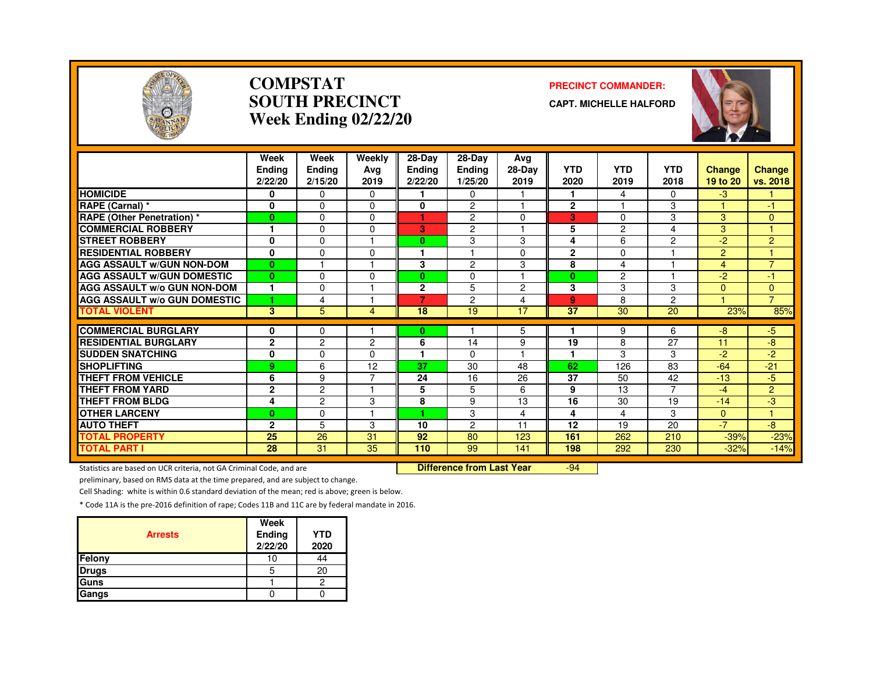

#### **COMPSTATSOUTH PRECINCTWeek Ending 02/22/20**

#### **PRECINCT COMMANDER:**

**CAPT. MICHELLE HALFORD**



|                                                           | Week<br>Endina<br>2/22/20 | Week<br>Ending<br>2/15/20 | Weekly<br>Avg<br>2019   | 28-Day<br><b>Ending</b><br>2/22/20 | $28$ -Day<br><b>Ending</b><br>1/25/20 | Avg<br>28-Day<br>2019   | <b>YTD</b><br>2020 | <b>YTD</b><br>2019 | <b>YTD</b><br>2018 | Change<br>19 to 20 | Change<br>vs. 2018 |
|-----------------------------------------------------------|---------------------------|---------------------------|-------------------------|------------------------------------|---------------------------------------|-------------------------|--------------------|--------------------|--------------------|--------------------|--------------------|
| <b>HOMICIDE</b>                                           | 0                         | $\Omega$                  | $\Omega$                |                                    | $\Omega$                              |                         | 1                  | 4                  | 0                  | -3                 |                    |
| RAPE (Carnal) *                                           | $\mathbf 0$               | $\Omega$                  | $\Omega$                | 0                                  | $\overline{2}$                        | н                       | $\mathbf{2}$       |                    | 3                  |                    | -1                 |
| <b>RAPE (Other Penetration) *</b>                         | $\mathbf{0}$              | $\Omega$                  | $\Omega$                | н.                                 | 2                                     | $\Omega$                | 3                  | 0                  | 3                  | 3                  | $\Omega$           |
| <b>COMMERCIAL ROBBERY</b>                                 | 1                         | $\Omega$                  | O                       | 3                                  | $\overline{c}$                        |                         | 5                  | $\overline{c}$     | 4                  | 3                  |                    |
| <b>STREET ROBBERY</b>                                     | $\mathbf 0$               | $\Omega$                  |                         | 0                                  | 3                                     | 3                       | 4                  | 6                  | 2                  | $-2$               | $\overline{2}$     |
| <b>RESIDENTIAL ROBBERY</b>                                | $\mathbf{0}$              | $\Omega$                  | $\Omega$                |                                    |                                       | $\Omega$                | $\mathbf{2}$       | $\Omega$           |                    | $\overline{2}$     |                    |
| <b>AGG ASSAULT W/GUN NON-DOM</b>                          | $\bf{0}$                  |                           |                         | 3                                  | 2                                     | 3                       | 8                  | 4                  |                    | $\overline{4}$     | $\overline{7}$     |
| <b>AGG ASSAULT W/GUN DOMESTIC</b>                         | $\mathbf{0}$              | 0                         | $\Omega$                | 0                                  | 0                                     | $\overline{\mathbf{1}}$ | $\bf{0}$           | $\overline{2}$     |                    | $-2$               | -1                 |
| AGG ASSAULT w/o GUN NON-DOM                               | 1                         | $\Omega$                  |                         | $\mathbf{2}$                       | 5                                     | $\overline{2}$          | 3                  | 3                  | 3                  | $\Omega$           | $\mathbf{0}$       |
| <b>AGG ASSAULT w/o GUN DOMESTIC</b>                       | 1                         | 4                         |                         | 7                                  | $\overline{c}$                        | $\overline{4}$          | 9                  | 8                  | 2                  |                    | $\overline{7}$     |
| <b>TOTAL VIOLENT</b>                                      | 3                         | 5                         | 4                       | 18                                 | 19                                    | 17                      | 37                 | 30                 | 20                 | 23%                | 85%                |
|                                                           |                           |                           |                         |                                    |                                       |                         |                    |                    |                    |                    |                    |
| <b>COMMERCIAL BURGLARY</b><br><b>RESIDENTIAL BURGLARY</b> | 0                         | 0                         |                         | 0                                  |                                       | 5                       |                    | 9                  | 6                  | -8                 | $-5$               |
|                                                           | $\mathbf{2}$              | 2                         | 2                       | 6                                  | 14                                    | 9                       | 19                 | 8                  | 27                 | 11                 | -8                 |
| <b>SUDDEN SNATCHING</b>                                   | 0                         | $\Omega$                  | 0                       |                                    | $\Omega$                              |                         | 1                  | 3                  | 3                  | -2                 | -2                 |
| <b>SHOPLIFTING</b>                                        | 9                         | 6                         | 12                      | 37                                 | 30                                    | 48                      | 62                 | 126                | 83                 | $-64$              | $-21$              |
| <b>THEFT FROM VEHICLE</b>                                 | 6                         | 9                         | ⇁                       | 24                                 | 16                                    | 26                      | 37                 | 50                 | 42                 | $-13$              | -5                 |
| <b>THEFT FROM YARD</b>                                    | $\mathbf{2}$              | $\overline{c}$            |                         | 5                                  | 5                                     | 6                       | 9                  | 13                 | $\overline{7}$     | $-4$               | 2                  |
| <b>THEFT FROM BLDG</b>                                    | 4                         | $\overline{c}$            | 3                       | 8                                  | 9                                     | 13                      | 16                 | 30                 | 19                 | $-14$              | -3                 |
| <b>OTHER LARCENY</b>                                      | $\bf{0}$                  | $\Omega$                  | $\overline{\mathbf{1}}$ |                                    | 3                                     | 4                       | 4                  | 4                  | 3                  | $\Omega$           | $\overline{4}$     |
| <b>AUTO THEFT</b>                                         | $\mathbf{2}$              | 5                         | 3                       | 10                                 | $\overline{2}$                        | 11                      | 12                 | 19                 | 20                 | $-7$               | -8                 |
| <b>TOTAL PROPERTY</b>                                     | 25                        | 26                        | 31                      | 92                                 | 80                                    | 123                     | 161                | 262                | 210                | $-39%$             | $-23%$             |
| <b>TOTAL PART I</b>                                       | 28                        | 31                        | 35                      | 110                                | 99                                    | 141                     | 198                | 292                | 230                | $-32%$             | $-14%$             |

Statistics are based on UCR criteria, not GA Criminal Code, and are **Difference from Last Year** 

-94

preliminary, based on RMS data at the time prepared, and are subject to change.

Cell Shading: white is within 0.6 standard deviation of the mean; red is above; green is below.

| <b>Arrests</b> | Week<br>Ending<br>2/22/20 | <b>YTD</b><br>2020 |
|----------------|---------------------------|--------------------|
| Felony         | 10                        | 44                 |
| <b>Drugs</b>   | 5                         | 20                 |
| Guns           |                           |                    |
| Gangs          |                           |                    |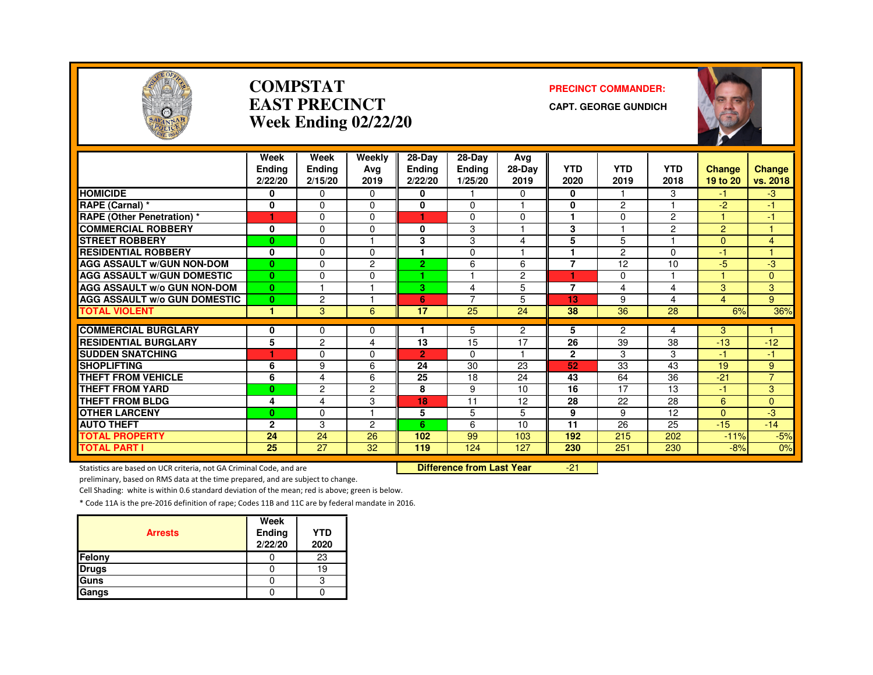

#### **COMPSTATEAST PRECINCTWeek Ending 02/22/20**

#### **PRECINCT COMMANDER:**

**CAPT. GEORGE GUNDICH**



|                                                     | Week           | Week           | Weekly         | 28-Day               | $28-Dav$ | Avg            |                         |                       |                |                |                     |
|-----------------------------------------------------|----------------|----------------|----------------|----------------------|----------|----------------|-------------------------|-----------------------|----------------|----------------|---------------------|
|                                                     | <b>Endina</b>  | Ending         | Ava            | <b>Ending</b>        | Ending   | 28-Day         | <b>YTD</b>              | <b>YTD</b>            | <b>YTD</b>     | <b>Change</b>  | <b>Change</b>       |
|                                                     | 2/22/20        | 2/15/20        | 2019           | 2/22/20              | 1/25/20  | 2019           | 2020                    | 2019                  | 2018           | 19 to 20       | vs. 2018            |
| <b>HOMICIDE</b>                                     | 0              | $\Omega$       | $\Omega$       | 0                    |          | 0              | 0                       |                       | 3              | -1.            | $-3$                |
| RAPE (Carnal) *                                     | 0              | $\Omega$       | $\Omega$       | 0                    | 0        | ٠              | 0                       | $\overline{2}$        |                | $-2$           | -1                  |
| <b>RAPE (Other Penetration) *</b>                   | 1              | $\Omega$       | $\Omega$       | 1                    | 0        | $\Omega$       | $\overline{\mathbf{1}}$ | $\Omega$              | $\overline{2}$ |                | $-1$                |
| <b>COMMERCIAL ROBBERY</b>                           | 0              | $\Omega$       | $\Omega$       | 0                    | 3        | ٠              | 3                       |                       | $\overline{2}$ | $\overline{2}$ |                     |
| <b>STREET ROBBERY</b>                               | $\bf{0}$       | $\Omega$       |                | 3                    | 3        | 4              | 5                       | 5                     |                | $\Omega$       | $\overline{4}$      |
| <b>RESIDENTIAL ROBBERY</b>                          | 0              | $\Omega$       | $\Omega$       |                      | 0        |                |                         | 2                     | $\Omega$       | $-1$           |                     |
| <b>AGG ASSAULT W/GUN NON-DOM</b>                    | $\bf{0}$       | $\Omega$       | 2              | $\overline{2}$       | 6        | 6              | $\overline{7}$          | 12                    | 10             | $-5$           | -3                  |
| <b>AGG ASSAULT W/GUN DOMESTIC</b>                   | $\bf{0}$       | $\Omega$       | $\Omega$       |                      |          | $\overline{c}$ |                         | $\mathbf 0$           |                |                | 0                   |
| AGG ASSAULT w/o GUN NON-DOM                         | $\bf{0}$       |                |                | 3.                   | 4        | 5              | $\overline{7}$          | 4                     | 4              | 3              | 3                   |
| <b>AGG ASSAULT W/o GUN DOMESTIC</b>                 | $\bf{0}$       | 2              |                | 6                    | 7        | 5              | 13                      | 9                     | 4              | 4              | 9                   |
| <b>TOTAL VIOLENT</b>                                | 1              | 3              | 6              | 17                   | 25       | 24             | 38                      | 36                    | 28             | 6%             | 36%                 |
| <b>COMMERCIAL BURGLARY</b>                          | 0              | $\Omega$       | $\Omega$       |                      | 5        | $\overline{2}$ | 5                       | 2                     |                | 3              |                     |
| <b>RESIDENTIAL BURGLARY</b>                         | 5              | $\overline{c}$ | 4              | 13                   | 15       | 17             | 26                      | 39                    | 4<br>38        | $-13$          | $-12$               |
| <b>SUDDEN SNATCHING</b>                             | 1              |                | $\Omega$       |                      | 0        | $\overline{1}$ | $\mathbf{2}$            | 3                     |                | $-1$           |                     |
| <b>SHOPLIFTING</b>                                  |                | $\Omega$       | 6              | $\overline{2}$<br>24 | 30       | 23             | 52                      | 33                    | 3<br>43        | 19             | -1.                 |
|                                                     | 6              | 9              |                |                      |          |                |                         |                       |                |                | 9<br>$\overline{7}$ |
| <b>THEFT FROM VEHICLE</b><br><b>THEFT FROM YARD</b> | 6              | 4              | 6              | 25                   | 18       | 24             | 43<br>$\overline{16}$   | 64<br>$\overline{17}$ | 36<br>13       | $-21$          |                     |
|                                                     | $\bf{0}$       | $\overline{c}$ | $\overline{c}$ | 8                    | 9        | 10             |                         |                       |                | -1             | 3                   |
| <b>THEFT FROM BLDG</b>                              | 4              | 4              | 3<br>и         | 18                   | 11       | 12             | 28                      | 22                    | 28             | 6              | $\Omega$            |
| <b>OTHER LARCENY</b>                                | $\bf{0}$       | $\Omega$       |                | 5                    | 5        | 5              | 9                       | 9                     | 12             | $\Omega$       | $-3$                |
| <b>AUTO THEFT</b>                                   | $\overline{2}$ | 3              | 2              | 6                    | 6        | 10             | 11                      | 26                    | 25             | $-15$          | $-14$               |
| <b>TOTAL PROPERTY</b>                               | 24             | 24             | 26             | 102                  | 99       | 103            | 192                     | 215                   | 202            | $-11%$         | $-5%$               |
| <b>TOTAL PART I</b>                                 | 25             | 27             | 32             | 119                  | 124      | 127            | 230                     | 251                   | 230            | $-8%$          | 0%                  |

Statistics are based on UCR criteria, not GA Criminal Code, and are **Difference from Last Year** 

-21

preliminary, based on RMS data at the time prepared, and are subject to change.

Cell Shading: white is within 0.6 standard deviation of the mean; red is above; green is below.

| <b>Arrests</b> | Week<br>Ending<br>2/22/20 | <b>YTD</b><br>2020 |
|----------------|---------------------------|--------------------|
| Felony         |                           | 23                 |
| <b>Drugs</b>   |                           |                    |
| Guns           |                           |                    |
| Gangs          |                           |                    |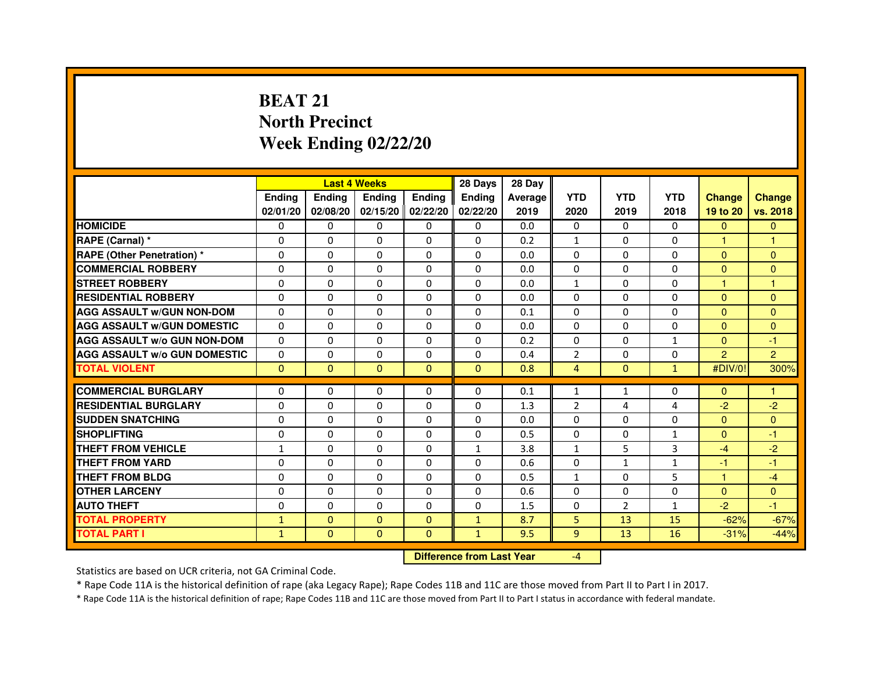# **BEAT 21 North PrecinctWeek Ending 02/22/20**

|                                     |               |              | <b>Last 4 Weeks</b> |                   | 28 Days       | 28 Day         |                |              |              |                      |                      |
|-------------------------------------|---------------|--------------|---------------------|-------------------|---------------|----------------|----------------|--------------|--------------|----------------------|----------------------|
|                                     | <b>Ending</b> | Ending       | <b>Ending</b>       | <b>Ending</b>     | <b>Endina</b> | <b>Average</b> | <b>YTD</b>     | <b>YTD</b>   | <b>YTD</b>   | <b>Change</b>        | <b>Change</b>        |
|                                     | 02/01/20      | 02/08/20     |                     | 02/15/20 02/22/20 | 02/22/20      | 2019           | 2020           | 2019         | 2018         | 19 to 20             | vs. 2018             |
| <b>HOMICIDE</b>                     | $\mathbf{0}$  | $\mathbf{0}$ | $\Omega$            | $\Omega$          | $\Omega$      | 0.0            | $\Omega$       | $\Omega$     | $\Omega$     | $\Omega$             | $\mathbf{0}$         |
| RAPE (Carnal) *                     | 0             | $\Omega$     | $\Omega$            | $\Omega$          | $\Omega$      | 0.2            | $\mathbf{1}$   | $\Omega$     | $\Omega$     | $\blacktriangleleft$ | $\blacktriangleleft$ |
| <b>RAPE (Other Penetration)*</b>    | 0             | 0            | 0                   | 0                 | 0             | 0.0            | 0              | 0            | 0            | $\Omega$             | $\mathbf{0}$         |
| <b>COMMERCIAL ROBBERY</b>           | 0             | 0            | 0                   | $\Omega$          | $\Omega$      | 0.0            | $\Omega$       | $\Omega$     | $\Omega$     | $\Omega$             | $\mathbf{0}$         |
| <b>STREET ROBBERY</b>               | $\Omega$      | $\Omega$     | $\Omega$            | $\Omega$          | $\Omega$      | 0.0            | $\mathbf{1}$   | $\Omega$     | $\Omega$     | 1                    | $\mathbf{1}$         |
| <b>RESIDENTIAL ROBBERY</b>          | 0             | $\mathbf 0$  | $\Omega$            | $\Omega$          | $\Omega$      | 0.0            | $\Omega$       | $\Omega$     | $\Omega$     | $\Omega$             | $\mathbf{0}$         |
| <b>AGG ASSAULT w/GUN NON-DOM</b>    | $\Omega$      | $\Omega$     | $\Omega$            | $\Omega$          | $\Omega$      | 0.1            | $\Omega$       | $\Omega$     | $\Omega$     | $\Omega$             | $\mathbf{0}$         |
| <b>AGG ASSAULT W/GUN DOMESTIC</b>   | $\Omega$      | 0            | $\Omega$            | $\Omega$          | $\Omega$      | 0.0            | $\Omega$       | $\Omega$     | $\Omega$     | $\Omega$             | $\Omega$             |
| <b>AGG ASSAULT W/o GUN NON-DOM</b>  | $\Omega$      | 0            | 0                   | 0                 | 0             | 0.2            | $\Omega$       | 0            | 1            | $\mathbf{0}$         | $-1$                 |
| <b>AGG ASSAULT W/o GUN DOMESTIC</b> | $\Omega$      | 0            | 0                   | 0                 | 0             | 0.4            | $\overline{2}$ | 0            | $\Omega$     | $\overline{2}$       | $\overline{2}$       |
| <b>TOTAL VIOLENT</b>                | $\mathbf{0}$  | $\pmb{0}$    | $\mathbf{0}$        | $\mathbf{0}$      | $\mathbf{0}$  | 0.8            | $\overline{4}$ | $\mathbf{0}$ | $\mathbf{1}$ | #DIV/0!              | 300%                 |
|                                     |               |              |                     |                   |               |                |                |              |              |                      |                      |
| <b>COMMERCIAL BURGLARY</b>          | 0             | 0            | 0                   | 0                 | 0             | 0.1            | 1              | $\mathbf{1}$ | 0            | $\Omega$             | 1                    |
| <b>RESIDENTIAL BURGLARY</b>         | 0             | 0            | 0                   | 0                 | 0             | 1.3            | $\overline{2}$ | 4            | 4            | $-2$                 | $-2$                 |
| <b>SUDDEN SNATCHING</b>             | 0             | $\mathbf 0$  | $\Omega$            | $\Omega$          | $\Omega$      | 0.0            | $\Omega$       | $\Omega$     | $\Omega$     | $\Omega$             | $\mathbf{0}$         |
| <b>SHOPLIFTING</b>                  | $\Omega$      | $\Omega$     | $\Omega$            | $\Omega$          | $\Omega$      | 0.5            | $\Omega$       | $\Omega$     | $\mathbf{1}$ | $\Omega$             | $-1$                 |
| THEFT FROM VEHICLE                  | $\mathbf{1}$  | $\Omega$     | $\Omega$            | $\Omega$          | $\mathbf{1}$  | 3.8            | $\mathbf{1}$   | 5            | 3            | $-4$                 | $-2$                 |
| <b>THEFT FROM YARD</b>              | 0             | 0            | 0                   | 0                 | 0             | 0.6            | $\Omega$       | $\mathbf{1}$ | $\mathbf{1}$ | -1                   | -1                   |
| <b>THEFT FROM BLDG</b>              | $\Omega$      | $\Omega$     | 0                   | 0                 | $\Omega$      | 0.5            | $\mathbf{1}$   | $\Omega$     | 5            | $\blacktriangleleft$ | $-4$                 |
| <b>OTHER LARCENY</b>                | $\Omega$      | $\Omega$     | 0                   | $\mathbf{0}$      | 0             | 0.6            | $\Omega$       | $\Omega$     | $\Omega$     | $\Omega$             | $\mathbf{0}$         |
| <b>AUTO THEFT</b>                   | $\Omega$      | $\Omega$     | $\Omega$            | $\mathbf{0}$      | $\Omega$      | 1.5            | $\Omega$       | 2            | $\mathbf{1}$ | $-2$                 | $-1$                 |
| <b>TOTAL PROPERTY</b>               | $\mathbf{1}$  | $\mathbf{0}$ | $\Omega$            | $\Omega$          | $\mathbf{1}$  | 8.7            | 5              | 13           | 15           | $-62%$               | $-67%$               |
| <b>TOTAL PART I</b>                 | $\mathbf{1}$  | $\mathbf{0}$ | $\Omega$            | $\Omega$          | $\mathbf{1}$  | 9.5            | 9              | 13           | 16           | $-31%$               | $-44%$               |

 **Difference from Last Year**

-4

Statistics are based on UCR criteria, not GA Criminal Code.

\* Rape Code 11A is the historical definition of rape (aka Legacy Rape); Rape Codes 11B and 11C are those moved from Part II to Part I in 2017.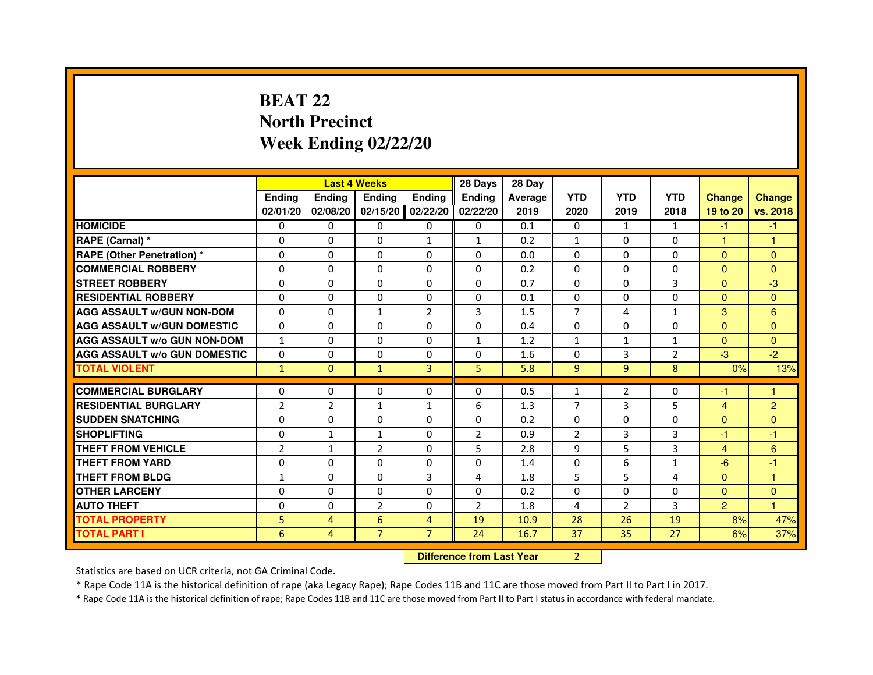# **BEAT 22 North PrecinctWeek Ending 02/22/20**

|                                     |                |                | <b>Last 4 Weeks</b> |                | 28 Days                          | 28 Day  |                |                |                |                |                |
|-------------------------------------|----------------|----------------|---------------------|----------------|----------------------------------|---------|----------------|----------------|----------------|----------------|----------------|
|                                     | <b>Ending</b>  | <b>Ending</b>  | <b>Ending</b>       | <b>Ending</b>  | <b>Ending</b>                    | Average | <b>YTD</b>     | <b>YTD</b>     | <b>YTD</b>     | <b>Change</b>  | <b>Change</b>  |
|                                     | 02/01/20       | 02/08/20       | 02/15/20            | 02/22/20       | 02/22/20                         | 2019    | 2020           | 2019           | 2018           | 19 to 20       | vs. 2018       |
| <b>HOMICIDE</b>                     | $\Omega$       | $\Omega$       | $\Omega$            | $\Omega$       | 0                                | 0.1     | $\Omega$       | $\mathbf{1}$   | $\mathbf{1}$   | $-1$           | $-1$           |
| RAPE (Carnal) *                     | 0              | 0              | 0                   | $\mathbf{1}$   | $\mathbf{1}$                     | 0.2     | $\mathbf{1}$   | 0              | 0              | 1              | 1              |
| <b>RAPE (Other Penetration) *</b>   | $\Omega$       | $\Omega$       | $\Omega$            | $\Omega$       | $\Omega$                         | 0.0     | $\Omega$       | $\Omega$       | $\Omega$       | $\Omega$       | $\Omega$       |
| <b>COMMERCIAL ROBBERY</b>           | $\Omega$       | $\Omega$       | $\Omega$            | $\Omega$       | $\Omega$                         | 0.2     | $\Omega$       | $\Omega$       | $\Omega$       | $\Omega$       | $\Omega$       |
| <b>STREET ROBBERY</b>               | $\Omega$       | $\Omega$       | $\Omega$            | $\Omega$       | $\Omega$                         | 0.7     | $\Omega$       | $\Omega$       | 3              | $\Omega$       | $-3$           |
| <b>RESIDENTIAL ROBBERY</b>          | $\Omega$       | $\Omega$       | $\Omega$            | $\Omega$       | $\Omega$                         | 0.1     | $\Omega$       | $\Omega$       | $\Omega$       | $\Omega$       | $\Omega$       |
| <b>AGG ASSAULT W/GUN NON-DOM</b>    | $\Omega$       | $\Omega$       | $\mathbf{1}$        | $\overline{2}$ | 3                                | 1.5     | $\overline{7}$ | 4              | $\mathbf{1}$   | 3              | $6\phantom{a}$ |
| <b>AGG ASSAULT W/GUN DOMESTIC</b>   | $\Omega$       | $\Omega$       | $\Omega$            | $\Omega$       | $\Omega$                         | 0.4     | $\Omega$       | $\Omega$       | $\Omega$       | $\Omega$       | $\Omega$       |
| <b>AGG ASSAULT W/o GUN NON-DOM</b>  | $\mathbf{1}$   | 0              | 0                   | 0              | $\mathbf{1}$                     | 1.2     | $\mathbf{1}$   | $\mathbf{1}$   | $\mathbf{1}$   | $\Omega$       | $\mathbf{0}$   |
| <b>AGG ASSAULT W/o GUN DOMESTIC</b> | $\Omega$       | 0              | 0                   | $\Omega$       | $\Omega$                         | 1.6     | $\Omega$       | 3              | $\overline{2}$ | $-3$           | $-2$           |
| <b>TOTAL VIOLENT</b>                | $\mathbf{1}$   | $\mathbf 0$    | $\mathbf{1}$        | 3              | 5                                | 5.8     | 9              | 9              | 8              | 0%             | 13%            |
| <b>COMMERCIAL BURGLARY</b>          | $\Omega$       | 0              | 0                   | 0              | 0                                | 0.5     | $\mathbf{1}$   | 2              | 0              | -1             | 1              |
| <b>RESIDENTIAL BURGLARY</b>         | $\overline{2}$ | $\overline{2}$ | $\mathbf{1}$        | $\mathbf{1}$   | 6                                | 1.3     | $\overline{7}$ | 3              | 5              | $\overline{4}$ | $\overline{2}$ |
| <b>SUDDEN SNATCHING</b>             | $\Omega$       | $\Omega$       | $\Omega$            | $\Omega$       | $\Omega$                         | 0.2     | $\Omega$       | $\Omega$       | $\Omega$       | $\Omega$       | $\Omega$       |
| <b>SHOPLIFTING</b>                  | 0              | 1              | 1                   | 0              | 2                                | 0.9     | 2              | 3              | 3              | $-1$           | $-1$           |
| THEFT FROM VEHICLE                  | $\overline{2}$ | $\mathbf{1}$   | $\overline{2}$      | $\Omega$       | 5                                | 2.8     | 9              | 5              | 3              | $\overline{4}$ | 6              |
| <b>THEFT FROM YARD</b>              | 0              | 0              | $\Omega$            | 0              | 0                                | 1.4     | 0              | 6              | $\mathbf{1}$   | $-6$           | $-1$           |
| <b>THEFT FROM BLDG</b>              | $\mathbf{1}$   | $\Omega$       | $\Omega$            | 3              | 4                                | 1.8     | 5              | 5              | $\overline{a}$ | $\Omega$       | $\mathbf{1}$   |
| <b>OTHER LARCENY</b>                | $\Omega$       | $\Omega$       | $\Omega$            | $\Omega$       | $\Omega$                         | 0.2     | $\Omega$       | $\Omega$       | $\Omega$       | $\mathbf{0}$   | $\Omega$       |
| <b>AUTO THEFT</b>                   | $\Omega$       | $\Omega$       | $\overline{2}$      | $\Omega$       | $\overline{2}$                   | 1.8     | 4              | $\overline{2}$ | 3              | $\overline{2}$ | $\mathbf{1}$   |
| <b>TOTAL PROPERTY</b>               | 5              | $\overline{4}$ | 6                   | $\overline{4}$ | 19                               | 10.9    | 28             | 26             | 19             | 8%             | 47%            |
| <b>TOTAL PART I</b>                 | 6              | 4              | $\overline{7}$      | $\overline{7}$ | 24                               | 16.7    | 37             | 35             | 27             | 6%             | 37%            |
|                                     |                |                |                     |                | <b>Difference from Last Year</b> |         | $\overline{2}$ |                |                |                |                |

 **Difference from Last Year**

Statistics are based on UCR criteria, not GA Criminal Code.

\* Rape Code 11A is the historical definition of rape (aka Legacy Rape); Rape Codes 11B and 11C are those moved from Part II to Part I in 2017.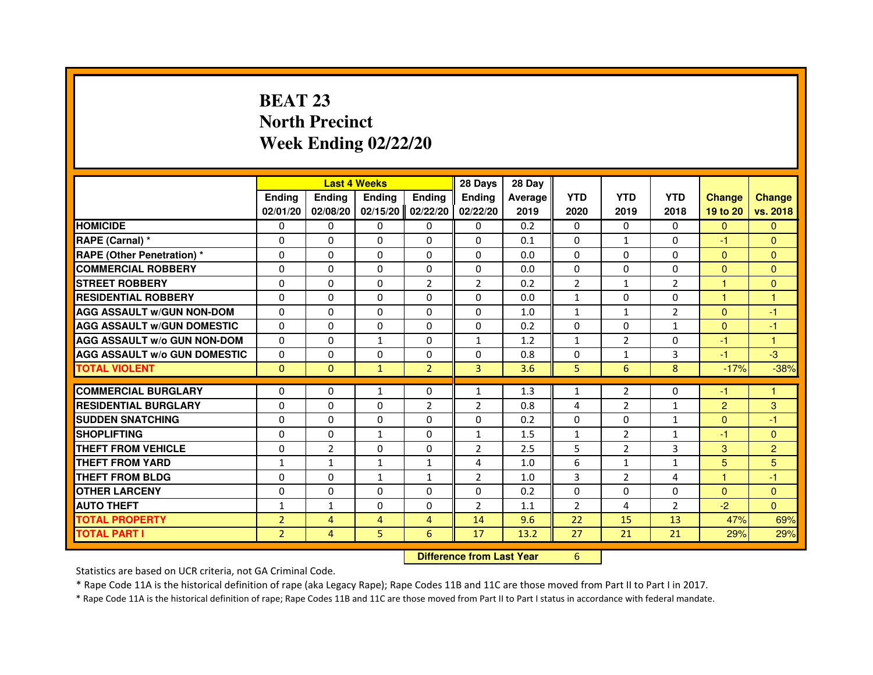# **BEAT 23 North PrecinctWeek Ending 02/22/20**

|                                     |                |                | <b>Last 4 Weeks</b> |                | 28 Days                          | 28 Day  |                |                |                |                |                |
|-------------------------------------|----------------|----------------|---------------------|----------------|----------------------------------|---------|----------------|----------------|----------------|----------------|----------------|
|                                     | <b>Ending</b>  | Ending         | <b>Ending</b>       | <b>Ending</b>  | <b>Ending</b>                    | Average | <b>YTD</b>     | <b>YTD</b>     | <b>YTD</b>     | <b>Change</b>  | <b>Change</b>  |
|                                     | 02/01/20       | 02/08/20       | 02/15/20            | 02/22/20       | 02/22/20                         | 2019    | 2020           | 2019           | 2018           | 19 to 20       | vs. 2018       |
| <b>HOMICIDE</b>                     | 0              | 0              | $\Omega$            | 0              | 0                                | 0.2     | $\Omega$       | 0              | $\Omega$       | $\mathbf{0}$   | $\mathbf{0}$   |
| RAPE (Carnal) *                     | 0              | 0              | 0                   | 0              | 0                                | 0.1     | 0              | $\mathbf{1}$   | 0              | $-1$           | $\mathbf{0}$   |
| RAPE (Other Penetration) *          | $\Omega$       | 0              | $\Omega$            | $\Omega$       | $\Omega$                         | 0.0     | $\Omega$       | $\Omega$       | $\Omega$       | $\Omega$       | $\Omega$       |
| <b>COMMERCIAL ROBBERY</b>           | $\Omega$       | $\Omega$       | $\Omega$            | $\Omega$       | $\Omega$                         | 0.0     | $\Omega$       | $\Omega$       | $\Omega$       | $\Omega$       | $\mathbf{0}$   |
| <b>STREET ROBBERY</b>               | $\Omega$       | $\Omega$       | $\Omega$            | $\overline{2}$ | $\overline{2}$                   | 0.2     | $\overline{2}$ | $\mathbf{1}$   | $\overline{2}$ | 1              | $\Omega$       |
| <b>RESIDENTIAL ROBBERY</b>          | 0              | 0              | $\Omega$            | 0              | 0                                | 0.0     | $\mathbf{1}$   | 0              | $\Omega$       | 1              | 1              |
| <b>AGG ASSAULT W/GUN NON-DOM</b>    | $\Omega$       | $\Omega$       | $\Omega$            | $\Omega$       | $\Omega$                         | 1.0     | $\mathbf{1}$   | $\mathbf{1}$   | $\overline{2}$ | $\Omega$       | $-1$           |
| <b>AGG ASSAULT W/GUN DOMESTIC</b>   | $\Omega$       | $\Omega$       | $\Omega$            | $\Omega$       | $\Omega$                         | 0.2     | $\Omega$       | $\Omega$       | $\mathbf{1}$   | $\Omega$       | $-1$           |
| <b>AGG ASSAULT W/o GUN NON-DOM</b>  | $\Omega$       | $\Omega$       | $\mathbf{1}$        | $\Omega$       | $\mathbf{1}$                     | 1.2     | $\mathbf{1}$   | $\overline{2}$ | $\Omega$       | $-1$           | $\mathbf{1}$   |
| <b>AGG ASSAULT W/o GUN DOMESTIC</b> | $\Omega$       | $\Omega$       | $\Omega$            | $\Omega$       | $\Omega$                         | 0.8     | $\Omega$       | $\mathbf{1}$   | 3              | $-1$           | $-3$           |
| <b>TOTAL VIOLENT</b>                | $\mathbf{0}$   | $\mathbf{0}$   | $\mathbf{1}$        | $\overline{2}$ | 3                                | 3.6     | 5              | 6              | 8              | $-17%$         | $-38%$         |
| <b>COMMERCIAL BURGLARY</b>          | 0              | 0              | 1                   | 0              | $\mathbf{1}$                     | 1.3     | $\mathbf{1}$   | 2              | 0              | $-1$           | 1              |
| <b>RESIDENTIAL BURGLARY</b>         | 0              | $\Omega$       | $\Omega$            | 2              | $\overline{2}$                   | 0.8     | 4              | $\overline{2}$ | 1              | $\overline{c}$ | 3              |
| <b>SUDDEN SNATCHING</b>             | $\Omega$       | $\Omega$       | $\Omega$            | $\Omega$       | $\Omega$                         | 0.2     | $\Omega$       | $\Omega$       | $\mathbf{1}$   | $\Omega$       | $-1$           |
| <b>SHOPLIFTING</b>                  | 0              | 0              | $\mathbf{1}$        | 0              | $\mathbf{1}$                     | 1.5     | $\mathbf{1}$   | $\overline{2}$ | $\mathbf{1}$   | $-1$           | $\Omega$       |
| THEFT FROM VEHICLE                  | 0              | $\overline{2}$ | 0                   | $\Omega$       | $\overline{2}$                   | 2.5     | 5              | $\overline{2}$ | 3              | 3              | $\overline{2}$ |
| <b>THEFT FROM YARD</b>              | $\mathbf{1}$   | $\mathbf{1}$   | $\mathbf{1}$        | $\mathbf{1}$   | 4                                | 1.0     | 6              | $\mathbf{1}$   | $\mathbf{1}$   | 5              | 5              |
| <b>THEFT FROM BLDG</b>              | $\Omega$       | $\Omega$       | $\mathbf{1}$        | $\mathbf{1}$   | $\overline{2}$                   | 1.0     | 3              | $\overline{2}$ | 4              | $\mathbf{1}$   | $-1$           |
| <b>OTHER LARCENY</b>                | 0              | $\Omega$       | 0                   | 0              | 0                                | 0.2     | $\Omega$       | 0              | 0              | $\mathbf{0}$   | $\Omega$       |
| <b>AUTO THEFT</b>                   | $\mathbf{1}$   | $\mathbf{1}$   | $\Omega$            | $\Omega$       | $\overline{2}$                   | 1.1     | $\overline{2}$ | 4              | 2              | $-2$           | $\Omega$       |
| <b>TOTAL PROPERTY</b>               | $\overline{2}$ | $\overline{4}$ | $\overline{4}$      | $\overline{4}$ | 14                               | 9.6     | 22             | 15             | 13             | 47%            | 69%            |
| <b>TOTAL PART I</b>                 | $\overline{2}$ | 4              | 5                   | 6              | 17                               | 13.2    | 27             | 21             | 21             | 29%            | 29%            |
|                                     |                |                |                     |                | <b>Difference from Last Year</b> |         | 6              |                |                |                |                |

 **Difference from Last Year**

Statistics are based on UCR criteria, not GA Criminal Code.

\* Rape Code 11A is the historical definition of rape (aka Legacy Rape); Rape Codes 11B and 11C are those moved from Part II to Part I in 2017.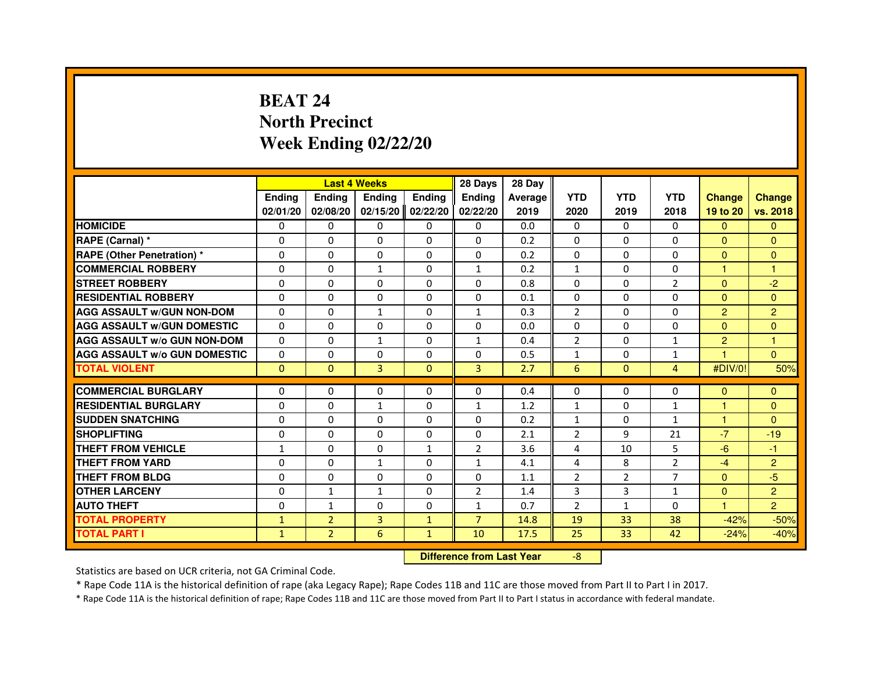# **BEAT 24 North PrecinctWeek Ending 02/22/20**

|                                     |               |                                  | <b>Last 4 Weeks</b> |               | 28 Days        | 28 Day  |                |                |                |                |                |
|-------------------------------------|---------------|----------------------------------|---------------------|---------------|----------------|---------|----------------|----------------|----------------|----------------|----------------|
|                                     | <b>Ending</b> | Ending                           | <b>Ending</b>       | <b>Ending</b> | <b>Ending</b>  | Average | <b>YTD</b>     | <b>YTD</b>     | <b>YTD</b>     | <b>Change</b>  | <b>Change</b>  |
|                                     | 02/01/20      | 02/08/20                         | 02/15/20            | 02/22/20      | 02/22/20       | 2019    | 2020           | 2019           | 2018           | 19 to 20       | vs. 2018       |
| <b>HOMICIDE</b>                     | 0             | 0                                | $\Omega$            | 0             | 0              | 0.0     | $\Omega$       | 0              | $\Omega$       | $\mathbf{0}$   | $\mathbf{0}$   |
| RAPE (Carnal) *                     | 0             | 0                                | 0                   | 0             | 0              | 0.2     | 0              | 0              | 0              | $\Omega$       | $\mathbf{0}$   |
| RAPE (Other Penetration) *          | $\Omega$      | 0                                | $\Omega$            | $\Omega$      | $\Omega$       | 0.2     | $\Omega$       | $\Omega$       | $\Omega$       | $\Omega$       | $\mathbf{0}$   |
| <b>COMMERCIAL ROBBERY</b>           | $\Omega$      | $\Omega$                         | $\mathbf{1}$        | $\Omega$      | $\mathbf{1}$   | 0.2     | $\mathbf{1}$   | $\Omega$       | $\Omega$       | $\mathbf{1}$   | $\mathbf{1}$   |
| <b>STREET ROBBERY</b>               | $\Omega$      | $\Omega$                         | $\Omega$            | $\Omega$      | $\Omega$       | 0.8     | $\Omega$       | $\Omega$       | $\overline{2}$ | $\Omega$       | $-2$           |
| <b>RESIDENTIAL ROBBERY</b>          | 0             | 0                                | $\Omega$            | 0             | 0              | 0.1     | 0              | 0              | $\Omega$       | $\Omega$       | $\mathbf{0}$   |
| <b>AGG ASSAULT W/GUN NON-DOM</b>    | $\Omega$      | $\Omega$                         | $\mathbf{1}$        | $\Omega$      | $\mathbf{1}$   | 0.3     | $\overline{2}$ | $\Omega$       | $\Omega$       | $\overline{2}$ | $\overline{2}$ |
| <b>AGG ASSAULT W/GUN DOMESTIC</b>   | $\Omega$      | $\Omega$                         | $\Omega$            | $\Omega$      | $\Omega$       | 0.0     | $\Omega$       | $\Omega$       | $\Omega$       | $\Omega$       | $\Omega$       |
| <b>AGG ASSAULT W/o GUN NON-DOM</b>  | $\Omega$      | $\Omega$                         | $\mathbf{1}$        | $\Omega$      | $\mathbf{1}$   | 0.4     | $\overline{2}$ | $\Omega$       | $\mathbf{1}$   | $\overline{2}$ | $\mathbf{1}$   |
| <b>AGG ASSAULT W/o GUN DOMESTIC</b> | $\Omega$      | $\Omega$                         | 0                   | $\Omega$      | $\Omega$       | 0.5     | $\mathbf{1}$   | $\Omega$       | $\mathbf{1}$   | 1              | $\Omega$       |
| <b>TOTAL VIOLENT</b>                | $\mathbf{0}$  | $\mathbf{0}$                     | 3                   | $\mathbf{0}$  | 3              | 2.7     | 6              | $\mathbf{0}$   | $\overline{4}$ | #DIV/0!        | 50%            |
| <b>COMMERCIAL BURGLARY</b>          | 0             | 0                                | 0                   | 0             | 0              | 0.4     | 0              | 0              | 0              | $\Omega$       | $\mathbf{0}$   |
| <b>RESIDENTIAL BURGLARY</b>         | 0             | $\Omega$                         | 1                   | $\Omega$      | $\mathbf{1}$   | 1.2     | $\mathbf{1}$   | $\Omega$       | 1              | 1              | $\mathbf{0}$   |
| <b>SUDDEN SNATCHING</b>             | $\Omega$      | $\Omega$                         | $\Omega$            | $\Omega$      | $\Omega$       | 0.2     | $\mathbf{1}$   | $\Omega$       | $\mathbf{1}$   | $\mathbf{1}$   | $\Omega$       |
| <b>SHOPLIFTING</b>                  | 0             | $\Omega$                         | $\Omega$            | 0             | $\Omega$       | 2.1     | $\overline{2}$ | 9              | 21             | $-7$           | $-19$          |
| THEFT FROM VEHICLE                  | 1             | 0                                | 0                   | $\mathbf{1}$  | $\overline{2}$ | 3.6     | 4              | 10             | 5              | $-6$           | $-1$           |
| <b>THEFT FROM YARD</b>              | $\Omega$      | $\Omega$                         | $\mathbf{1}$        | $\Omega$      | $\mathbf{1}$   | 4.1     | 4              | 8              | $\overline{2}$ | $-4$           | $\overline{2}$ |
| <b>THEFT FROM BLDG</b>              | $\Omega$      | $\Omega$                         | $\Omega$            | $\Omega$      | $\Omega$       | 1.1     | $\overline{2}$ | $\overline{2}$ | $\overline{7}$ | $\Omega$       | $-5$           |
| <b>OTHER LARCENY</b>                | 0             | $\mathbf{1}$                     | 1                   | 0             | $\overline{2}$ | 1.4     | 3              | 3              | 1              | $\Omega$       | $\overline{2}$ |
| <b>AUTO THEFT</b>                   | $\Omega$      | $\mathbf{1}$                     | $\Omega$            | $\Omega$      | $\mathbf{1}$   | 0.7     | $\overline{2}$ | $\mathbf{1}$   | $\Omega$       | $\mathbf{1}$   | $\overline{2}$ |
| <b>TOTAL PROPERTY</b>               | $\mathbf{1}$  | $\overline{2}$                   | 3                   | $\mathbf{1}$  | $\overline{7}$ | 14.8    | 19             | 33             | 38             | $-42%$         | $-50%$         |
| <b>TOTAL PART I</b>                 | $\mathbf{1}$  | $\overline{2}$                   | 6                   | $\mathbf{1}$  | 10             | 17.5    | 25             | 33             | 42             | $-24%$         | $-40%$         |
|                                     |               | <b>Difference from Last Year</b> |                     | $-8$          |                |         |                |                |                |                |                |

 **Difference from Last Year**

Statistics are based on UCR criteria, not GA Criminal Code.

\* Rape Code 11A is the historical definition of rape (aka Legacy Rape); Rape Codes 11B and 11C are those moved from Part II to Part I in 2017.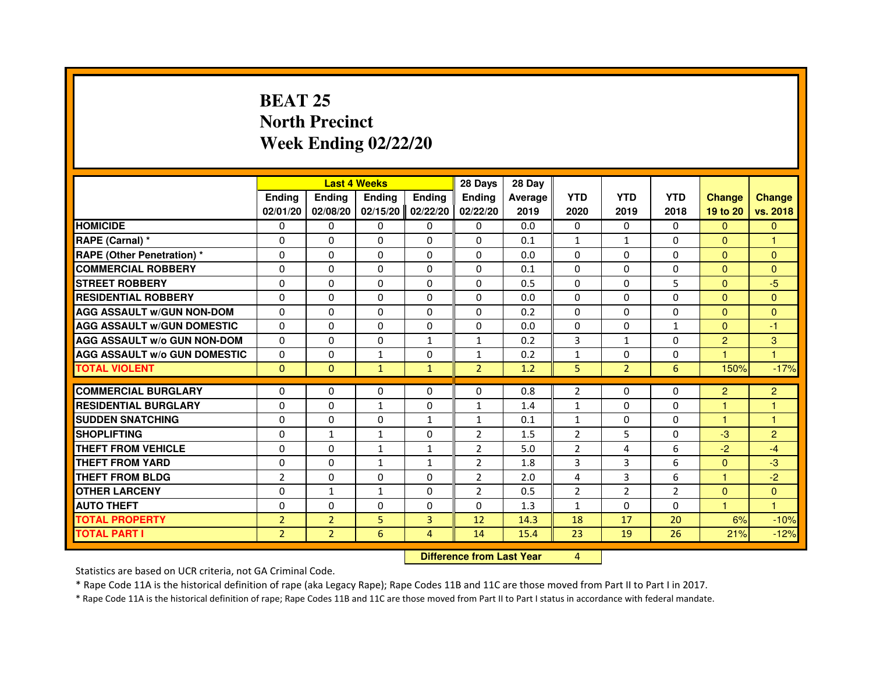# **BEAT 25 North PrecinctWeek Ending 02/22/20**

|                                     |                |                | <b>Last 4 Weeks</b> |               | 28 Days        | 28 Day  |                |                |                |                |                |
|-------------------------------------|----------------|----------------|---------------------|---------------|----------------|---------|----------------|----------------|----------------|----------------|----------------|
|                                     | <b>Ending</b>  | Ending         | Ending              | <b>Ending</b> | <b>Ending</b>  | Average | <b>YTD</b>     | <b>YTD</b>     | <b>YTD</b>     | <b>Change</b>  | <b>Change</b>  |
|                                     | 02/01/20       | 02/08/20       | 02/15/20            | 02/22/20      | 02/22/20       | 2019    | 2020           | 2019           | 2018           | 19 to 20       | vs. 2018       |
| <b>HOMICIDE</b>                     | 0              | $\Omega$       | 0                   | 0             | $\mathbf{0}$   | 0.0     | 0              | 0              | $\Omega$       | $\mathbf{0}$   | $\mathbf{0}$   |
| RAPE (Carnal) *                     | 0              | 0              | 0                   | 0             | 0              | 0.1     | 1              | $\mathbf{1}$   | 0              | $\Omega$       | 1              |
| RAPE (Other Penetration) *          | $\Omega$       | 0              | $\Omega$            | $\Omega$      | $\Omega$       | 0.0     | $\Omega$       | $\Omega$       | $\Omega$       | $\Omega$       | $\Omega$       |
| <b>COMMERCIAL ROBBERY</b>           | 0              | $\Omega$       | $\Omega$            | $\Omega$      | $\Omega$       | 0.1     | $\Omega$       | $\Omega$       | $\Omega$       | $\Omega$       | $\overline{0}$ |
| <b>STREET ROBBERY</b>               | $\Omega$       | $\Omega$       | $\Omega$            | $\Omega$      | $\Omega$       | 0.5     | $\Omega$       | $\Omega$       | 5              | $\Omega$       | $-5$           |
| <b>RESIDENTIAL ROBBERY</b>          | 0              | 0              | 0                   | 0             | 0              | 0.0     | 0              | 0              | $\Omega$       | $\Omega$       | $\mathbf{0}$   |
| <b>AGG ASSAULT w/GUN NON-DOM</b>    | $\Omega$       | $\Omega$       | $\Omega$            | $\Omega$      | $\Omega$       | 0.2     | $\Omega$       | $\Omega$       | $\Omega$       | $\Omega$       | $\Omega$       |
| <b>AGG ASSAULT W/GUN DOMESTIC</b>   | $\Omega$       | $\Omega$       | $\Omega$            | $\Omega$      | $\Omega$       | 0.0     | $\Omega$       | $\Omega$       | $\mathbf{1}$   | $\Omega$       | $-1$           |
| <b>AGG ASSAULT W/o GUN NON-DOM</b>  | $\Omega$       | $\Omega$       | $\Omega$            | $\mathbf{1}$  | $\mathbf{1}$   | 0.2     | 3              | $\mathbf{1}$   | $\Omega$       | $\overline{2}$ | 3              |
| <b>AGG ASSAULT w/o GUN DOMESTIC</b> | $\Omega$       | $\Omega$       | $\mathbf{1}$        | $\Omega$      | $\mathbf{1}$   | 0.2     | $\mathbf{1}$   | $\Omega$       | $\Omega$       | $\overline{1}$ | 1              |
| <b>TOTAL VIOLENT</b>                | $\mathbf{0}$   | $\mathbf{0}$   | $\mathbf{1}$        | $\mathbf{1}$  | $\overline{2}$ | 1.2     | 5              | $\overline{2}$ | 6              | 150%           | $-17%$         |
| <b>COMMERCIAL BURGLARY</b>          | 0              | 0              | 0                   | $\mathbf{0}$  | 0              | 0.8     | 2              | 0              | 0              | $\overline{2}$ | $\overline{2}$ |
| <b>RESIDENTIAL BURGLARY</b>         | 0              | $\Omega$       | 1                   | 0             | 1              | 1.4     | 1              | $\Omega$       | $\Omega$       | $\mathbf{1}$   | 1              |
| <b>SUDDEN SNATCHING</b>             | $\Omega$       | $\Omega$       | $\Omega$            | $\mathbf{1}$  | $\mathbf{1}$   | 0.1     | $\mathbf{1}$   | $\Omega$       | $\Omega$       | $\mathbf{1}$   | $\mathbf{1}$   |
| <b>SHOPLIFTING</b>                  | 0              | $\mathbf{1}$   | 1                   | $\Omega$      | $\overline{2}$ | 1.5     | $\overline{2}$ | 5              | 0              | $-3$           | $\overline{2}$ |
| THEFT FROM VEHICLE                  | 0              | 0              | $\mathbf{1}$        | 1             | $\overline{2}$ | 5.0     | $\overline{2}$ | 4              | 6              | $-2$           | $-4$           |
| <b>THEFT FROM YARD</b>              | $\Omega$       | $\Omega$       | $\mathbf{1}$        | $\mathbf{1}$  | $\overline{2}$ | 1.8     | 3              | 3              | 6              | $\Omega$       | $-3$           |
| <b>THEFT FROM BLDG</b>              | $\overline{2}$ | $\Omega$       | $\Omega$            | $\Omega$      | $\overline{2}$ | 2.0     | 4              | 3              | 6              | $\mathbf{1}$   | $-2$           |
| <b>OTHER LARCENY</b>                | 0              | $\mathbf{1}$   | $\mathbf{1}$        | $\mathbf{0}$  | $\overline{2}$ | 0.5     | $\overline{2}$ | $\overline{2}$ | $\overline{2}$ | $\Omega$       | $\Omega$       |
| <b>AUTO THEFT</b>                   | $\Omega$       | $\Omega$       | $\Omega$            | $\Omega$      | $\Omega$       | 1.3     | $\mathbf{1}$   | $\Omega$       | $\Omega$       | $\mathbf{1}$   | $\mathbf{1}$   |
| <b>TOTAL PROPERTY</b>               | $\overline{2}$ | $\overline{2}$ | 5                   | 3             | 12             | 14.3    | 18             | 17             | 20             | 6%             | $-10%$         |
| <b>TOTAL PART I</b>                 | $\overline{2}$ | $\overline{2}$ | 6                   | 4             | 14             | 15.4    | 23             | 19             | 26             | 21%            | $-12%$         |
|                                     |                |                |                     |               |                |         | 4              |                |                |                |                |

 **Difference from Last Year**

Statistics are based on UCR criteria, not GA Criminal Code.

\* Rape Code 11A is the historical definition of rape (aka Legacy Rape); Rape Codes 11B and 11C are those moved from Part II to Part I in 2017.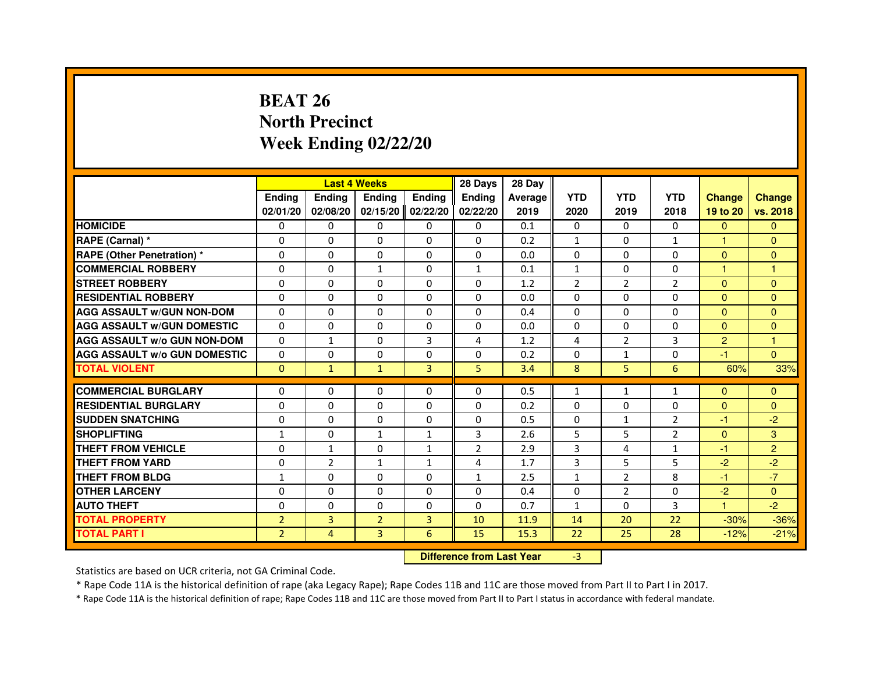# **BEAT 26 North PrecinctWeek Ending 02/22/20**

|                                     |                |                                  | <b>Last 4 Weeks</b> |               | 28 Days        | 28 Day  |              |                |                |                |                |
|-------------------------------------|----------------|----------------------------------|---------------------|---------------|----------------|---------|--------------|----------------|----------------|----------------|----------------|
|                                     | <b>Ending</b>  | <b>Ending</b>                    | <b>Ending</b>       | <b>Ending</b> | <b>Ending</b>  | Average | <b>YTD</b>   | <b>YTD</b>     | <b>YTD</b>     | <b>Change</b>  | <b>Change</b>  |
|                                     | 02/01/20       | 02/08/20                         | 02/15/20            | 02/22/20      | 02/22/20       | 2019    | 2020         | 2019           | 2018           | 19 to 20       | vs. 2018       |
| <b>HOMICIDE</b>                     | $\Omega$       | $\Omega$                         | $\Omega$            | $\Omega$      | 0              | 0.1     | $\Omega$     | $\Omega$       | $\Omega$       | $\Omega$       | $\mathbf{0}$   |
| RAPE (Carnal) *                     | 0              | 0                                | 0                   | 0             | 0              | 0.2     | $\mathbf{1}$ | 0              | $\mathbf{1}$   | 1              | $\Omega$       |
| <b>RAPE (Other Penetration) *</b>   | $\Omega$       | $\Omega$                         | $\Omega$            | $\Omega$      | $\Omega$       | 0.0     | $\Omega$     | $\Omega$       | $\Omega$       | $\Omega$       | $\mathbf{0}$   |
| <b>COMMERCIAL ROBBERY</b>           | $\Omega$       | $\Omega$                         | $\mathbf{1}$        | $\Omega$      | $\mathbf{1}$   | 0.1     | $\mathbf{1}$ | $\Omega$       | $\Omega$       | $\mathbf{1}$   | $\mathbf{1}$   |
| <b>STREET ROBBERY</b>               | $\Omega$       | $\Omega$                         | $\Omega$            | $\Omega$      | $\Omega$       | 1.2     | 2            | $\overline{2}$ | 2              | $\Omega$       | $\mathbf{0}$   |
| <b>RESIDENTIAL ROBBERY</b>          | $\Omega$       | $\Omega$                         | $\Omega$            | $\Omega$      | $\Omega$       | 0.0     | $\Omega$     | $\Omega$       | $\Omega$       | $\Omega$       | $\Omega$       |
| <b>AGG ASSAULT W/GUN NON-DOM</b>    | $\Omega$       | $\Omega$                         | $\Omega$            | $\Omega$      | $\Omega$       | 0.4     | $\Omega$     | $\Omega$       | $\Omega$       | $\Omega$       | $\Omega$       |
| <b>AGG ASSAULT W/GUN DOMESTIC</b>   | $\Omega$       | $\Omega$                         | $\Omega$            | $\Omega$      | $\Omega$       | 0.0     | $\Omega$     | $\Omega$       | $\Omega$       | $\Omega$       | $\Omega$       |
| <b>AGG ASSAULT W/o GUN NON-DOM</b>  | $\Omega$       | 1                                | 0                   | 3             | 4              | 1.2     | 4            | $\overline{2}$ | 3              | $\overline{2}$ | 1              |
| <b>AGG ASSAULT W/o GUN DOMESTIC</b> | $\Omega$       | 0                                | 0                   | $\Omega$      | $\Omega$       | 0.2     | $\Omega$     | $\mathbf{1}$   | $\Omega$       | $-1$           | $\Omega$       |
| <b>TOTAL VIOLENT</b>                | $\mathbf{0}$   | $\mathbf{1}$                     | $\mathbf{1}$        | 3             | 5              | 3.4     | 8            | 5              | 6              | 60%            | 33%            |
| <b>COMMERCIAL BURGLARY</b>          | $\Omega$       | 0                                | 0                   | 0             | 0              | 0.5     | $\mathbf{1}$ | $\mathbf{1}$   | 1              | $\Omega$       | $\Omega$       |
| <b>RESIDENTIAL BURGLARY</b>         | $\Omega$       | $\Omega$                         | $\Omega$            | $\Omega$      | $\Omega$       | 0.2     | $\Omega$     | $\Omega$       | $\Omega$       | $\Omega$       | $\Omega$       |
| <b>SUDDEN SNATCHING</b>             | $\Omega$       | $\Omega$                         | $\Omega$            | $\Omega$      | $\Omega$       | 0.5     | $\Omega$     | $\mathbf{1}$   | $\overline{2}$ | $-1$           | $-2$           |
| <b>SHOPLIFTING</b>                  | $\mathbf{1}$   | 0                                | 1                   | 1             | 3              | 2.6     | 5            | 5              | 2              | $\Omega$       | 3              |
| THEFT FROM VEHICLE                  | $\Omega$       | $\mathbf{1}$                     | $\Omega$            | $\mathbf{1}$  | $\overline{2}$ | 2.9     | 3            | 4              | $\mathbf{1}$   | $-1$           | $\overline{2}$ |
| <b>THEFT FROM YARD</b>              | 0              | $\overline{2}$                   | $\mathbf{1}$        | $\mathbf{1}$  | 4              | 1.7     | 3            | 5              | 5              | $-2$           | $-2$           |
| <b>THEFT FROM BLDG</b>              | $\mathbf{1}$   | $\Omega$                         | $\Omega$            | $\Omega$      | $\mathbf{1}$   | 2.5     | $\mathbf{1}$ | $\overline{2}$ | 8              | $-1$           | $-7$           |
| <b>OTHER LARCENY</b>                | $\Omega$       | $\Omega$                         | $\Omega$            | $\Omega$      | $\Omega$       | 0.4     | $\Omega$     | $\overline{2}$ | $\Omega$       | $-2$           | $\Omega$       |
| <b>AUTO THEFT</b>                   | $\Omega$       | $\Omega$                         | $\Omega$            | $\Omega$      | $\Omega$       | 0.7     | $\mathbf{1}$ | $\Omega$       | 3              | $\mathbf{1}$   | $-2$           |
| <b>TOTAL PROPERTY</b>               | $\overline{2}$ | 3                                | $\overline{2}$      | 3             | 10             | 11.9    | 14           | 20             | 22             | $-30%$         | $-36%$         |
| <b>TOTAL PART I</b>                 | $\overline{2}$ | $\overline{4}$                   | 3                   | 6             | 15             | 15.3    | 22           | 25             | 28             | $-12%$         | $-21%$         |
|                                     |                | <b>Difference from Last Year</b> |                     | $-3$          |                |         |              |                |                |                |                |

 **Difference from Last Year**

Statistics are based on UCR criteria, not GA Criminal Code.

\* Rape Code 11A is the historical definition of rape (aka Legacy Rape); Rape Codes 11B and 11C are those moved from Part II to Part I in 2017.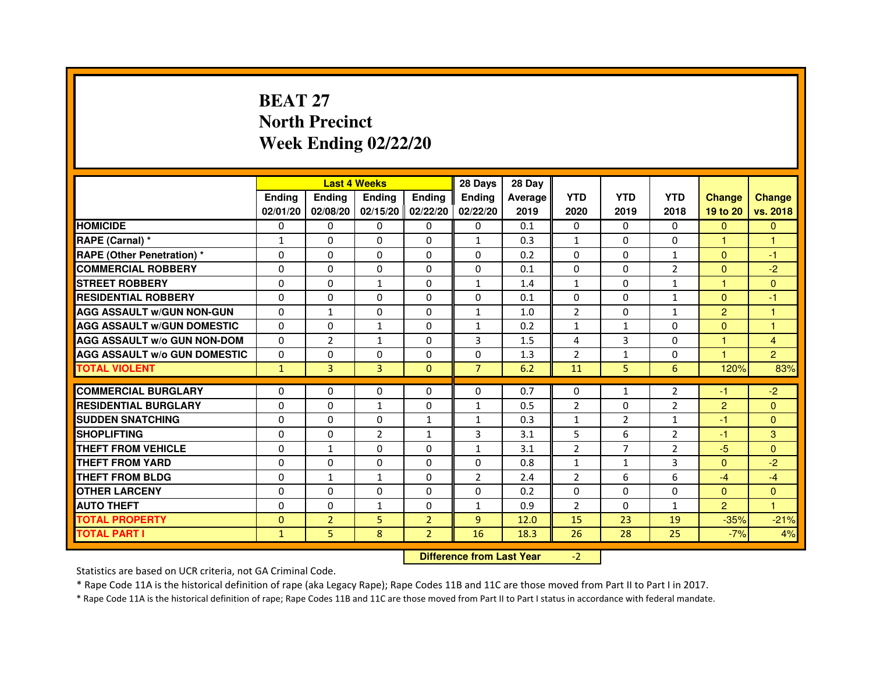# **BEAT 27 North PrecinctWeek Ending 02/22/20**

|                                     |               | <b>Last 4 Weeks</b>              |                   |                | 28 Days        | 28 Day  |                |                |                |                |                |
|-------------------------------------|---------------|----------------------------------|-------------------|----------------|----------------|---------|----------------|----------------|----------------|----------------|----------------|
|                                     | <b>Ending</b> | Ending                           | <b>Ending</b>     | <b>Ending</b>  | <b>Ending</b>  | Average | <b>YTD</b>     | <b>YTD</b>     | <b>YTD</b>     | <b>Change</b>  | <b>Change</b>  |
|                                     | 02/01/20      | 02/08/20                         | 02/15/20 02/22/20 |                | 02/22/20       | 2019    | 2020           | 2019           | 2018           | 19 to 20       | vs. 2018       |
| <b>HOMICIDE</b>                     | 0             | $\Omega$                         | $\Omega$          | $\Omega$       | 0              | 0.1     | $\Omega$       | $\Omega$       | $\Omega$       | $\Omega$       | $\Omega$       |
| RAPE (Carnal) *                     | $\mathbf{1}$  | 0                                | 0                 | 0              | $\mathbf{1}$   | 0.3     | $\mathbf{1}$   | $\Omega$       | 0              | 1.             | 1              |
| <b>RAPE (Other Penetration) *</b>   | 0             | 0                                | $\Omega$          | 0              | 0              | 0.2     | $\Omega$       | $\mathbf{0}$   | $\mathbf{1}$   | $\Omega$       | $-1$           |
| <b>COMMERCIAL ROBBERY</b>           | $\Omega$      | $\Omega$                         | $\Omega$          | $\Omega$       | $\Omega$       | 0.1     | $\Omega$       | $\mathbf{0}$   | $\overline{2}$ | $\Omega$       | $-2$           |
| <b>STREET ROBBERY</b>               | $\Omega$      | $\Omega$                         | $\mathbf{1}$      | $\Omega$       | $\mathbf{1}$   | 1.4     | $\mathbf{1}$   | $\Omega$       | $\mathbf{1}$   | $\mathbf{1}$   | $\mathbf{0}$   |
| <b>RESIDENTIAL ROBBERY</b>          | $\Omega$      | $\Omega$                         | $\Omega$          | $\Omega$       | 0              | 0.1     | $\Omega$       | $\Omega$       | $\mathbf{1}$   | $\Omega$       | $-1$           |
| <b>AGG ASSAULT w/GUN NON-GUN</b>    | $\Omega$      | $\mathbf 1$                      | $\mathbf 0$       | $\Omega$       | $\mathbf{1}$   | 1.0     | $\overline{2}$ | $\Omega$       | $\mathbf{1}$   | $\overline{2}$ | $\mathbf{1}$   |
| <b>AGG ASSAULT w/GUN DOMESTIC</b>   | $\Omega$      | $\Omega$                         | $\mathbf{1}$      | $\Omega$       | $\mathbf{1}$   | 0.2     | $\mathbf{1}$   | $\mathbf{1}$   | $\Omega$       | $\Omega$       | $\mathbf{1}$   |
| <b>AGG ASSAULT W/o GUN NON-DOM</b>  | 0             | 2                                | $\mathbf{1}$      | 0              | 3              | 1.5     | 4              | 3              | $\Omega$       | $\mathbf{1}$   | $\overline{4}$ |
| <b>AGG ASSAULT w/o GUN DOMESTIC</b> | $\Omega$      | $\mathbf 0$                      | $\Omega$          | 0              | 0              | 1.3     | $\overline{2}$ | $\mathbf{1}$   | 0              | 1              | $\overline{2}$ |
| <b>TOTAL VIOLENT</b>                | $\mathbf{1}$  | 3                                | 3                 | $\mathbf{0}$   | $\overline{7}$ | 6.2     | 11             | 5              | 6              | 120%           | 83%            |
| <b>COMMERCIAL BURGLARY</b>          | $\Omega$      | $\Omega$                         | 0                 | $\Omega$       | 0              | 0.7     | 0              | $\mathbf{1}$   | $\overline{2}$ | -1             | $-2$           |
| <b>RESIDENTIAL BURGLARY</b>         | $\Omega$      | $\Omega$                         | $\mathbf{1}$      | $\Omega$       | $\mathbf{1}$   | 0.5     | $\overline{2}$ | $\mathbf{0}$   | $\overline{2}$ | $\overline{2}$ | $\Omega$       |
| <b>SUDDEN SNATCHING</b>             | $\Omega$      | $\Omega$                         | $\Omega$          | $\mathbf{1}$   | $\mathbf{1}$   | 0.3     | $\mathbf{1}$   | $\overline{2}$ | $\mathbf{1}$   | $-1$           | $\Omega$       |
| <b>SHOPLIFTING</b>                  | 0             | 0                                | $\overline{2}$    | $\mathbf{1}$   | 3              | 3.1     | 5              | 6              | $\overline{2}$ | $-1$           | 3              |
| <b>THEFT FROM VEHICLE</b>           | $\Omega$      | $\mathbf{1}$                     | $\Omega$          | $\Omega$       | $\mathbf{1}$   | 3.1     | $\overline{2}$ | $\overline{7}$ | $\overline{2}$ | $-5$           | $\Omega$       |
| <b>THEFT FROM YARD</b>              | $\mathbf 0$   | 0                                | $\mathbf 0$       | 0              | $\mathbf 0$    | 0.8     | $\mathbf{1}$   | $\mathbf{1}$   | 3              | $\overline{0}$ | $-2$           |
| <b>THEFT FROM BLDG</b>              | $\Omega$      | $\mathbf{1}$                     | $\mathbf{1}$      | $\Omega$       | $\overline{2}$ | 2.4     | $\overline{2}$ | 6              | 6              | $-4$           | $-4$           |
| <b>OTHER LARCENY</b>                | $\mathbf 0$   | $\Omega$                         | $\mathbf 0$       | $\Omega$       | $\Omega$       | 0.2     | $\Omega$       | $\Omega$       | 0              | $\mathbf{0}$   | $\Omega$       |
| <b>AUTO THEFT</b>                   | $\Omega$      | $\Omega$                         | $\mathbf{1}$      | $\Omega$       | $\mathbf{1}$   | 0.9     | $\overline{2}$ | $\Omega$       | $\mathbf{1}$   | $\overline{2}$ | $\mathbf{1}$   |
| <b>TOTAL PROPERTY</b>               | $\Omega$      | $\overline{2}$                   | 5                 | $\overline{2}$ | 9              | 12.0    | 15             | 23             | 19             | $-35%$         | $-21%$         |
| <b>TOTAL PART I</b>                 | $\mathbf{1}$  | 5                                | 8                 | $\overline{2}$ | 16             | 18.3    | 26             | 28             | 25             | $-7%$          | 4%             |
|                                     |               | <b>Difference from Last Year</b> |                   | $-2$           |                |         |                |                |                |                |                |

 **Difference from Last Year**

Statistics are based on UCR criteria, not GA Criminal Code.

\* Rape Code 11A is the historical definition of rape (aka Legacy Rape); Rape Codes 11B and 11C are those moved from Part II to Part I in 2017.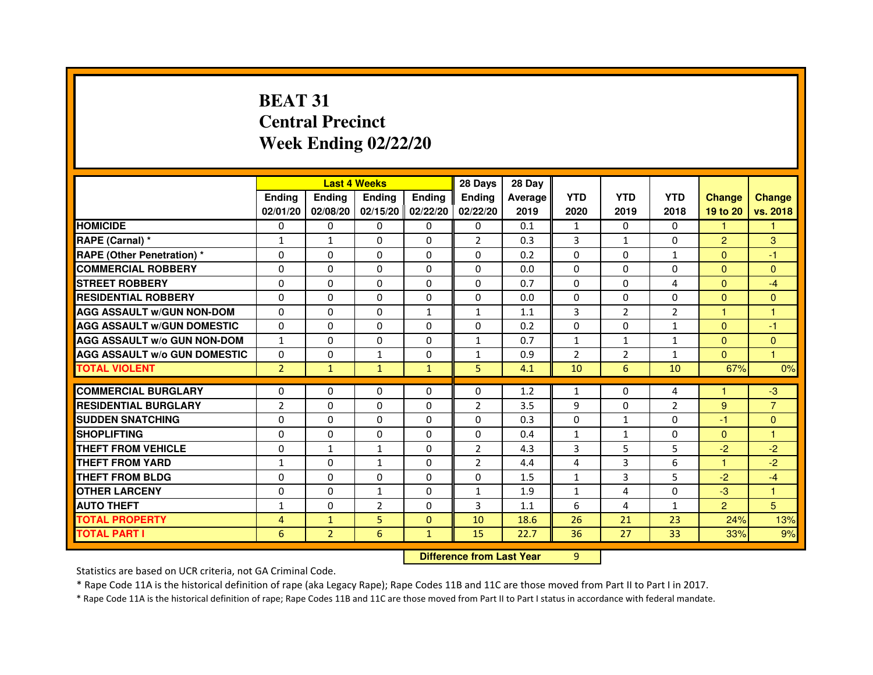# **BEAT 31 Central PrecinctWeek Ending 02/22/20**

|                                     |                | <b>Last 4 Weeks</b>              |                |               | 28 Days        | 28 Day         |                |                |                |                |                |
|-------------------------------------|----------------|----------------------------------|----------------|---------------|----------------|----------------|----------------|----------------|----------------|----------------|----------------|
|                                     | <b>Ending</b>  | <b>Ending</b>                    | <b>Ending</b>  | <b>Ending</b> | <b>Ending</b>  | <b>Average</b> | <b>YTD</b>     | <b>YTD</b>     | <b>YTD</b>     | <b>Change</b>  | <b>Change</b>  |
|                                     | 02/01/20       | 02/08/20                         | 02/15/20       | 02/22/20      | 02/22/20       | 2019           | 2020           | 2019           | 2018           | 19 to 20       | vs. 2018       |
| <b>HOMICIDE</b>                     | $\mathbf{0}$   | $\Omega$                         | $\Omega$       | $\Omega$      | 0              | 0.1            | $\mathbf{1}$   | $\Omega$       | $\Omega$       | 1.             | 1.             |
| RAPE (Carnal) *                     | 1              | $\mathbf{1}$                     | 0              | $\Omega$      | $\overline{2}$ | 0.3            | 3              | $\mathbf{1}$   | 0              | $\overline{2}$ | 3              |
| <b>RAPE (Other Penetration) *</b>   | $\mathbf 0$    | 0                                | $\Omega$       | $\Omega$      | $\Omega$       | 0.2            | $\Omega$       | $\Omega$       | $\mathbf{1}$   | $\Omega$       | $-1$           |
| <b>COMMERCIAL ROBBERY</b>           | $\mathbf 0$    | $\Omega$                         | $\Omega$       | $\mathbf{0}$  | $\mathbf{0}$   | 0.0            | $\mathbf{0}$   | $\Omega$       | $\Omega$       | $\Omega$       | $\Omega$       |
| <b>STREET ROBBERY</b>               | $\Omega$       | $\Omega$                         | $\Omega$       | $\Omega$      | $\Omega$       | 0.7            | $\Omega$       | $\Omega$       | 4              | $\Omega$       | $-4$           |
| <b>RESIDENTIAL ROBBERY</b>          | 0              | $\Omega$                         | 0              | $\Omega$      | $\Omega$       | 0.0            | $\Omega$       | $\Omega$       | $\Omega$       | $\Omega$       | $\Omega$       |
| <b>AGG ASSAULT W/GUN NON-DOM</b>    | $\Omega$       | 0                                | $\Omega$       | $\mathbf{1}$  | $\mathbf{1}$   | 1.1            | 3              | 2              | $\overline{2}$ | $\mathbf{1}$   | $\mathbf{1}$   |
| <b>AGG ASSAULT W/GUN DOMESTIC</b>   | $\Omega$       | $\Omega$                         | $\Omega$       | $\Omega$      | $\Omega$       | 0.2            | $\Omega$       | $\Omega$       | $\mathbf{1}$   | $\Omega$       | $-1$           |
| <b>AGG ASSAULT W/o GUN NON-DOM</b>  | $\mathbf{1}$   | 0                                | 0              | $\mathbf{0}$  | $\mathbf{1}$   | 0.7            | $\mathbf{1}$   | $\mathbf{1}$   | $\mathbf{1}$   | $\Omega$       | $\mathbf{0}$   |
| <b>AGG ASSAULT W/o GUN DOMESTIC</b> | $\Omega$       | 0                                | 1              | $\Omega$      | $\mathbf{1}$   | 0.9            | $\overline{2}$ | $\overline{2}$ | $\mathbf{1}$   | $\Omega$       | 1              |
| <b>TOTAL VIOLENT</b>                | $\overline{2}$ | $\mathbf{1}$                     | $\mathbf{1}$   | $\mathbf{1}$  | 5              | 4.1            | 10             | 6              | 10             | 67%            | 0%             |
| <b>COMMERCIAL BURGLARY</b>          | 0              | 0                                | 0              | 0             | 0              | 1.2            | 1              | 0              | 4              | 1              | $-3$           |
| <b>RESIDENTIAL BURGLARY</b>         | $\overline{2}$ | $\Omega$                         | $\Omega$       | $\mathbf{0}$  | $\overline{2}$ | 3.5            | 9              | $\Omega$       | $\overline{2}$ | 9              | $\overline{7}$ |
| <b>SUDDEN SNATCHING</b>             | 0              | $\Omega$                         | $\Omega$       | $\Omega$      | $\Omega$       | 0.3            | $\Omega$       | $\mathbf{1}$   | $\Omega$       | $-1$           | $\Omega$       |
| <b>SHOPLIFTING</b>                  | 0              | 0                                | 0              | $\mathbf{0}$  | $\mathbf{0}$   | 0.4            | $\mathbf{1}$   | $\mathbf{1}$   | 0              | $\Omega$       | 1              |
| THEFT FROM VEHICLE                  | 0              | $\mathbf{1}$                     | $\mathbf{1}$   | $\Omega$      | $\overline{2}$ | 4.3            | 3              | 5              | 5              | $-2$           | $-2$           |
| <b>THEFT FROM YARD</b>              | $\mathbf{1}$   | 0                                | 1              | $\mathbf 0$   | $\overline{2}$ | 4.4            | 4              | 3              | 6              | $\mathbf{1}$   | $-2$           |
| <b>THEFT FROM BLDG</b>              | 0              | $\Omega$                         | 0              | $\Omega$      | $\Omega$       | 1.5            | $\mathbf{1}$   | 3              | 5              | $-2$           | $-4$           |
| <b>OTHER LARCENY</b>                | 0              | $\Omega$                         | 1              | $\Omega$      | $\mathbf{1}$   | 1.9            | $\mathbf{1}$   | 4              | $\Omega$       | $-3$           | 1              |
| <b>AUTO THEFT</b>                   | $\mathbf{1}$   | $\Omega$                         | $\overline{2}$ | $\Omega$      | 3              | 1.1            | 6              | 4              | $\mathbf{1}$   | $\overline{2}$ | 5              |
| <b>TOTAL PROPERTY</b>               | 4              | $\mathbf{1}$                     | 5              | $\mathbf{0}$  | 10             | 18.6           | 26             | 21             | 23             | 24%            | 13%            |
| <b>TOTAL PART I</b>                 | 6              | $\overline{2}$                   | 6              | $\mathbf{1}$  | 15             | 22.7           | 36             | 27             | 33             | 33%            | 9%             |
|                                     |                | <b>Difference from Last Year</b> |                | 9             |                |                |                |                |                |                |                |

 **Difference from Last Year**

Statistics are based on UCR criteria, not GA Criminal Code.

\* Rape Code 11A is the historical definition of rape (aka Legacy Rape); Rape Codes 11B and 11C are those moved from Part II to Part I in 2017.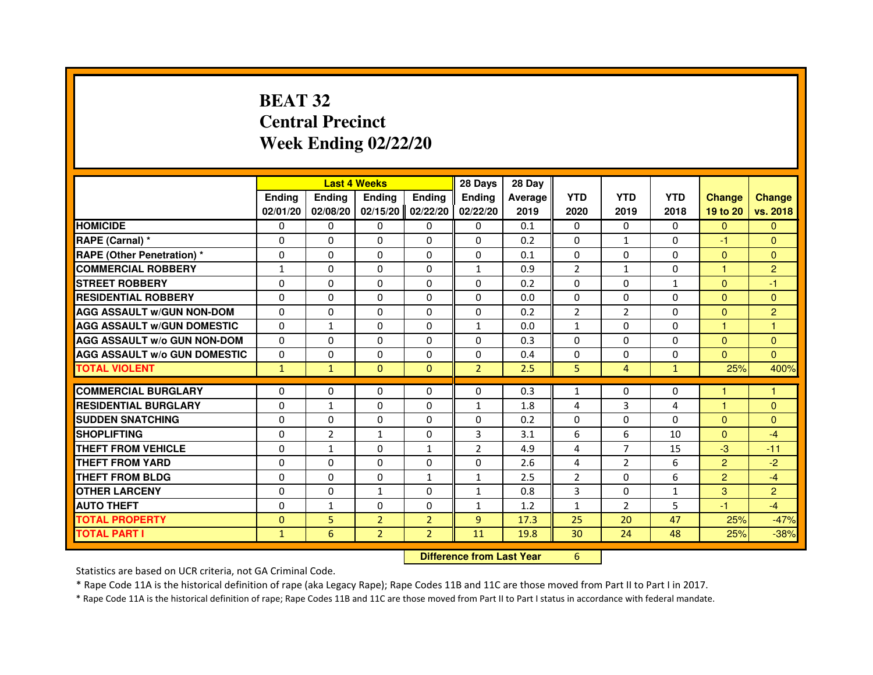# **BEAT 32 Central PrecinctWeek Ending 02/22/20**

|                                     |               | <b>Last 4 Weeks</b>              |                |                | 28 Days        | 28 Day  |                |                |              |                |                |
|-------------------------------------|---------------|----------------------------------|----------------|----------------|----------------|---------|----------------|----------------|--------------|----------------|----------------|
|                                     | <b>Ending</b> | <b>Ending</b>                    | <b>Ending</b>  | <b>Ending</b>  | <b>Ending</b>  | Average | <b>YTD</b>     | <b>YTD</b>     | <b>YTD</b>   | <b>Change</b>  | <b>Change</b>  |
|                                     | 02/01/20      | 02/08/20                         | 02/15/20       | 02/22/20       | 02/22/20       | 2019    | 2020           | 2019           | 2018         | 19 to 20       | vs. 2018       |
| <b>HOMICIDE</b>                     | $\Omega$      | $\Omega$                         | $\Omega$       | $\Omega$       | $\mathbf{0}$   | 0.1     | $\Omega$       | $\Omega$       | $\Omega$     | $\Omega$       | $\mathbf{0}$   |
| RAPE (Carnal) *                     | 0             | $\mathbf{0}$                     | 0              | $\Omega$       | $\mathbf{0}$   | 0.2     | $\Omega$       | $\mathbf{1}$   | 0            | $-1$           | $\mathbf{0}$   |
| <b>RAPE (Other Penetration) *</b>   | $\Omega$      | $\Omega$                         | $\Omega$       | $\Omega$       | $\Omega$       | 0.1     | $\Omega$       | $\Omega$       | $\Omega$     | $\Omega$       | $\mathbf{0}$   |
| <b>COMMERCIAL ROBBERY</b>           | $\mathbf{1}$  | $\Omega$                         | $\Omega$       | $\Omega$       | $\mathbf{1}$   | 0.9     | $\overline{2}$ | $\mathbf{1}$   | $\Omega$     | $\mathbf{1}$   | $\overline{2}$ |
| <b>STREET ROBBERY</b>               | 0             | $\Omega$                         | 0              | $\Omega$       | $\Omega$       | 0.2     | $\Omega$       | $\Omega$       | $\mathbf{1}$ | $\Omega$       | $-1$           |
| <b>RESIDENTIAL ROBBERY</b>          | 0             | $\Omega$                         | 0              | $\Omega$       | $\Omega$       | 0.0     | $\Omega$       | $\Omega$       | $\Omega$     | $\Omega$       | $\mathbf{0}$   |
| <b>AGG ASSAULT W/GUN NON-DOM</b>    | $\Omega$      | $\Omega$                         | 0              | $\Omega$       | $\Omega$       | 0.2     | $\overline{2}$ | $\overline{2}$ | $\Omega$     | $\mathbf{0}$   | $\overline{2}$ |
| <b>AGG ASSAULT w/GUN DOMESTIC</b>   | $\Omega$      | $\mathbf{1}$                     | $\Omega$       | $\Omega$       | $\mathbf{1}$   | 0.0     | $\mathbf{1}$   | $\Omega$       | $\Omega$     | $\mathbf{1}$   | $\mathbf{1}$   |
| <b>AGG ASSAULT W/o GUN NON-DOM</b>  | $\Omega$      | $\mathbf{0}$                     | 0              | $\mathbf{0}$   | $\Omega$       | 0.3     | 0              | 0              | 0            | $\Omega$       | $\mathbf{0}$   |
| <b>AGG ASSAULT W/o GUN DOMESTIC</b> | 0             | 0                                | 0              | $\Omega$       | $\Omega$       | 0.4     | $\Omega$       | 0              | 0            | $\Omega$       | $\Omega$       |
| <b>TOTAL VIOLENT</b>                | $\mathbf{1}$  | $\mathbf{1}$                     | $\mathbf{0}$   | $\mathbf{0}$   | $\overline{2}$ | 2.5     | 5              | $\overline{4}$ | $\mathbf{1}$ | 25%            | 400%           |
| <b>COMMERCIAL BURGLARY</b>          | 0             | 0                                | 0              | $\mathbf{0}$   | 0              | 0.3     | $\mathbf{1}$   | 0              | 0            | 1              | 1              |
| <b>RESIDENTIAL BURGLARY</b>         | $\Omega$      | $\mathbf{1}$                     | $\Omega$       | $\Omega$       | $\mathbf{1}$   | 1.8     | 4              | 3              | 4            | $\mathbf{1}$   | $\mathbf{0}$   |
| <b>SUDDEN SNATCHING</b>             | $\Omega$      | $\Omega$                         | $\Omega$       | $\Omega$       | $\Omega$       | 0.2     | $\Omega$       | $\Omega$       | $\Omega$     | $\mathbf{0}$   | $\mathbf{0}$   |
| <b>SHOPLIFTING</b>                  | 0             | $\overline{2}$                   | 1              | 0              | 3              | 3.1     | 6              | 6              | 10           | $\mathbf{0}$   | $-4$           |
| THEFT FROM VEHICLE                  | $\Omega$      | $\mathbf{1}$                     | 0              | $\mathbf{1}$   | $\overline{2}$ | 4.9     | 4              | $\overline{7}$ | 15           | $-3$           | $-11$          |
| <b>THEFT FROM YARD</b>              | 0             | 0                                | $\Omega$       | 0              | 0              | 2.6     | 4              | $\overline{2}$ | 6            | $\overline{2}$ | $-2$           |
| <b>THEFT FROM BLDG</b>              | $\Omega$      | $\Omega$                         | $\Omega$       | $\mathbf{1}$   | $\mathbf{1}$   | 2.5     | $\overline{2}$ | $\Omega$       | 6            | $\overline{2}$ | $-4$           |
| <b>OTHER LARCENY</b>                | 0             | $\Omega$                         | $\mathbf{1}$   | $\Omega$       | $\mathbf{1}$   | 0.8     | 3              | $\Omega$       | $\mathbf{1}$ | 3              | $\overline{2}$ |
| <b>AUTO THEFT</b>                   | $\Omega$      | $\mathbf{1}$                     | $\Omega$       | $\Omega$       | $\mathbf{1}$   | 1.2     | $\mathbf{1}$   | $\overline{2}$ | 5            | $-1$           | $-4$           |
| <b>TOTAL PROPERTY</b>               | $\Omega$      | 5                                | $\overline{2}$ | $\overline{2}$ | 9              | 17.3    | 25             | 20             | 47           | 25%            | $-47%$         |
| <b>TOTAL PART I</b>                 | $\mathbf{1}$  | 6                                | $\overline{2}$ | $\overline{2}$ | 11             | 19.8    | 30             | 24             | 48           | 25%            | $-38%$         |
|                                     |               | <b>Difference from Last Year</b> |                | 6              |                |         |                |                |              |                |                |

#### **Difference from Last Year**

Statistics are based on UCR criteria, not GA Criminal Code.

\* Rape Code 11A is the historical definition of rape (aka Legacy Rape); Rape Codes 11B and 11C are those moved from Part II to Part I in 2017.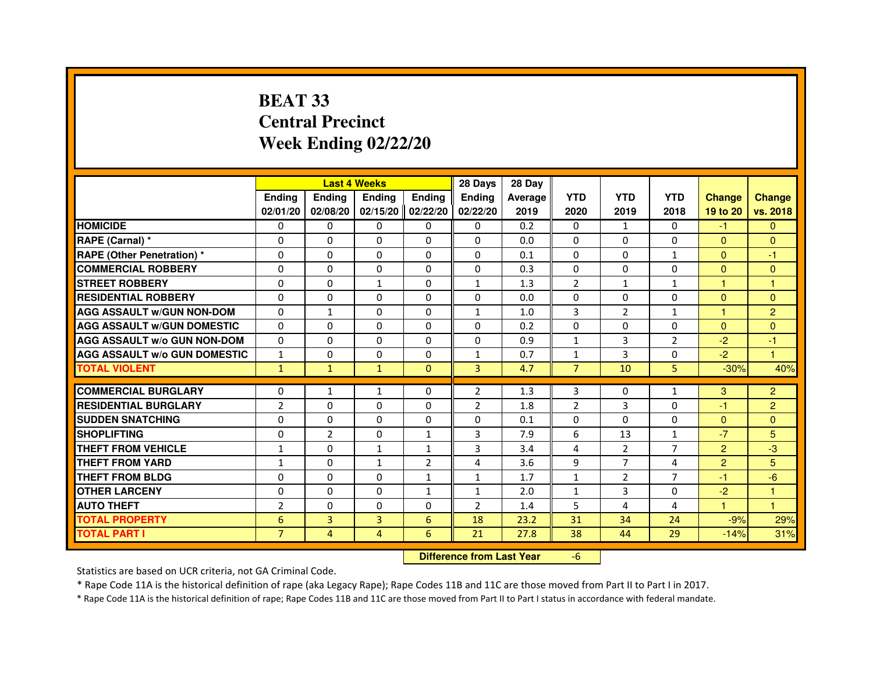# **BEAT 33 Central PrecinctWeek Ending 02/22/20**

|                                     |                | <b>Last 4 Weeks</b> |               |                   | 28 Days        | 28 Day  |                |                |                |                      |                      |
|-------------------------------------|----------------|---------------------|---------------|-------------------|----------------|---------|----------------|----------------|----------------|----------------------|----------------------|
|                                     | <b>Endina</b>  | <b>Ending</b>       | <b>Ending</b> | <b>Endina</b>     | <b>Endina</b>  | Average | <b>YTD</b>     | <b>YTD</b>     | <b>YTD</b>     | <b>Change</b>        | <b>Change</b>        |
|                                     | 02/01/20       | 02/08/20            |               | 02/15/20 02/22/20 | 02/22/20       | 2019    | 2020           | 2019           | 2018           | 19 to 20             | vs. 2018             |
| <b>HOMICIDE</b>                     | 0              | 0                   | 0             | 0                 | 0              | 0.2     | 0              | $\mathbf{1}$   | 0              | $-1$                 | $\mathbf{0}$         |
| RAPE (Carnal) *                     | $\Omega$       | $\Omega$            | $\Omega$      | $\Omega$          | $\Omega$       | 0.0     | $\Omega$       | $\Omega$       | $\Omega$       | $\Omega$             | $\mathbf{0}$         |
| <b>RAPE (Other Penetration) *</b>   | $\Omega$       | $\Omega$            | $\Omega$      | $\Omega$          | $\Omega$       | 0.1     | $\Omega$       | $\Omega$       | $\mathbf{1}$   | $\Omega$             | $-1$                 |
| <b>COMMERCIAL ROBBERY</b>           | 0              | 0                   | 0             | 0                 | $\Omega$       | 0.3     | $\Omega$       | $\Omega$       | $\Omega$       | $\Omega$             | $\Omega$             |
| <b>STREET ROBBERY</b>               | $\Omega$       | 0                   | $\mathbf{1}$  | 0                 | $\mathbf{1}$   | 1.3     | $\overline{2}$ | $\mathbf{1}$   | $\mathbf{1}$   | $\blacktriangleleft$ | $\overline{1}$       |
| <b>RESIDENTIAL ROBBERY</b>          | $\Omega$       | $\Omega$            | $\Omega$      | 0                 | 0              | 0.0     | $\Omega$       | $\Omega$       | $\Omega$       | $\Omega$             | $\Omega$             |
| <b>AGG ASSAULT W/GUN NON-DOM</b>    | $\Omega$       | $\mathbf{1}$        | $\mathbf 0$   | 0                 | $\mathbf{1}$   | 1.0     | $\overline{3}$ | $\overline{2}$ | $\mathbf{1}$   | $\mathbf{1}$         | $\overline{2}$       |
| <b>AGG ASSAULT W/GUN DOMESTIC</b>   | $\Omega$       | $\Omega$            | 0             | 0                 | 0              | 0.2     | $\Omega$       | 0              | $\Omega$       | $\Omega$             | $\Omega$             |
| <b>AGG ASSAULT W/o GUN NON-DOM</b>  | $\Omega$       | $\Omega$            | $\Omega$      | $\Omega$          | $\Omega$       | 0.9     | $\mathbf{1}$   | 3              | $\overline{2}$ | $-2$                 | $-1$                 |
| <b>AGG ASSAULT W/o GUN DOMESTIC</b> | 1              | $\Omega$            | $\Omega$      | 0                 | 1              | 0.7     | 1              | 3              | $\Omega$       | $-2$                 | $\overline{1}$       |
| <b>TOTAL VIOLENT</b>                | $\mathbf{1}$   | $\mathbf{1}$        | $\mathbf{1}$  | $\Omega$          | 3              | 4.7     | $\overline{7}$ | 10             | 5              | $-30%$               | 40%                  |
|                                     |                |                     |               |                   |                |         |                |                |                |                      |                      |
| <b>COMMERCIAL BURGLARY</b>          | 0              | 1                   | $\mathbf{1}$  | $\Omega$          | $\overline{2}$ | 1.3     | 3              | $\Omega$       | $\mathbf{1}$   | 3                    | $\overline{c}$       |
| <b>RESIDENTIAL BURGLARY</b>         | $\overline{2}$ | $\Omega$            | $\Omega$      | 0                 | $\overline{2}$ | 1.8     | $\overline{2}$ | 3              | $\Omega$       | $-1$                 | $\overline{2}$       |
| <b>SUDDEN SNATCHING</b>             | 0              | $\Omega$            | 0             | 0                 | $\Omega$       | 0.1     | $\Omega$       | $\Omega$       | $\Omega$       | $\Omega$             | $\Omega$             |
| <b>SHOPLIFTING</b>                  | 0              | $\overline{2}$      | 0             | $\mathbf{1}$      | 3              | 7.9     | 6              | 13             | $\mathbf{1}$   | $-7$                 | 5                    |
| <b>THEFT FROM VEHICLE</b>           | 1              | $\Omega$            | $\mathbf{1}$  | $\mathbf{1}$      | 3              | 3.4     | $\overline{4}$ | $\overline{2}$ | $\overline{7}$ | $\overline{2}$       | $-3$                 |
| <b>THEFT FROM YARD</b>              | $\mathbf{1}$   | $\Omega$            | $\mathbf{1}$  | $\overline{2}$    | $\overline{a}$ | 3.6     | 9              | $\overline{7}$ | 4              | $\overline{2}$       | 5                    |
| <b>THEFT FROM BLDG</b>              | 0              | 0                   | 0             | 1                 | 1              | 1.7     | $\mathbf{1}$   | 2              | $\overline{7}$ | -1                   | $-6$                 |
| <b>OTHER LARCENY</b>                | 0              | $\Omega$            | $\Omega$      | $\mathbf{1}$      | 1              | 2.0     | $\mathbf{1}$   | 3              | $\Omega$       | $-2$                 | $\blacktriangleleft$ |
| <b>AUTO THEFT</b>                   | $\overline{2}$ | 0                   | 0             | 0                 | $\overline{2}$ | 1.4     | 5              | 4              | 4              | 1                    | $\mathbf{1}$         |
| <b>TOTAL PROPERTY</b>               | 6              | 3                   | 3             | 6                 | 18             | 23.2    | 31             | 34             | 24             | $-9%$                | 29%                  |
| <b>TOTAL PART I</b>                 | $\overline{7}$ | $\overline{4}$      | 4             | 6                 | 21             | 27.8    | 38             | 44             | 29             | $-14%$               | 31%                  |

#### **Difference from Last Year**

-6

Statistics are based on UCR criteria, not GA Criminal Code.

\* Rape Code 11A is the historical definition of rape (aka Legacy Rape); Rape Codes 11B and 11C are those moved from Part II to Part I in 2017.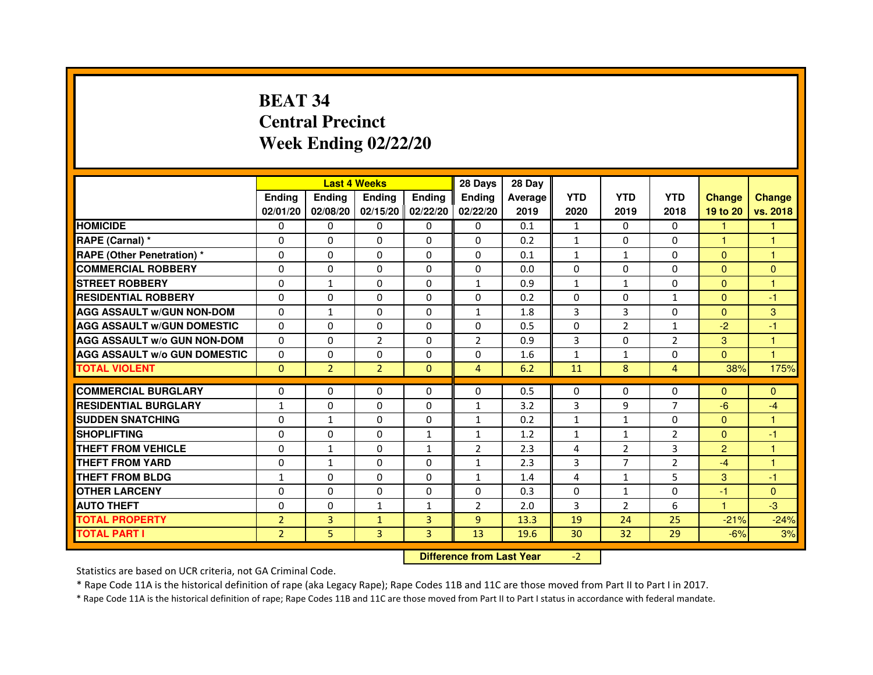# **BEAT 34 Central PrecinctWeek Ending 02/22/20**

|                                     |                |                | <b>Last 4 Weeks</b> |                     | 28 Days        | 28 Day  |                |                |                |                |                      |
|-------------------------------------|----------------|----------------|---------------------|---------------------|----------------|---------|----------------|----------------|----------------|----------------|----------------------|
|                                     | <b>Ending</b>  | <b>Endina</b>  | <b>Endina</b>       | <b>Ending</b>       | <b>Endina</b>  | Average | <b>YTD</b>     | <b>YTD</b>     | <b>YTD</b>     | <b>Change</b>  | <b>Change</b>        |
|                                     | 02/01/20       | 02/08/20       |                     | $02/15/20$ 02/22/20 | 02/22/20       | 2019    | 2020           | 2019           | 2018           | 19 to 20       | vs. 2018             |
| <b>HOMICIDE</b>                     | 0              | 0              | $\mathbf{0}$        | 0                   | 0              | 0.1     | $\mathbf{1}$   | 0              | 0              |                |                      |
| RAPE (Carnal) *                     | $\Omega$       | $\Omega$       | $\Omega$            | $\Omega$            | $\Omega$       | 0.2     | $\mathbf{1}$   | $\Omega$       | $\Omega$       | $\mathbf{1}$   | $\mathbf{1}$         |
| <b>RAPE (Other Penetration) *</b>   | 0              | $\Omega$       | 0                   | $\Omega$            | 0              | 0.1     | $\mathbf{1}$   | $\mathbf{1}$   | $\Omega$       | $\Omega$       | 1                    |
| <b>COMMERCIAL ROBBERY</b>           | 0              | 0              | 0                   | $\Omega$            | 0              | 0.0     | $\Omega$       | $\Omega$       | $\Omega$       | $\overline{0}$ | $\mathbf{0}$         |
| <b>STREET ROBBERY</b>               | 0              | $\mathbf{1}$   | 0                   | 0                   | $\mathbf{1}$   | 0.9     | $\mathbf{1}$   | $\mathbf{1}$   | $\Omega$       | $\Omega$       | $\blacktriangleleft$ |
| <b>RESIDENTIAL ROBBERY</b>          | $\Omega$       | $\Omega$       | 0                   | $\Omega$            | 0              | 0.2     | $\Omega$       | $\Omega$       | $\mathbf{1}$   | $\Omega$       | -1                   |
| <b>AGG ASSAULT W/GUN NON-DOM</b>    | $\Omega$       | $\mathbf{1}$   | $\Omega$            | $\Omega$            | $\mathbf{1}$   | 1.8     | $\overline{3}$ | 3              | $\Omega$       | $\Omega$       | 3                    |
| <b>AGG ASSAULT w/GUN DOMESTIC</b>   | $\Omega$       | $\Omega$       | 0                   | 0                   | $\Omega$       | 0.5     | $\Omega$       | 2              | $\mathbf{1}$   | $-2$           | $-1$                 |
| <b>AGG ASSAULT w/o GUN NON-DOM</b>  | $\Omega$       | 0              | $\mathcal{P}$       | 0                   | 2              | 0.9     | 3              | $\Omega$       | $\overline{2}$ | 3              | 1                    |
| <b>AGG ASSAULT w/o GUN DOMESTIC</b> | $\Omega$       | 0              | 0                   | $\Omega$            | 0              | 1.6     | 1              | $\mathbf{1}$   | $\Omega$       | $\Omega$       | $\blacktriangleleft$ |
| <b>TOTAL VIOLENT</b>                | $\Omega$       | $\overline{2}$ | $\overline{2}$      | $\mathbf{0}$        | 4              | 6.2     | 11             | 8              | $\overline{4}$ | 38%            | 175%                 |
|                                     |                |                |                     |                     |                |         |                |                |                |                |                      |
| <b>COMMERCIAL BURGLARY</b>          | 0              | 0              | 0                   | 0                   | $\Omega$       | 0.5     | $\Omega$       | $\Omega$       | $\Omega$       | $\Omega$       | $\mathbf{0}$         |
| <b>RESIDENTIAL BURGLARY</b>         | $\mathbf{1}$   | $\Omega$       | 0                   | $\Omega$            | $\mathbf{1}$   | 3.2     | 3              | 9              | $\overline{7}$ | $-6$           | $-4$                 |
| <b>SUDDEN SNATCHING</b>             | 0              | $\mathbf{1}$   | 0                   | 0                   | $\mathbf{1}$   | 0.2     | $\mathbf{1}$   | $\mathbf{1}$   | $\Omega$       | $\Omega$       | 1                    |
| <b>SHOPLIFTING</b>                  | $\Omega$       | 0              | $\Omega$            | $\mathbf{1}$        | $\mathbf{1}$   | 1.2     | $\mathbf{1}$   | $\mathbf{1}$   | $\overline{2}$ | $\Omega$       | -1                   |
| <b>THEFT FROM VEHICLE</b>           | 0              | $\mathbf{1}$   | $\Omega$            | $\mathbf{1}$        | $\overline{2}$ | 2.3     | 4              | $\overline{2}$ | 3              | $\overline{2}$ | $\mathbf{1}$         |
| <b>THEFT FROM YARD</b>              | $\Omega$       | $\mathbf{1}$   | $\Omega$            | $\Omega$            | $\mathbf{1}$   | 2.3     | 3              | $\overline{7}$ | $\overline{2}$ | $-4$           | $\mathbf{1}$         |
| <b>THEFT FROM BLDG</b>              | 1              | 0              | 0                   | 0                   | $\mathbf{1}$   | 1.4     | 4              | 1              | 5              | 3              | -1                   |
| <b>OTHER LARCENY</b>                | 0              | 0              | 0                   | 0                   | $\Omega$       | 0.3     | $\Omega$       | $\mathbf{1}$   | $\Omega$       | $-1$           | $\mathbf{0}$         |
| <b>AUTO THEFT</b>                   | 0              | 0              | $\mathbf{1}$        | $\mathbf{1}$        | $\overline{2}$ | 2.0     | $\overline{3}$ | 2              | 6              | 1              | $-3$                 |
| <b>TOTAL PROPERTY</b>               | $\overline{2}$ | 3              | $\mathbf{1}$        | 3                   | 9              | 13.3    | 19             | 24             | 25             | $-21%$         | $-24%$               |
| <b>TOTAL PART I</b>                 | $\overline{2}$ | 5              | 3                   | 3                   | 13             | 19.6    | 30             | 32             | 29             | $-6%$          | 3%                   |

 **Difference from Last Year**

-2

Statistics are based on UCR criteria, not GA Criminal Code.

\* Rape Code 11A is the historical definition of rape (aka Legacy Rape); Rape Codes 11B and 11C are those moved from Part II to Part I in 2017.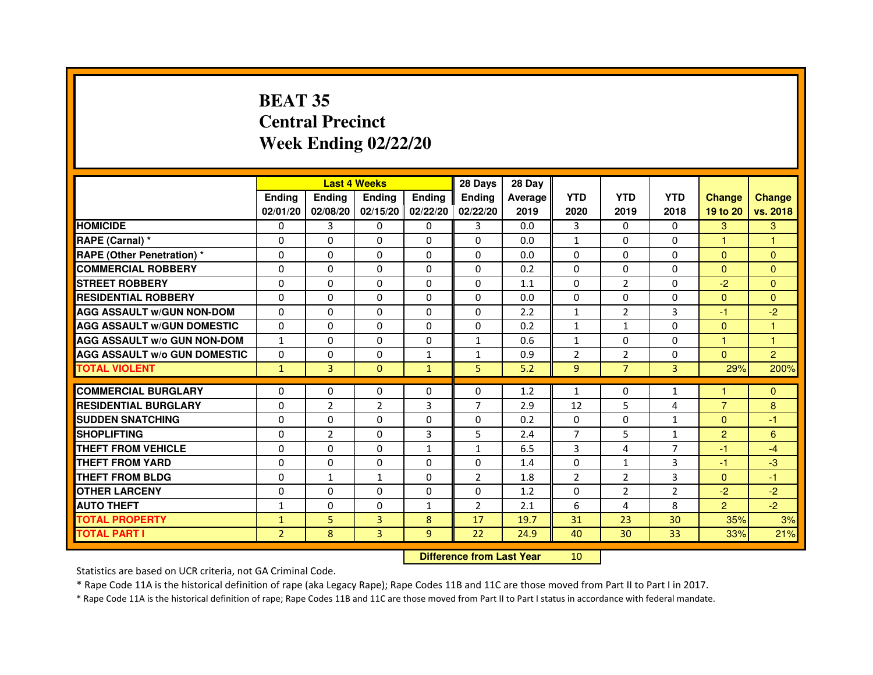# **BEAT 35 Central PrecinctWeek Ending 02/22/20**

|                                     |                | <b>Last 4 Weeks</b> |                |                   | 28 Days                          | 28 Day  |                |                |                |                |                |
|-------------------------------------|----------------|---------------------|----------------|-------------------|----------------------------------|---------|----------------|----------------|----------------|----------------|----------------|
|                                     | <b>Ending</b>  | Ending              | <b>Ending</b>  | <b>Ending</b>     | <b>Ending</b>                    | Average | <b>YTD</b>     | <b>YTD</b>     | <b>YTD</b>     | <b>Change</b>  | <b>Change</b>  |
|                                     | 02/01/20       | 02/08/20            |                | 02/15/20 02/22/20 | 02/22/20                         | 2019    | 2020           | 2019           | 2018           | 19 to 20       | vs. 2018       |
| <b>HOMICIDE</b>                     | 0              | 3                   | 0              | 0                 | 3                                | 0.0     | 3              | $\Omega$       | 0              | 3              | 3              |
| RAPE (Carnal) *                     | 0              | 0                   | 0              | 0                 | $\Omega$                         | 0.0     | 1              | $\Omega$       | $\Omega$       | 1              | 1              |
| <b>RAPE (Other Penetration) *</b>   | 0              | 0                   | 0              | $\mathbf{0}$      | $\Omega$                         | 0.0     | $\Omega$       | $\mathbf{0}$   | $\Omega$       | $\Omega$       | $\Omega$       |
| <b>COMMERCIAL ROBBERY</b>           | $\mathbf 0$    | 0                   | $\Omega$       | $\mathbf{0}$      | $\mathbf{0}$                     | 0.2     | $\mathbf{0}$   | $\Omega$       | $\Omega$       | $\Omega$       | $\mathbf{0}$   |
| <b>STREET ROBBERY</b>               | 0              | $\Omega$            | $\Omega$       | $\Omega$          | $\Omega$                         | 1.1     | $\Omega$       | 2              | $\Omega$       | $-2$           | $\Omega$       |
| <b>RESIDENTIAL ROBBERY</b>          | 0              | 0                   | $\Omega$       | 0                 | $\Omega$                         | 0.0     | $\Omega$       | 0              | $\Omega$       | $\Omega$       | $\Omega$       |
| <b>AGG ASSAULT W/GUN NON-DOM</b>    | $\Omega$       | $\Omega$            | 0              | $\Omega$          | $\Omega$                         | 2.2     | $\mathbf{1}$   | $\overline{2}$ | 3              | $-1$           | $-2$           |
| <b>AGG ASSAULT W/GUN DOMESTIC</b>   | $\Omega$       | $\Omega$            | $\Omega$       | $\Omega$          | $\Omega$                         | 0.2     | $\mathbf{1}$   | $\mathbf{1}$   | $\Omega$       | $\Omega$       | $\mathbf{1}$   |
| <b>AGG ASSAULT W/o GUN NON-DOM</b>  | $\mathbf{1}$   | $\Omega$            | $\Omega$       | $\Omega$          | $\mathbf{1}$                     | 0.6     | $\mathbf{1}$   | $\Omega$       | $\Omega$       | $\mathbf{1}$   | $\mathbf{1}$   |
| <b>AGG ASSAULT W/o GUN DOMESTIC</b> | $\Omega$       | 0                   | 0              | $\mathbf{1}$      | $\mathbf{1}$                     | 0.9     | $\overline{2}$ | $\overline{2}$ | $\Omega$       | $\Omega$       | $\overline{2}$ |
| <b>TOTAL VIOLENT</b>                | $\mathbf{1}$   | 3                   | $\overline{0}$ | $\mathbf{1}$      | 5                                | 5.2     | 9              | $\overline{7}$ | 3              | 29%            | 200%           |
| <b>COMMERCIAL BURGLARY</b>          | 0              | 0                   | 0              | 0                 | 0                                | 1.2     | $\mathbf{1}$   | 0              | 1              | 1              | $\mathbf{0}$   |
| <b>RESIDENTIAL BURGLARY</b>         | 0              | $\overline{2}$      | $\overline{2}$ | 3                 | $\overline{7}$                   | 2.9     | 12             | 5              | 4              | $\overline{7}$ | 8              |
| <b>SUDDEN SNATCHING</b>             | 0              | $\Omega$            | $\Omega$       | $\Omega$          | $\Omega$                         | 0.2     | $\Omega$       | $\Omega$       | $\mathbf{1}$   | $\Omega$       | $-1$           |
| <b>SHOPLIFTING</b>                  | 0              | $\overline{2}$      | 0              | 3                 | 5                                | 2.4     | 7              | 5              | $\mathbf{1}$   | $\overline{2}$ | 6              |
| THEFT FROM VEHICLE                  | 0              | 0                   | 0              | $\mathbf{1}$      | $\mathbf{1}$                     | 6.5     | 3              | 4              | 7              | $-1$           | $-4$           |
| <b>THEFT FROM YARD</b>              | $\Omega$       | 0                   | $\Omega$       | $\Omega$          | $\Omega$                         | 1.4     | $\Omega$       | $\mathbf{1}$   | 3              | $-1$           | $-3$           |
| <b>THEFT FROM BLDG</b>              | 0              | $\mathbf{1}$        | $\mathbf{1}$   | $\Omega$          | $\overline{2}$                   | 1.8     | $\overline{2}$ | $\overline{2}$ | 3              | $\Omega$       | $-1$           |
| <b>OTHER LARCENY</b>                | 0              | $\Omega$            | $\Omega$       | $\Omega$          | $\Omega$                         | 1.2     | $\Omega$       | 2              | $\overline{2}$ | $-2$           | $-2$           |
| <b>AUTO THEFT</b>                   | $\mathbf{1}$   | 0                   | $\Omega$       | $\mathbf{1}$      | $\overline{2}$                   | 2.1     | 6              | 4              | 8              | $\overline{2}$ | $-2$           |
| <b>TOTAL PROPERTY</b>               | $\mathbf{1}$   | 5                   | $\overline{3}$ | 8                 | 17                               | 19.7    | 31             | 23             | 30             | 35%            | 3%             |
| <b>TOTAL PART I</b>                 | $\overline{2}$ | 8                   | 3              | 9                 | 22                               | 24.9    | 40             | 30             | 33             | 33%            | 21%            |
|                                     |                |                     |                |                   | <b>Difference from Last Year</b> |         | 10             |                |                |                |                |

#### **Difference from Last Year**

Statistics are based on UCR criteria, not GA Criminal Code.

\* Rape Code 11A is the historical definition of rape (aka Legacy Rape); Rape Codes 11B and 11C are those moved from Part II to Part I in 2017.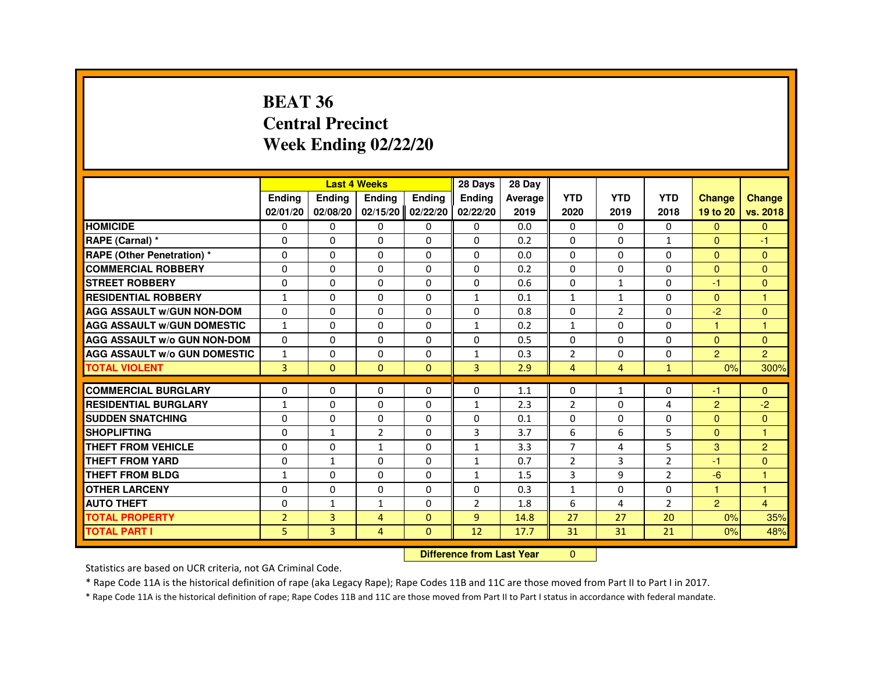#### **BEAT 36 Central PrecinctWeek Ending 02/22/20**

|                                     |                |                | <b>Last 4 Weeks</b> |                   | 28 Days        | 28 Day                           |                |                |                |                |                      |
|-------------------------------------|----------------|----------------|---------------------|-------------------|----------------|----------------------------------|----------------|----------------|----------------|----------------|----------------------|
|                                     | Ending         | Ending         | Ending              | <b>Endina</b>     | Ending         | Average                          | <b>YTD</b>     | <b>YTD</b>     | <b>YTD</b>     | <b>Change</b>  | <b>Change</b>        |
|                                     | 02/01/20       | 02/08/20       |                     | 02/15/20 02/22/20 | 02/22/20       | 2019                             | 2020           | 2019           | 2018           | 19 to 20       | vs. 2018             |
| <b>HOMICIDE</b>                     | 0              | 0              | 0                   | 0                 | 0              | 0.0                              | 0              | 0              | 0              | $\Omega$       | $\mathbf{0}$         |
| RAPE (Carnal) *                     | $\Omega$       | 0              | $\Omega$            | $\Omega$          | $\Omega$       | 0.2                              | $\Omega$       | $\Omega$       | $\mathbf{1}$   | $\Omega$       | -1                   |
| RAPE (Other Penetration) *          | $\mathbf 0$    | 0              | 0                   | $\Omega$          | $\Omega$       | 0.0                              | $\Omega$       | $\Omega$       | $\Omega$       | $\Omega$       | $\Omega$             |
| <b>COMMERCIAL ROBBERY</b>           | $\Omega$       | $\Omega$       | $\Omega$            | $\Omega$          | $\Omega$       | 0.2                              | $\Omega$       | $\Omega$       | $\Omega$       | $\Omega$       | $\Omega$             |
| <b>STREET ROBBERY</b>               | 0              | $\Omega$       | $\Omega$            | 0                 | $\Omega$       | 0.6                              | 0              | $\mathbf{1}$   | $\Omega$       | -1             | $\Omega$             |
| <b>RESIDENTIAL ROBBERY</b>          | $\mathbf{1}$   | 0              | 0                   | 0                 | $\mathbf{1}$   | 0.1                              | $\mathbf{1}$   | $\mathbf{1}$   | $\Omega$       | $\Omega$       | -1                   |
| <b>AGG ASSAULT W/GUN NON-DOM</b>    | $\mathbf 0$    | 0              | 0                   | $\Omega$          | $\Omega$       | 0.8                              | 0              | $\overline{2}$ | $\Omega$       | $-2$           | $\mathbf{0}$         |
| <b>AGG ASSAULT W/GUN DOMESTIC</b>   | $\mathbf{1}$   | 0              | $\Omega$            | $\Omega$          | $\mathbf{1}$   | 0.2                              | $\mathbf{1}$   | $\Omega$       | $\Omega$       | $\overline{1}$ | $\blacktriangleleft$ |
| <b>AGG ASSAULT W/o GUN NON-DOM</b>  | $\Omega$       | 0              | 0                   | 0                 | 0              | 0.5                              | $\Omega$       | 0              | 0              | $\Omega$       | $\Omega$             |
| <b>AGG ASSAULT W/o GUN DOMESTIC</b> | $\mathbf{1}$   | 0              | 0                   | 0                 | $\mathbf{1}$   | 0.3                              | $\overline{2}$ | $\Omega$       | $\Omega$       | $\overline{2}$ | $\overline{2}$       |
| <b>TOTAL VIOLENT</b>                | $\overline{3}$ | $\mathbf{0}$   | $\overline{0}$      | $\mathbf{0}$      | 3              | 2.9                              | $\overline{4}$ | $\overline{4}$ | $\mathbf{1}$   | 0%             | 300%                 |
| <b>COMMERCIAL BURGLARY</b>          | 0              | 0              | 0                   | 0                 | 0              | 1.1                              | 0              | 1              | 0              | -1             | $\Omega$             |
| <b>RESIDENTIAL BURGLARY</b>         | 1              | 0              | 0                   | $\Omega$          | $\mathbf{1}$   | 2.3                              | $\overline{2}$ | $\Omega$       | 4              | 2              | $-2$                 |
| <b>SUDDEN SNATCHING</b>             | $\Omega$       | $\Omega$       | $\Omega$            | $\Omega$          | $\Omega$       | 0.1                              | 0              | 0              | $\Omega$       | $\Omega$       | $\Omega$             |
| <b>SHOPLIFTING</b>                  | 0              | 1              | $\overline{2}$      | 0                 | 3              | 3.7                              | 6              | 6              | 5              | $\Omega$       | -1                   |
| <b>THEFT FROM VEHICLE</b>           | $\Omega$       | $\Omega$       | $\mathbf{1}$        | $\Omega$          | $\mathbf{1}$   | 3.3                              | $\overline{7}$ | 4              | 5              | 3              | $\overline{2}$       |
| <b>THEFT FROM YARD</b>              | $\mathbf 0$    | $\mathbf{1}$   | 0                   | $\Omega$          | 1              | 0.7                              | $\overline{2}$ | 3              | $\overline{2}$ | -1             | $\mathbf{0}$         |
| <b>THEFT FROM BLDG</b>              | $\mathbf{1}$   | $\Omega$       | $\Omega$            | $\Omega$          | $\mathbf{1}$   | 1.5                              | 3              | 9              | $\overline{2}$ | $-6$           | -1                   |
| <b>OTHER LARCENY</b>                | $\Omega$       | $\Omega$       | 0                   | $\Omega$          | $\Omega$       | 0.3                              | $\mathbf{1}$   | $\Omega$       | $\Omega$       | -1             | -1                   |
| <b>AUTO THEFT</b>                   | 0              | $\mathbf{1}$   | $\mathbf{1}$        | 0                 | $\overline{2}$ | 1.8                              | 6              | 4              | $\overline{2}$ | $\overline{2}$ | $\overline{4}$       |
| <b>TOTAL PROPERTY</b>               | $\overline{2}$ | 3              | 4                   | $\mathbf{0}$      | 9              | 14.8                             | 27             | 27             | 20             | 0%             | 35%                  |
| <b>TOTAL PART I</b>                 | 5              | $\overline{3}$ | 4                   | $\mathbf{0}$      | 12             | 17.7                             | 31             | 31             | 21             | 0%             | 48%                  |
|                                     |                |                |                     |                   |                | <b>Difference from Last Year</b> | $\mathbf{0}$   |                |                |                |                      |

 **Difference from Last Year**

Statistics are based on UCR criteria, not GA Criminal Code.

\* Rape Code 11A is the historical definition of rape (aka Legacy Rape); Rape Codes 11B and 11C are those moved from Part II to Part I in 2017.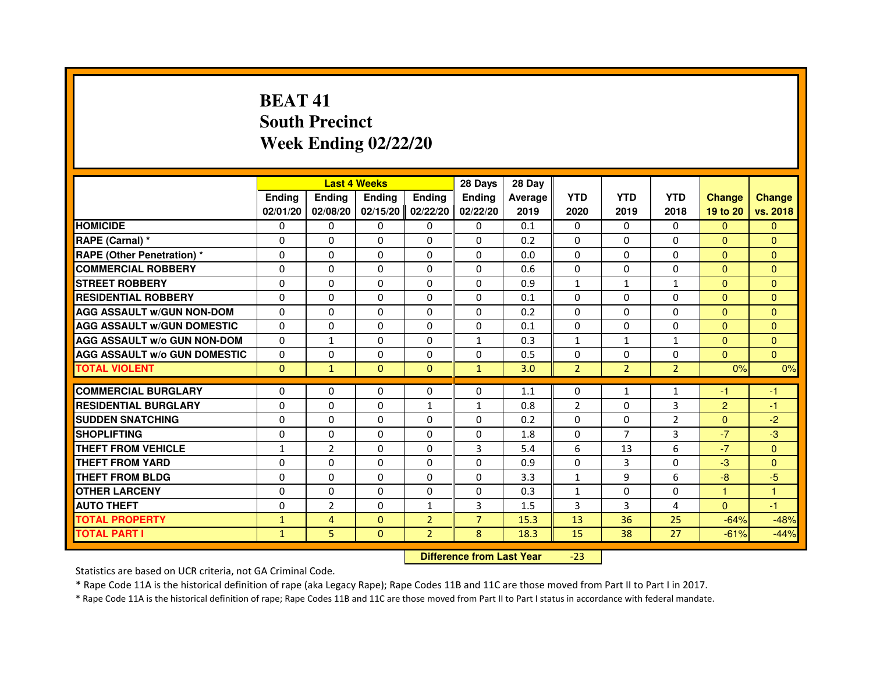# **BEAT 41 South PrecinctWeek Ending 02/22/20**

|                                     |               |                | <b>Last 4 Weeks</b> |                | 28 Days        | 28 Day  |                |                |                |                |               |
|-------------------------------------|---------------|----------------|---------------------|----------------|----------------|---------|----------------|----------------|----------------|----------------|---------------|
|                                     | <b>Ending</b> | Ending         | <b>Ending</b>       | <b>Ending</b>  | <b>Endina</b>  | Average | <b>YTD</b>     | <b>YTD</b>     | <b>YTD</b>     | <b>Change</b>  | <b>Change</b> |
|                                     | 02/01/20      | 02/08/20       | 02/15/20            | 02/22/20       | 02/22/20       | 2019    | 2020           | 2019           | 2018           | 19 to 20       | vs. 2018      |
| <b>HOMICIDE</b>                     | 0             | 0              | 0                   | 0              | 0              | 0.1     | $\mathbf{0}$   | $\mathbf{0}$   | 0              | $\mathbf{0}$   | $\mathbf{0}$  |
| RAPE (Carnal) *                     | $\Omega$      | $\Omega$       | $\Omega$            | $\Omega$       | $\Omega$       | 0.2     | $\Omega$       | $\Omega$       | $\Omega$       | $\Omega$       | $\Omega$      |
| <b>RAPE (Other Penetration) *</b>   | 0             | 0              | 0                   | 0              | 0              | 0.0     | $\Omega$       | $\mathbf{0}$   | 0              | $\Omega$       | $\Omega$      |
| <b>COMMERCIAL ROBBERY</b>           | $\Omega$      | $\Omega$       | $\Omega$            | $\Omega$       | $\Omega$       | 0.6     | $\Omega$       | $\Omega$       | $\Omega$       | $\Omega$       | $\Omega$      |
| <b>STREET ROBBERY</b>               | $\Omega$      | $\Omega$       | $\Omega$            | $\Omega$       | $\Omega$       | 0.9     | $\mathbf{1}$   | 1              | $\mathbf{1}$   | $\Omega$       | $\mathbf{0}$  |
| <b>RESIDENTIAL ROBBERY</b>          | $\Omega$      | $\Omega$       | $\Omega$            | $\Omega$       | $\Omega$       | 0.1     | $\Omega$       | $\Omega$       | $\Omega$       | $\Omega$       | $\Omega$      |
| <b>AGG ASSAULT W/GUN NON-DOM</b>    | $\Omega$      | $\Omega$       | $\Omega$            | $\Omega$       | $\Omega$       | 0.2     | $\Omega$       | $\Omega$       | $\Omega$       | $\Omega$       | $\Omega$      |
| <b>AGG ASSAULT W/GUN DOMESTIC</b>   | $\Omega$      | $\Omega$       | $\Omega$            | $\Omega$       | $\Omega$       | 0.1     | $\Omega$       | $\mathbf{0}$   | $\Omega$       | $\Omega$       | $\Omega$      |
| <b>AGG ASSAULT W/o GUN NON-DOM</b>  | $\Omega$      | $\mathbf{1}$   | $\Omega$            | $\Omega$       | $\mathbf{1}$   | 0.3     | $\mathbf{1}$   | $\mathbf{1}$   | $\mathbf{1}$   | $\Omega$       | $\Omega$      |
| <b>AGG ASSAULT W/o GUN DOMESTIC</b> | $\Omega$      | $\Omega$       | $\Omega$            | $\Omega$       | $\Omega$       | 0.5     | $\Omega$       | $\Omega$       | $\Omega$       | $\Omega$       | $\Omega$      |
| <b>TOTAL VIOLENT</b>                | $\Omega$      | $\mathbf{1}$   | $\mathbf{0}$        | $\mathbf{0}$   | $\mathbf{1}$   | 3.0     | $\overline{2}$ | $\overline{2}$ | $\overline{2}$ | 0%             | 0%            |
|                                     |               |                |                     |                |                |         |                |                |                |                |               |
| <b>COMMERCIAL BURGLARY</b>          | 0             | 0              | 0                   | 0              | 0              | 1.1     | 0              | 1              | 1              | -1             | -1            |
| <b>RESIDENTIAL BURGLARY</b>         | $\Omega$      | $\Omega$       | $\Omega$            | 1              | 1              | 0.8     | $\overline{2}$ | $\Omega$       | 3              | $\overline{2}$ | $-1$          |
| <b>SUDDEN SNATCHING</b>             | 0             | $\Omega$       | 0                   | 0              | 0              | 0.2     | $\Omega$       | $\Omega$       | $\overline{2}$ | $\Omega$       | $-2$          |
| <b>SHOPLIFTING</b>                  | $\Omega$      | $\Omega$       | $\Omega$            | $\Omega$       | $\mathbf 0$    | 1.8     | $\Omega$       | $\overline{7}$ | 3              | $-7$           | -3            |
| THEFT FROM VEHICLE                  | 1             | $\overline{2}$ | $\Omega$            | $\Omega$       | $\overline{3}$ | 5.4     | 6              | 13             | 6              | $-7$           | $\Omega$      |
| THEFT FROM YARD                     | $\Omega$      | $\Omega$       | $\Omega$            | $\Omega$       | $\Omega$       | 0.9     | $\Omega$       | 3              | $\Omega$       | $-3$           | $\Omega$      |
| THEFT FROM BLDG                     | $\Omega$      | $\Omega$       | $\Omega$            | $\Omega$       | $\Omega$       | 3.3     | $\mathbf{1}$   | 9              | 6              | $-8$           | -5            |
| <b>OTHER LARCENY</b>                | $\Omega$      | $\Omega$       | $\Omega$            | $\Omega$       | $\Omega$       | 0.3     | $\mathbf{1}$   | $\Omega$       | $\Omega$       | $\mathbf{1}$   | $\mathbf{1}$  |
| <b>AUTO THEFT</b>                   | $\Omega$      | $\overline{2}$ | $\Omega$            | $\mathbf{1}$   | 3              | 1.5     | 3              | 3              | 4              | $\Omega$       | $-1$          |
| <b>TOTAL PROPERTY</b>               | $\mathbf{1}$  | $\overline{4}$ | $\Omega$            | $\overline{2}$ | $\overline{7}$ | 15.3    | 13             | 36             | 25             | $-64%$         | $-48%$        |
| <b>TOTAL PART I</b>                 | $\mathbf{1}$  | 5              | $\Omega$            | $\overline{2}$ | 8              | 18.3    | 15             | 38             | 27             | $-61%$         | $-44%$        |

 **Difference from Last Year**-23

Statistics are based on UCR criteria, not GA Criminal Code.

\* Rape Code 11A is the historical definition of rape (aka Legacy Rape); Rape Codes 11B and 11C are those moved from Part II to Part I in 2017.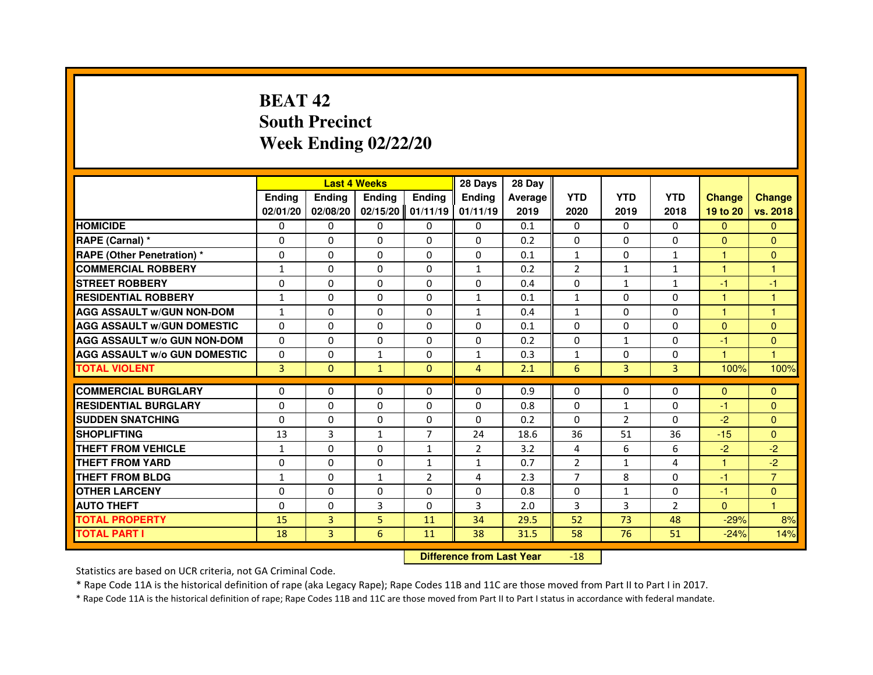# **BEAT 42 South PrecinctWeek Ending 02/22/20**

|                                     |               |              | <b>Last 4 Weeks</b> |                     | 28 Days        | 28 Day  |                |                |                |               |                |
|-------------------------------------|---------------|--------------|---------------------|---------------------|----------------|---------|----------------|----------------|----------------|---------------|----------------|
|                                     | <b>Endina</b> | Ending       | <b>Endina</b>       | <b>Endina</b>       | <b>Endina</b>  | Average | <b>YTD</b>     | <b>YTD</b>     | <b>YTD</b>     | <b>Change</b> | <b>Change</b>  |
|                                     | 02/01/20      | 02/08/20     |                     | $02/15/20$ 01/11/19 | 01/11/19       | 2019    | 2020           | 2019           | 2018           | 19 to 20      | vs. 2018       |
| <b>HOMICIDE</b>                     | $\Omega$      | 0            | 0                   | 0                   | 0              | 0.1     | 0              | $\Omega$       | $\Omega$       | $\Omega$      | $\Omega$       |
| RAPE (Carnal) *                     | $\Omega$      | $\Omega$     | $\Omega$            | $\Omega$            | $\Omega$       | 0.2     | $\Omega$       | $\Omega$       | $\Omega$       | $\Omega$      | $\Omega$       |
| <b>RAPE (Other Penetration)*</b>    | $\Omega$      | $\Omega$     | $\Omega$            | 0                   | $\Omega$       | 0.1     | $\mathbf{1}$   | 0              | $\mathbf{1}$   | 1             | $\Omega$       |
| <b>COMMERCIAL ROBBERY</b>           | 1             | $\Omega$     | 0                   | $\Omega$            | $\mathbf{1}$   | 0.2     | $\overline{2}$ | $\mathbf{1}$   | $\mathbf{1}$   | 1             | 1              |
| <b>STREET ROBBERY</b>               | $\Omega$      | $\Omega$     | $\Omega$            | $\Omega$            | $\Omega$       | 0.4     | $\Omega$       | $\mathbf{1}$   | 1              | $-1$          | $-1$           |
| <b>RESIDENTIAL ROBBERY</b>          | $\mathbf{1}$  | 0            | 0                   | 0                   | $\mathbf{1}$   | 0.1     | $\mathbf{1}$   | 0              | 0              | 1             | 1              |
| <b>AGG ASSAULT W/GUN NON-DOM</b>    | $\mathbf{1}$  | $\Omega$     | $\Omega$            | $\Omega$            | $\mathbf{1}$   | 0.4     | $\mathbf{1}$   | $\Omega$       | $\Omega$       | $\mathbf{1}$  | $\mathbf{1}$   |
| <b>AGG ASSAULT W/GUN DOMESTIC</b>   | $\Omega$      | $\Omega$     | $\Omega$            | $\Omega$            | $\Omega$       | 0.1     | $\Omega$       | $\Omega$       | $\Omega$       | $\Omega$      | $\Omega$       |
| AGG ASSAULT w/o GUN NON-DOM         | $\Omega$      | $\Omega$     | 0                   | $\Omega$            | $\Omega$       | 0.2     | $\Omega$       | $\mathbf{1}$   | 0              | $-1$          | $\Omega$       |
| <b>AGG ASSAULT W/o GUN DOMESTIC</b> | $\Omega$      | $\Omega$     | $\mathbf{1}$        | $\Omega$            | $\mathbf{1}$   | 0.3     | $\mathbf{1}$   | $\Omega$       | $\Omega$       | 1             | 1              |
| <b>TOTAL VIOLENT</b>                | 3             | $\mathbf{0}$ | $\mathbf{1}$        | $\Omega$            | $\overline{4}$ | 2.1     | 6              | 3              | 3              | 100%          | 100%           |
|                                     |               |              |                     |                     |                |         |                |                |                |               |                |
| <b>COMMERCIAL BURGLARY</b>          | 0             | 0            | 0                   | 0                   | 0              | 0.9     | 0              | 0              | 0              | $\Omega$      | $\mathbf{0}$   |
| <b>RESIDENTIAL BURGLARY</b>         | $\Omega$      | 0            | $\Omega$            | 0                   | $\Omega$       | 0.8     | $\Omega$       | $\mathbf{1}$   | 0              | $-1$          | $\Omega$       |
| <b>SUDDEN SNATCHING</b>             | $\Omega$      | $\Omega$     | $\Omega$            | $\Omega$            | $\Omega$       | 0.2     | $\Omega$       | $\overline{2}$ | 0              | $-2$          | $\Omega$       |
| <b>SHOPLIFTING</b>                  | 13            | 3            | $\mathbf{1}$        | $\overline{7}$      | 24             | 18.6    | 36             | 51             | 36             | $-15$         | $\Omega$       |
| THEFT FROM VEHICLE                  | $\mathbf{1}$  | $\Omega$     | $\Omega$            | $\mathbf{1}$        | 2              | 3.2     | 4              | 6              | 6              | $-2$          | $-2$           |
| <b>THEFT FROM YARD</b>              | $\Omega$      | $\Omega$     | 0                   | $\mathbf{1}$        | $\mathbf{1}$   | 0.7     | $\overline{2}$ | 1              | 4              | 1             | $-2$           |
| <b>THEFT FROM BLDG</b>              | $\mathbf{1}$  | 0            | $\mathbf{1}$        | $\overline{2}$      | 4              | 2.3     | $\overline{7}$ | 8              | $\Omega$       | $-1$          | $\overline{7}$ |
| <b>OTHER LARCENY</b>                | $\Omega$      | $\Omega$     | $\Omega$            | $\Omega$            | $\Omega$       | 0.8     | $\Omega$       | $\mathbf{1}$   | $\Omega$       | $-1$          | $\Omega$       |
| <b>AUTO THEFT</b>                   | $\Omega$      | $\Omega$     | 3                   | $\Omega$            | 3              | 2.0     | 3              | 3              | $\overline{2}$ | $\Omega$      | $\mathbf{1}$   |
| <b>TOTAL PROPERTY</b>               | 15            | 3            | 5                   | 11                  | 34             | 29.5    | 52             | 73             | 48             | $-29%$        | 8%             |
| <b>TOTAL PART I</b>                 | 18            | 3            | 6                   | 11                  | 38             | 31.5    | 58             | 76             | 51             | $-24%$        | 14%            |

 **Difference from Last Year**-18

Statistics are based on UCR criteria, not GA Criminal Code.

\* Rape Code 11A is the historical definition of rape (aka Legacy Rape); Rape Codes 11B and 11C are those moved from Part II to Part I in 2017.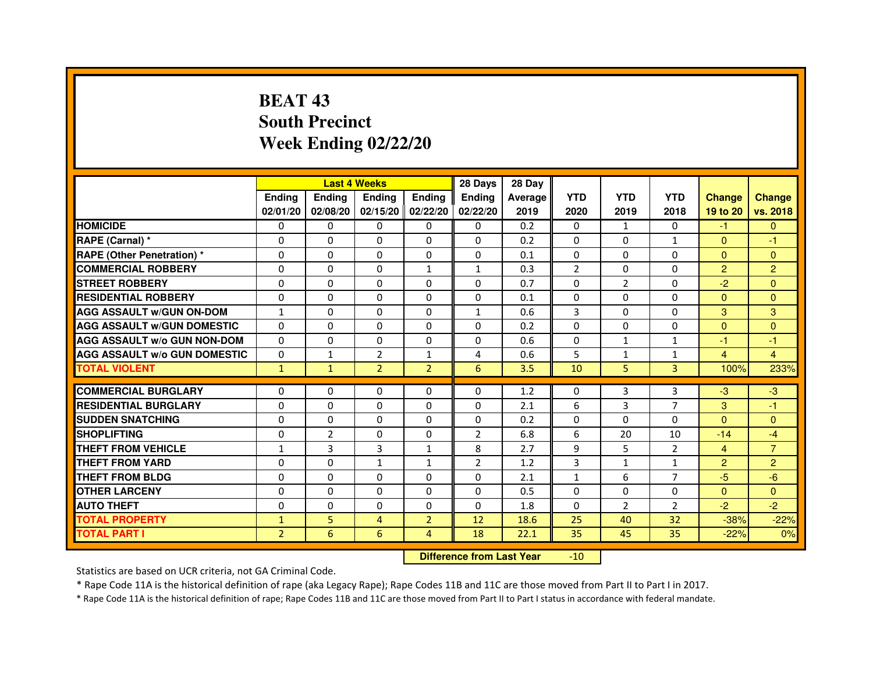# **BEAT 43 South PrecinctWeek Ending 02/22/20**

|                                     |                |                | <b>Last 4 Weeks</b> |                | 28 Days        | 28 Day  |                |                |                |                |                |
|-------------------------------------|----------------|----------------|---------------------|----------------|----------------|---------|----------------|----------------|----------------|----------------|----------------|
|                                     | <b>Endina</b>  | Ending         | <b>Endina</b>       | <b>Ending</b>  | <b>Endina</b>  | Average | <b>YTD</b>     | <b>YTD</b>     | <b>YTD</b>     | <b>Change</b>  | <b>Change</b>  |
|                                     | 02/01/20       | 02/08/20       | 02/15/20   02/22/20 |                | 02/22/20       | 2019    | 2020           | 2019           | 2018           | 19 to 20       | vs. 2018       |
| <b>HOMICIDE</b>                     | 0              | 0              | $\mathbf{0}$        | 0              | 0              | 0.2     | $\mathbf{0}$   | $\mathbf{1}$   | $\mathbf{0}$   | $-1$           | $\mathbf{0}$   |
| RAPE (Carnal) *                     | $\Omega$       | $\Omega$       | $\Omega$            | $\Omega$       | $\Omega$       | 0.2     | $\Omega$       | $\Omega$       | $\mathbf{1}$   | $\Omega$       | $-1$           |
| <b>RAPE (Other Penetration) *</b>   | $\Omega$       | $\Omega$       | $\Omega$            | $\Omega$       | 0              | 0.1     | $\Omega$       | $\Omega$       | $\Omega$       | $\Omega$       | $\Omega$       |
| <b>COMMERCIAL ROBBERY</b>           | 0              | 0              | 0                   | $\mathbf{1}$   | 1              | 0.3     | $\overline{2}$ | 0              | $\Omega$       | $\overline{2}$ | $\overline{2}$ |
| <b>STREET ROBBERY</b>               | 0              | 0              | $\Omega$            | 0              | 0              | 0.7     | 0              | $\overline{2}$ | $\Omega$       | $-2$           | $\Omega$       |
| <b>RESIDENTIAL ROBBERY</b>          | 0              | 0              | 0                   | 0              | 0              | 0.1     | $\Omega$       | $\Omega$       | $\Omega$       | $\Omega$       | $\Omega$       |
| <b>AGG ASSAULT w/GUN ON-DOM</b>     | $\mathbf{1}$   | $\Omega$       | $\mathbf 0$         | 0              | $\mathbf{1}$   | 0.6     | 3              | $\Omega$       | $\Omega$       | 3              | 3              |
| <b>AGG ASSAULT W/GUN DOMESTIC</b>   | $\Omega$       | 0              | 0                   | 0              | 0              | 0.2     | $\Omega$       | $\mathbf{0}$   | $\Omega$       | $\Omega$       | $\Omega$       |
| <b>AGG ASSAULT W/o GUN NON-DOM</b>  | $\Omega$       | $\Omega$       | 0                   | $\Omega$       | $\Omega$       | 0.6     | $\Omega$       | $\mathbf{1}$   | 1              | $-1$           | $-1$           |
| <b>AGG ASSAULT W/o GUN DOMESTIC</b> | $\Omega$       | $\mathbf{1}$   | $\overline{2}$      | $\mathbf{1}$   | 4              | 0.6     | 5              | $\mathbf{1}$   | $\mathbf{1}$   | $\overline{4}$ | $\overline{4}$ |
| <b>TOTAL VIOLENT</b>                | $\mathbf{1}$   | $\mathbf{1}$   | $\overline{2}$      | $\overline{2}$ | 6              | 3.5     | 10             | 5              | 3              | 100%           | 233%           |
|                                     |                |                |                     |                |                |         |                |                |                |                |                |
| <b>COMMERCIAL BURGLARY</b>          | 0              | 0              | 0                   | 0              | 0              | 1.2     | 0              | 3              | 3              | $-3$           | $-3$           |
| <b>RESIDENTIAL BURGLARY</b>         | 0              | 0              | 0                   | 0              | 0              | 2.1     | 6              | 3              | 7              | 3              | $-1$           |
| <b>SUDDEN SNATCHING</b>             | 0              | $\Omega$       | 0                   | 0              | 0              | 0.2     | $\Omega$       | $\Omega$       | $\Omega$       | $\Omega$       | $\Omega$       |
| <b>SHOPLIFTING</b>                  | $\Omega$       | $\overline{2}$ | $\Omega$            | 0              | $\overline{2}$ | 6.8     | 6              | 20             | 10             | $-14$          | $-4$           |
| <b>THEFT FROM VEHICLE</b>           | $\mathbf{1}$   | 3              | 3                   | $\mathbf{1}$   | 8              | 2.7     | 9              | 5              | $\overline{2}$ | $\overline{4}$ | $\overline{7}$ |
| <b>THEFT FROM YARD</b>              | 0              | 0              | 1                   | $\mathbf{1}$   | $\overline{2}$ | 1.2     | 3              | $\mathbf{1}$   | $\mathbf{1}$   | $\overline{2}$ | $\overline{2}$ |
| <b>THEFT FROM BLDG</b>              | $\Omega$       | 0              | 0                   | 0              | 0              | 2.1     | $\mathbf{1}$   | 6              | $\overline{7}$ | $-5$           | $-6$           |
| <b>OTHER LARCENY</b>                | 0              | $\Omega$       | $\Omega$            | 0              | 0              | 0.5     | $\Omega$       | $\Omega$       | $\Omega$       | $\Omega$       | $\Omega$       |
| <b>AUTO THEFT</b>                   | $\mathbf 0$    | $\mathbf 0$    | $\Omega$            | 0              | $\Omega$       | 1.8     | $\Omega$       | $\overline{2}$ | $\overline{2}$ | $-2$           | $-2$           |
| <b>TOTAL PROPERTY</b>               | $\mathbf{1}$   | 5              | 4                   | $\overline{2}$ | 12             | 18.6    | 25             | 40             | 32             | $-38%$         | $-22%$         |
| <b>TOTAL PART I</b>                 | $\overline{2}$ | 6              | 6                   | $\overline{4}$ | 18             | 22.1    | 35             | 45             | 35             | $-22%$         | 0%             |

 **Difference from Last Year**-10

Statistics are based on UCR criteria, not GA Criminal Code.

\* Rape Code 11A is the historical definition of rape (aka Legacy Rape); Rape Codes 11B and 11C are those moved from Part II to Part I in 2017.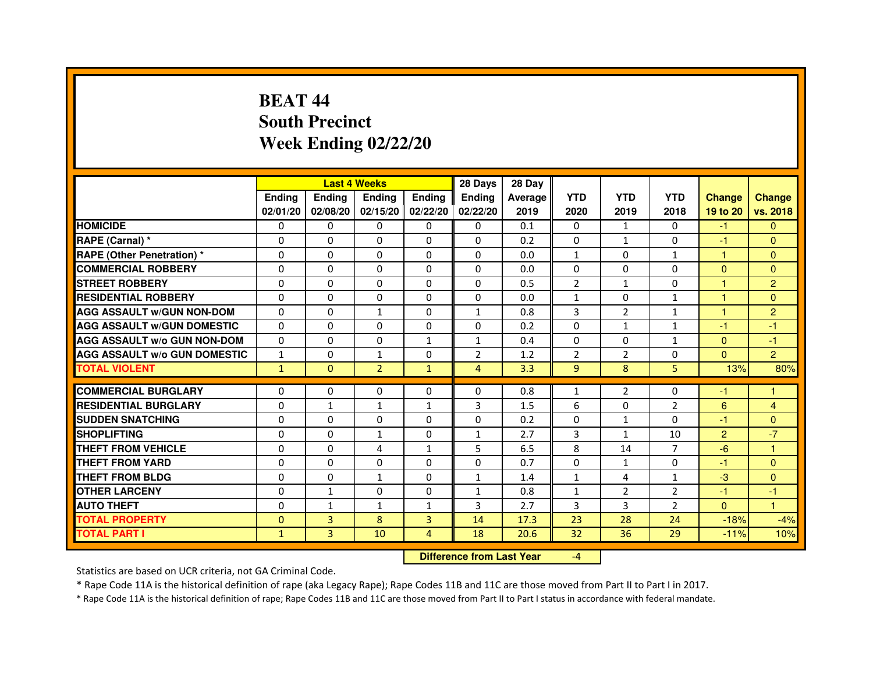# **BEAT 44 South PrecinctWeek Ending 02/22/20**

|                                     |               |               | <b>Last 4 Weeks</b> |                   | 28 Days        | 28 Day  |                |                |                |                |                |
|-------------------------------------|---------------|---------------|---------------------|-------------------|----------------|---------|----------------|----------------|----------------|----------------|----------------|
|                                     | <b>Ending</b> | <b>Endina</b> | <b>Ending</b>       | <b>Ending</b>     | <b>Ending</b>  | Average | <b>YTD</b>     | <b>YTD</b>     | <b>YTD</b>     | <b>Change</b>  | <b>Change</b>  |
|                                     | 02/01/20      | 02/08/20      |                     | 02/15/20 02/22/20 | 02/22/20       | 2019    | 2020           | 2019           | 2018           | 19 to 20       | vs. 2018       |
| <b>HOMICIDE</b>                     | $\Omega$      | $\mathbf{0}$  | $\mathbf{0}$        | $\Omega$          | $\mathbf{0}$   | 0.1     | $\mathbf{0}$   | $\mathbf{1}$   | $\Omega$       | $-1$           | $\mathbf{0}$   |
| RAPE (Carnal) *                     | 0             | $\Omega$      | $\Omega$            | $\Omega$          | $\Omega$       | 0.2     | $\Omega$       | $\mathbf{1}$   | $\Omega$       | $-1$           | $\Omega$       |
| <b>RAPE (Other Penetration)*</b>    | 0             | $\mathbf{0}$  | $\Omega$            | $\mathbf{0}$      | $\mathbf{0}$   | 0.0     | $\mathbf{1}$   | 0              | $\mathbf{1}$   | $\mathbf{1}$   | $\Omega$       |
| <b>COMMERCIAL ROBBERY</b>           | 0             | 0             | 0                   | $\Omega$          | $\Omega$       | 0.0     | $\Omega$       | $\Omega$       | $\Omega$       | $\Omega$       | $\Omega$       |
| <b>STREET ROBBERY</b>               | 0             | 0             | 0                   | 0                 | 0              | 0.5     | $\overline{2}$ | $\mathbf{1}$   | $\Omega$       | 1              | $\overline{2}$ |
| <b>RESIDENTIAL ROBBERY</b>          | 0             | $\Omega$      | $\Omega$            | $\Omega$          | $\Omega$       | 0.0     | $\mathbf{1}$   | $\Omega$       | $\mathbf{1}$   | $\mathbf{1}$   | $\Omega$       |
| <b>AGG ASSAULT W/GUN NON-DOM</b>    | $\Omega$      | $\Omega$      | $\mathbf{1}$        | $\Omega$          | $\mathbf{1}$   | 0.8     | 3              | $\overline{2}$ | $\mathbf{1}$   | $\mathbf{1}$   | $\overline{2}$ |
| <b>AGG ASSAULT W/GUN DOMESTIC</b>   | $\Omega$      | 0             | 0                   | 0                 | 0              | 0.2     | $\Omega$       | $\mathbf{1}$   | $\mathbf{1}$   | $-1$           | $-1$           |
| <b>AGG ASSAULT W/o GUN NON-DOM</b>  | 0             | 0             | 0                   | $\mathbf{1}$      | $\mathbf{1}$   | 0.4     | $\Omega$       | $\Omega$       | $\mathbf{1}$   | $\Omega$       | $-1$           |
| <b>AGG ASSAULT W/o GUN DOMESTIC</b> | $\mathbf{1}$  | 0             | $\mathbf{1}$        | 0                 | $\overline{2}$ | 1.2     | $\overline{2}$ | $\overline{2}$ | $\Omega$       | $\Omega$       | $\overline{2}$ |
| <b>TOTAL VIOLENT</b>                | $\mathbf{1}$  | $\mathbf{0}$  | $\overline{2}$      | $\mathbf{1}$      | 4              | 3.3     | 9              | 8              | 5              | 13%            | 80%            |
|                                     |               |               |                     |                   |                |         |                |                |                |                |                |
| <b>COMMERCIAL BURGLARY</b>          | 0             | 0             | 0                   | 0                 | 0              | 0.8     | $\mathbf{1}$   | 2              | $\Omega$       | $-1$           |                |
| <b>RESIDENTIAL BURGLARY</b>         | 0             | $\mathbf{1}$  | 1                   | 1                 | 3              | 1.5     | 6              | 0              | 2              | 6              | $\overline{4}$ |
| <b>SUDDEN SNATCHING</b>             | 0             | $\Omega$      | 0                   | 0                 | 0              | 0.2     | 0              | $\mathbf{1}$   | $\Omega$       | $-1$           | $\Omega$       |
| <b>SHOPLIFTING</b>                  | $\Omega$      | $\Omega$      | $\mathbf{1}$        | $\Omega$          | $\mathbf{1}$   | 2.7     | 3              | $\mathbf{1}$   | 10             | $\overline{2}$ | $-7$           |
| THEFT FROM VEHICLE                  | 0             | 0             | 4                   | $\mathbf{1}$      | 5              | 6.5     | 8              | 14             | $\overline{7}$ | $-6$           | 1              |
| THEFT FROM YARD                     | 0             | 0             | $\Omega$            | $\Omega$          | $\Omega$       | 0.7     | $\Omega$       | $\mathbf{1}$   | $\Omega$       | $-1$           | $\Omega$       |
| <b>THEFT FROM BLDG</b>              | 0             | $\Omega$      | $\mathbf{1}$        | 0                 | $\mathbf{1}$   | 1.4     | $\mathbf{1}$   | 4              | $\mathbf{1}$   | $-3$           | $\Omega$       |
| <b>OTHER LARCENY</b>                | 0             | $\mathbf{1}$  | 0                   | $\Omega$          | $\mathbf{1}$   | 0.8     | $\mathbf{1}$   | 2              | $\overline{2}$ | $-1$           | $-1$           |
| <b>AUTO THEFT</b>                   | $\Omega$      | 1             | $\mathbf{1}$        | 1                 | 3              | 2.7     | 3              | 3              | $\overline{2}$ | $\Omega$       | $\mathbf{1}$   |
| <b>TOTAL PROPERTY</b>               | $\Omega$      | 3             | 8                   | 3                 | 14             | 17.3    | 23             | 28             | 24             | $-18%$         | $-4%$          |
| <b>TOTAL PART I</b>                 | $\mathbf{1}$  | 3             | 10                  | 4                 | 18             | 20.6    | 32             | 36             | 29             | $-11%$         | 10%            |

 **Difference from Last Year**

-4

Statistics are based on UCR criteria, not GA Criminal Code.

\* Rape Code 11A is the historical definition of rape (aka Legacy Rape); Rape Codes 11B and 11C are those moved from Part II to Part I in 2017.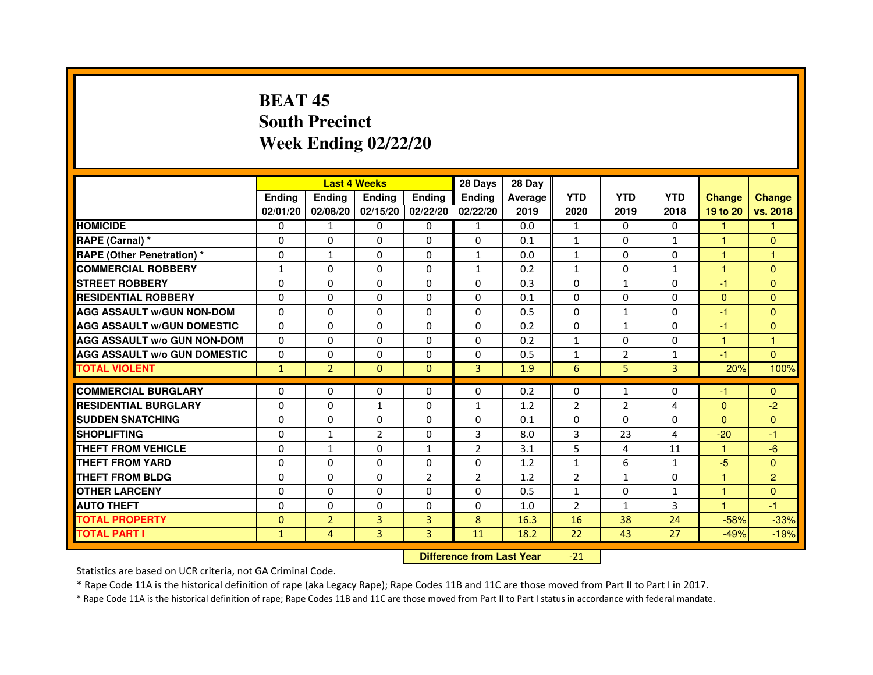# **BEAT 45 South PrecinctWeek Ending 02/22/20**

|                                     |                | <b>Last 4 Weeks</b> |                |                   | 28 Days        | 28 Day  |                |                |                |               |                |
|-------------------------------------|----------------|---------------------|----------------|-------------------|----------------|---------|----------------|----------------|----------------|---------------|----------------|
|                                     | <b>Endina</b>  | <b>Endina</b>       | <b>Endina</b>  | <b>Ending</b>     | <b>Endina</b>  | Average | <b>YTD</b>     | <b>YTD</b>     | <b>YTD</b>     | <b>Change</b> | <b>Change</b>  |
|                                     | 02/01/20       | 02/08/20            |                | 02/15/20 02/22/20 | 02/22/20       | 2019    | 2020           | 2019           | 2018           | 19 to 20      | vs. 2018       |
| <b>HOMICIDE</b>                     | 0              | 1                   | 0              | 0                 | $\mathbf{1}$   | 0.0     | $\mathbf{1}$   | 0              | $\mathbf{0}$   | 1             | 1              |
| RAPE (Carnal) *                     | $\Omega$       | $\Omega$            | $\Omega$       | $\Omega$          | $\Omega$       | 0.1     | $\mathbf{1}$   | $\Omega$       | $\mathbf{1}$   | $\mathbf{1}$  | $\Omega$       |
| RAPE (Other Penetration) *          | 0              | $\mathbf{1}$        | 0              | $\Omega$          | $\mathbf{1}$   | 0.0     | $\mathbf{1}$   | 0              | $\Omega$       | $\mathbf{1}$  | 1              |
| <b>COMMERCIAL ROBBERY</b>           | 1              | 0                   | 0              | 0                 | $\mathbf{1}$   | 0.2     | $\mathbf{1}$   | 0              | $\mathbf{1}$   | 1             | $\Omega$       |
| <b>STREET ROBBERY</b>               | 0              | 0                   | 0              | 0                 | 0              | 0.3     | 0              | $\mathbf{1}$   | 0              | -1            | $\Omega$       |
| <b>RESIDENTIAL ROBBERY</b>          | 0              | $\Omega$            | 0              | $\Omega$          | $\Omega$       | 0.1     | $\Omega$       | $\Omega$       | $\Omega$       | $\Omega$      | $\Omega$       |
| <b>AGG ASSAULT w/GUN NON-DOM</b>    | $\Omega$       | $\Omega$            | $\Omega$       | $\Omega$          | $\Omega$       | 0.5     | $\Omega$       | $\mathbf{1}$   | $\Omega$       | $-1$          | $\Omega$       |
| <b>AGG ASSAULT w/GUN DOMESTIC</b>   | $\Omega$       | 0                   | $\Omega$       | 0                 | $\Omega$       | 0.2     | $\Omega$       | $\mathbf{1}$   | $\Omega$       | $-1$          | $\Omega$       |
| <b>AGG ASSAULT W/o GUN NON-DOM</b>  | 0              | 0                   | 0              | 0                 | $\Omega$       | 0.2     | $\mathbf{1}$   | $\Omega$       | $\Omega$       | 1             | 1              |
| <b>AGG ASSAULT W/o GUN DOMESTIC</b> | $\Omega$       | $\Omega$            | 0              | $\Omega$          | $\Omega$       | 0.5     | $\mathbf{1}$   | $\overline{2}$ | 1              | $-1$          | $\Omega$       |
| <b>TOTAL VIOLENT</b>                | $\mathbf{1}$   | $\overline{2}$      | $\Omega$       | $\mathbf{0}$      | 3              | 1.9     | 6              | 5              | $\overline{3}$ | 20%           | 100%           |
|                                     |                |                     |                |                   |                |         |                |                |                |               |                |
| <b>COMMERCIAL BURGLARY</b>          | 0              | 0                   | $\Omega$       | 0                 | $\Omega$       | 0.2     | $\Omega$       | $\mathbf{1}$   | $\Omega$       | $-1$          | $\Omega$       |
| <b>RESIDENTIAL BURGLARY</b>         | 0              | $\Omega$            | $\mathbf{1}$   | $\Omega$          | 1              | 1.2     | $\overline{2}$ | $\overline{2}$ | $\overline{4}$ | $\Omega$      | $-2$           |
| <b>SUDDEN SNATCHING</b>             | 0              | 0                   | 0              | 0                 | 0              | 0.1     | 0              | $\Omega$       | $\Omega$       | $\Omega$      | $\Omega$       |
| <b>SHOPLIFTING</b>                  | $\Omega$       | $\mathbf{1}$        | $\overline{2}$ | 0                 | 3              | 8.0     | 3              | 23             | 4              | $-20$         | $-1$           |
| <b>THEFT FROM VEHICLE</b>           | 0              | $\mathbf{1}$        | $\Omega$       | $\mathbf{1}$      | $\overline{2}$ | 3.1     | 5              | 4              | 11             | $\mathbf{1}$  | $-6$           |
| <b>THEFT FROM YARD</b>              | $\Omega$       | 0                   | $\Omega$       | $\Omega$          | $\Omega$       | 1.2     | $\mathbf{1}$   | 6              | $\mathbf{1}$   | $-5$          | $\Omega$       |
| <b>THEFT FROM BLDG</b>              | 0              | 0                   | 0              | $\overline{2}$    | $\overline{2}$ | 1.2     | $\overline{2}$ | $\mathbf{1}$   | $\Omega$       | 1             | $\overline{2}$ |
| <b>OTHER LARCENY</b>                | 0              | 0                   | 0              | $\Omega$          | $\Omega$       | 0.5     | $\mathbf{1}$   | 0              | 1              | 1             | $\Omega$       |
| <b>AUTO THEFT</b>                   | 0              | 0                   | 0              | $\Omega$          | 0              | 1.0     | $\overline{2}$ | $\mathbf{1}$   | 3              | 1             | $-1$           |
| <b>TOTAL PROPERTY</b>               | $\overline{0}$ | $\overline{2}$      | 3              | 3                 | 8              | 16.3    | 16             | 38             | 24             | $-58%$        | $-33%$         |
| <b>TOTAL PART I</b>                 | $\mathbf{1}$   | 4                   | $\overline{3}$ | 3                 | 11             | 18.2    | 22             | 43             | 27             | $-49%$        | $-19%$         |

 **Difference from Last Year**-21

Statistics are based on UCR criteria, not GA Criminal Code.

\* Rape Code 11A is the historical definition of rape (aka Legacy Rape); Rape Codes 11B and 11C are those moved from Part II to Part I in 2017.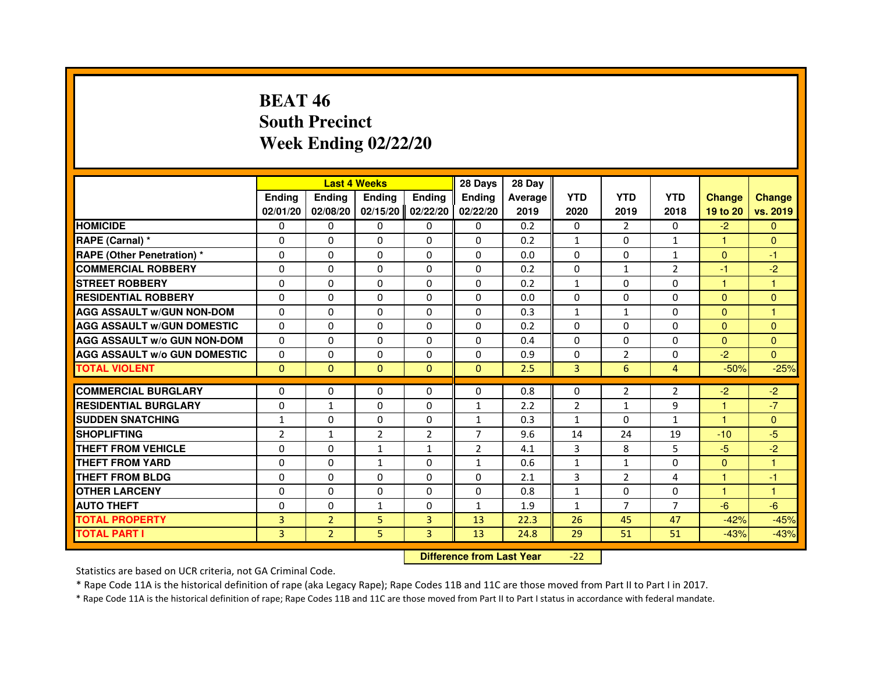# **BEAT 46 South PrecinctWeek Ending 02/22/20**

|                                     |                | <b>Last 4 Weeks</b> |                |                | 28 Days        | 28 Day  |                |                |                |                      |                      |
|-------------------------------------|----------------|---------------------|----------------|----------------|----------------|---------|----------------|----------------|----------------|----------------------|----------------------|
|                                     | <b>Endina</b>  | Ending              | <b>Endina</b>  | <b>Ending</b>  | <b>Endina</b>  | Average | <b>YTD</b>     | <b>YTD</b>     | <b>YTD</b>     | <b>Change</b>        | <b>Change</b>        |
|                                     | 02/01/20       | 02/08/20            | 02/15/20       | 02/22/20       | 02/22/20       | 2019    | 2020           | 2019           | 2018           | 19 to 20             | vs. 2019             |
| <b>HOMICIDE</b>                     | $\mathbf{0}$   | 0                   | 0              | 0              | 0              | 0.2     | 0              | $\overline{2}$ | 0              | $-2$                 | $\mathbf{0}$         |
| RAPE (Carnal) *                     | $\Omega$       | $\Omega$            | $\Omega$       | $\Omega$       | $\Omega$       | 0.2     | $\mathbf{1}$   | $\mathbf{0}$   | $\mathbf{1}$   | $\mathbf{1}$         | $\mathbf{0}$         |
| RAPE (Other Penetration) *          | $\Omega$       | $\Omega$            | $\Omega$       | $\Omega$       | $\mathbf{0}$   | 0.0     | $\Omega$       | $\mathbf{0}$   | $\mathbf{1}$   | $\Omega$             | $-1$                 |
| <b>COMMERCIAL ROBBERY</b>           | 0              | $\mathbf{0}$        | 0              | 0              | 0              | 0.2     | 0              | $\mathbf{1}$   | 2              | -1                   | $-2$                 |
| <b>STREET ROBBERY</b>               | $\Omega$       | $\Omega$            | 0              | $\Omega$       | $\Omega$       | 0.2     | $\mathbf{1}$   | $\Omega$       | 0              | 1                    | 1                    |
| <b>RESIDENTIAL ROBBERY</b>          | 0              | $\Omega$            | 0              | $\Omega$       | $\Omega$       | 0.0     | $\Omega$       | $\Omega$       | $\Omega$       | $\Omega$             | $\mathbf{0}$         |
| <b>AGG ASSAULT W/GUN NON-DOM</b>    | $\Omega$       | $\Omega$            | $\Omega$       | $\Omega$       | $\Omega$       | 0.3     | $\mathbf{1}$   | $\mathbf{1}$   | $\Omega$       | $\mathbf{0}$         | $\mathbf{1}$         |
| <b>AGG ASSAULT W/GUN DOMESTIC</b>   | $\Omega$       | $\Omega$            | $\Omega$       | $\Omega$       | $\Omega$       | 0.2     | $\Omega$       | $\Omega$       | 0              | $\mathbf{0}$         | $\mathbf{0}$         |
| <b>AGG ASSAULT W/o GUN NON-DOM</b>  | 0              | 0                   | 0              | 0              | $\Omega$       | 0.4     | $\Omega$       | 0              | $\Omega$       | $\Omega$             | $\Omega$             |
| <b>AGG ASSAULT W/o GUN DOMESTIC</b> | 0              | $\mathbf{0}$        | 0              | 0              | 0              | 0.9     | 0              | 2              | 0              | $-2$                 | $\Omega$             |
| <b>TOTAL VIOLENT</b>                | $\mathbf{0}$   | $\mathbf{0}$        | $\mathbf{0}$   | $\mathbf{0}$   | $\mathbf{0}$   | 2.5     | 3              | 6              | $\overline{4}$ | $-50%$               | $-25%$               |
|                                     |                |                     |                |                |                |         |                |                |                |                      |                      |
| <b>COMMERCIAL BURGLARY</b>          | 0              | $\mathbf{0}$        | 0              | $\mathbf{0}$   | 0              | 0.8     | 0              | 2              | $\overline{2}$ | $-2$                 | $-2$                 |
| <b>RESIDENTIAL BURGLARY</b>         | 0              | $\mathbf{1}$        | 0              | $\Omega$       | $\mathbf{1}$   | 2.2     | $\overline{2}$ | $\mathbf{1}$   | 9              | $\blacktriangleleft$ | $-7$                 |
| <b>SUDDEN SNATCHING</b>             | $\mathbf{1}$   | $\Omega$            | 0              | $\Omega$       | $\mathbf{1}$   | 0.3     | $\mathbf{1}$   | $\Omega$       | $\mathbf{1}$   | 1                    | $\Omega$             |
| <b>SHOPLIFTING</b>                  | $\overline{2}$ | $\mathbf{1}$        | $\overline{2}$ | $\overline{2}$ | $\overline{7}$ | 9.6     | 14             | 24             | 19             | $-10$                | $-5$                 |
| <b>THEFT FROM VEHICLE</b>           | $\Omega$       | $\Omega$            | $\mathbf{1}$   | $\mathbf{1}$   | $\overline{2}$ | 4.1     | 3              | 8              | 5              | $-5$                 | $-2$                 |
| <b>THEFT FROM YARD</b>              | $\Omega$       | $\Omega$            | $\mathbf{1}$   | $\Omega$       | $\mathbf{1}$   | 0.6     | $\mathbf{1}$   | $\mathbf{1}$   | $\Omega$       | $\Omega$             | $\mathbf{1}$         |
| <b>THEFT FROM BLDG</b>              | 0              | 0                   | 0              | 0              | 0              | 2.1     | 3              | $\overline{2}$ | 4              | 1                    | -1                   |
| <b>OTHER LARCENY</b>                | 0              | $\mathbf{0}$        | $\Omega$       | $\Omega$       | 0              | 0.8     | $\mathbf{1}$   | 0              | 0              | $\blacktriangleleft$ | $\blacktriangleleft$ |
| <b>AUTO THEFT</b>                   | $\Omega$       | $\Omega$            | 1              | $\Omega$       | $\mathbf{1}$   | 1.9     | $\mathbf{1}$   | $\overline{7}$ | $\overline{7}$ | $-6$                 | $-6$                 |
| <b>TOTAL PROPERTY</b>               | 3              | $\overline{2}$      | 5              | 3              | 13             | 22.3    | 26             | 45             | 47             | $-42%$               | $-45%$               |
| <b>TOTAL PART I</b>                 | 3              | $\overline{2}$      | 5              | 3              | 13             | 24.8    | 29             | 51             | 51             | $-43%$               | $-43%$               |

 **Difference from Last Year**-22

Statistics are based on UCR criteria, not GA Criminal Code.

\* Rape Code 11A is the historical definition of rape (aka Legacy Rape); Rape Codes 11B and 11C are those moved from Part II to Part I in 2017.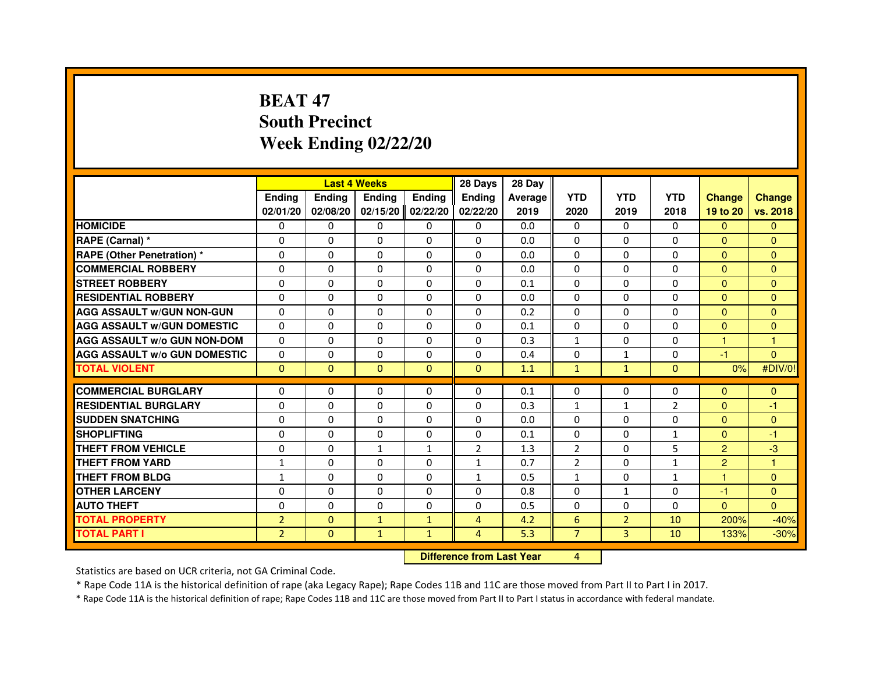# **BEAT 47 South PrecinctWeek Ending 02/22/20**

|                                     |                |                                  | <b>Last 4 Weeks</b> |                | 28 Days        | 28 Day  |                |                |                |                |                |
|-------------------------------------|----------------|----------------------------------|---------------------|----------------|----------------|---------|----------------|----------------|----------------|----------------|----------------|
|                                     | <b>Ending</b>  | Ending                           | <b>Ending</b>       | <b>Ending</b>  | Ending         | Average | <b>YTD</b>     | <b>YTD</b>     | <b>YTD</b>     | <b>Change</b>  | <b>Change</b>  |
|                                     | 02/01/20       | 02/08/20                         | 02/15/20            | 02/22/20       | 02/22/20       | 2019    | 2020           | 2019           | 2018           | 19 to 20       | vs. 2018       |
| <b>HOMICIDE</b>                     | 0              | $\Omega$                         | 0                   | 0              | $\mathbf{0}$   | 0.0     | $\mathbf{0}$   | $\Omega$       | $\Omega$       | $\mathbf{0}$   | $\mathbf{0}$   |
| RAPE (Carnal) *                     | 0              | 0                                | 0                   | 0              | 0              | 0.0     | 0              | 0              | 0              | $\Omega$       | $\mathbf{0}$   |
| RAPE (Other Penetration) *          | $\Omega$       | $\Omega$                         | $\Omega$            | $\Omega$       | $\Omega$       | 0.0     | $\Omega$       | $\Omega$       | $\Omega$       | $\Omega$       | $\overline{0}$ |
| <b>COMMERCIAL ROBBERY</b>           | 0              | $\Omega$                         | $\Omega$            | $\Omega$       | $\Omega$       | 0.0     | $\Omega$       | $\Omega$       | $\Omega$       | $\overline{0}$ | $\mathbf{0}$   |
| <b>STREET ROBBERY</b>               | $\Omega$       | $\Omega$                         | $\Omega$            | $\Omega$       | $\Omega$       | 0.1     | $\Omega$       | $\Omega$       | $\Omega$       | $\Omega$       | $\mathbf{0}$   |
| <b>RESIDENTIAL ROBBERY</b>          | 0              | 0                                | 0                   | 0              | 0              | 0.0     | 0              | 0              | $\Omega$       | $\Omega$       | $\mathbf{0}$   |
| <b>AGG ASSAULT w/GUN NON-GUN</b>    | $\Omega$       | $\Omega$                         | $\Omega$            | $\Omega$       | $\Omega$       | 0.2     | $\Omega$       | $\Omega$       | 0              | $\Omega$       | $\Omega$       |
| <b>AGG ASSAULT W/GUN DOMESTIC</b>   | $\Omega$       | $\Omega$                         | $\Omega$            | $\Omega$       | $\Omega$       | 0.1     | $\Omega$       | $\Omega$       | $\Omega$       | $\Omega$       | $\Omega$       |
| <b>AGG ASSAULT W/o GUN NON-DOM</b>  | $\Omega$       | $\Omega$                         | $\Omega$            | $\Omega$       | $\Omega$       | 0.3     | $\mathbf{1}$   | $\Omega$       | $\Omega$       | $\mathbf{1}$   | $\mathbf{1}$   |
| <b>AGG ASSAULT w/o GUN DOMESTIC</b> | $\Omega$       | $\Omega$                         | $\Omega$            | $\Omega$       | $\Omega$       | 0.4     | $\Omega$       | $\mathbf{1}$   | $\Omega$       | $-1$           | $\mathbf{0}$   |
| <b>TOTAL VIOLENT</b>                | $\mathbf{0}$   | $\mathbf{0}$                     | $\mathbf{0}$        | $\overline{0}$ | $\mathbf{0}$   | 1.1     | $\mathbf{1}$   | $\mathbf{1}$   | $\mathbf{0}$   | 0%             | #DIV/0!        |
| <b>COMMERCIAL BURGLARY</b>          | 0              | 0                                | 0                   | 0              | 0              | 0.1     | 0              | 0              | 0              | $\mathbf{0}$   | $\mathbf{0}$   |
| <b>RESIDENTIAL BURGLARY</b>         | 0              | $\Omega$                         | $\Omega$            | $\Omega$       | 0              | 0.3     | $\mathbf{1}$   | $\mathbf{1}$   | $\overline{2}$ | $\mathbf{0}$   | $-1$           |
| <b>SUDDEN SNATCHING</b>             | $\Omega$       | $\Omega$                         | $\Omega$            | $\Omega$       | $\Omega$       | 0.0     | $\Omega$       | $\Omega$       | 0              | $\Omega$       | $\mathbf{0}$   |
| <b>SHOPLIFTING</b>                  | 0              | $\Omega$                         | $\Omega$            | 0              | $\Omega$       | 0.1     | $\Omega$       | 0              | $\mathbf{1}$   | $\Omega$       | -1             |
| <b>THEFT FROM VEHICLE</b>           | 0              | 0                                | $\mathbf{1}$        | $\mathbf{1}$   | $\overline{2}$ | 1.3     | 2              | $\Omega$       | 5              | $\overline{2}$ | $-3$           |
| <b>THEFT FROM YARD</b>              | $\mathbf{1}$   | $\Omega$                         | $\Omega$            | $\Omega$       | $\mathbf{1}$   | 0.7     | $\overline{2}$ | $\Omega$       | $\mathbf{1}$   | $\overline{2}$ | $\mathbf{1}$   |
| <b>THEFT FROM BLDG</b>              | $\mathbf{1}$   | $\Omega$                         | $\Omega$            | $\Omega$       | $\mathbf{1}$   | 0.5     | $\mathbf{1}$   | $\Omega$       | $\mathbf{1}$   | $\mathbf{1}$   | $\Omega$       |
| <b>OTHER LARCENY</b>                | 0              | $\Omega$                         | $\Omega$            | $\Omega$       | $\Omega$       | 0.8     | $\Omega$       | $\mathbf{1}$   | 0              | -1             | $\overline{0}$ |
| <b>AUTO THEFT</b>                   | $\Omega$       | $\Omega$                         | $\Omega$            | $\Omega$       | $\Omega$       | 0.5     | $\Omega$       | $\Omega$       | $\Omega$       | $\Omega$       | $\Omega$       |
| <b>TOTAL PROPERTY</b>               | $\overline{2}$ | $\mathbf{0}$                     | $\mathbf{1}$        | $\mathbf{1}$   | $\overline{4}$ | 4.2     | 6              | $\overline{2}$ | 10             | 200%           | $-40%$         |
| <b>TOTAL PART I</b>                 | $\overline{2}$ | $\mathbf{0}$                     | $\mathbf{1}$        | $\mathbf{1}$   | $\overline{4}$ | 5.3     | $\overline{7}$ | 3              | 10             | 133%           | $-30%$         |
|                                     |                | <b>Difference from Last Year</b> |                     | $\overline{4}$ |                |         |                |                |                |                |                |

 **Difference from Last Year**

Statistics are based on UCR criteria, not GA Criminal Code.

\* Rape Code 11A is the historical definition of rape (aka Legacy Rape); Rape Codes 11B and 11C are those moved from Part II to Part I in 2017.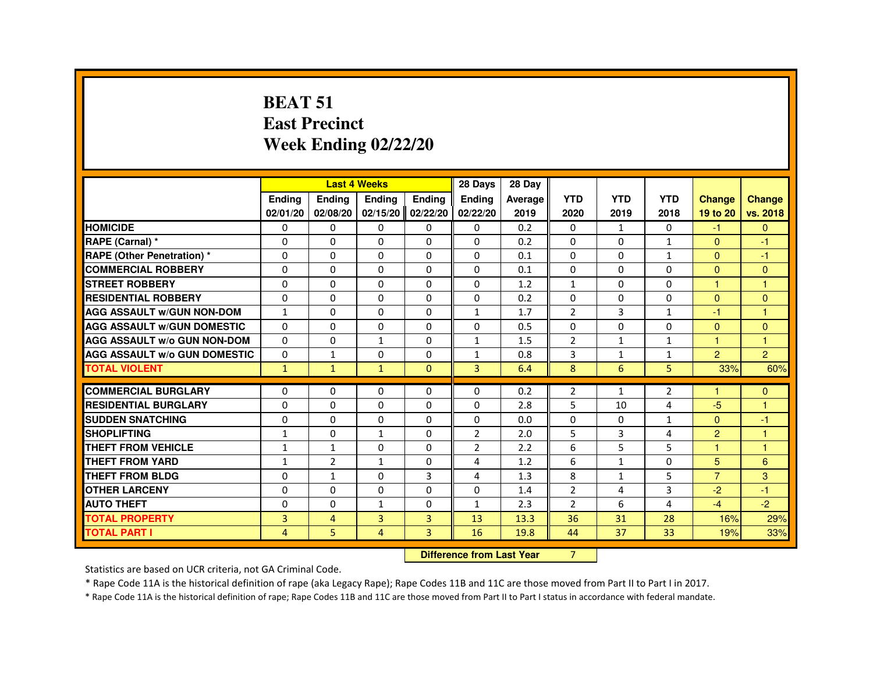#### **BEAT 51 East PrecinctWeek Ending 02/22/20**

|                                     |                |                | <b>Last 4 Weeks</b> |                 | 28 Days                | 28 Day  |                |              |                |                      |                |
|-------------------------------------|----------------|----------------|---------------------|-----------------|------------------------|---------|----------------|--------------|----------------|----------------------|----------------|
|                                     | <b>Ending</b>  | <b>Ending</b>  | <b>Ending</b>       | <b>Ending</b>   | <b>Endina</b>          | Average | <b>YTD</b>     | <b>YTD</b>   | <b>YTD</b>     | <b>Change</b>        | <b>Change</b>  |
|                                     | 02/01/20       | 02/08/20       | 02/15/20            | 02/22/20        | 02/22/20               | 2019    | 2020           | 2019         | 2018           | 19 to 20             | vs. 2018       |
| <b>HOMICIDE</b>                     | $\mathbf{0}$   | $\mathbf{0}$   | $\Omega$            | $\mathbf{0}$    | $\Omega$               | 0.2     | $\Omega$       | 1            | $\mathbf{0}$   | $-1$                 | $\mathbf{0}$   |
| RAPE (Carnal) *                     | $\Omega$       | 0              | $\Omega$            | $\Omega$        | $\Omega$               | 0.2     | $\Omega$       | $\Omega$     | $\mathbf{1}$   | $\Omega$             | $-1$           |
| <b>RAPE (Other Penetration) *</b>   | 0              | 0              | 0                   | $\Omega$        | $\Omega$               | 0.1     | 0              | $\Omega$     | $\mathbf{1}$   | $\Omega$             | $-1$           |
| <b>COMMERCIAL ROBBERY</b>           | $\Omega$       | $\Omega$       | $\Omega$            | $\Omega$        | $\Omega$               | 0.1     | $\Omega$       | $\Omega$     | $\Omega$       | $\Omega$             | $\Omega$       |
| <b>STREET ROBBERY</b>               | $\Omega$       | $\Omega$       | $\Omega$            | $\Omega$        | $\Omega$               | 1.2     | $\mathbf{1}$   | $\Omega$     | $\Omega$       | $\mathbf{1}$         | $\mathbf{1}$   |
| <b>RESIDENTIAL ROBBERY</b>          | $\Omega$       | $\Omega$       | $\Omega$            | $\Omega$        | $\Omega$               | 0.2     | $\Omega$       | $\Omega$     | 0              | $\Omega$             | $\Omega$       |
| <b>AGG ASSAULT W/GUN NON-DOM</b>    | 1              | $\Omega$       | 0                   | $\Omega$        | 1                      | 1.7     | $\overline{2}$ | 3            | 1              | -1                   | -1             |
| <b>AGG ASSAULT W/GUN DOMESTIC</b>   | $\Omega$       | $\Omega$       | $\Omega$            | $\Omega$        | $\Omega$               | 0.5     | 0              | 0            | 0              | $\Omega$             | $\Omega$       |
| <b>AGG ASSAULT W/o GUN NON-DOM</b>  | $\Omega$       | $\Omega$       | $\mathbf{1}$        | $\Omega$        | $\mathbf{1}$           | 1.5     | $\overline{2}$ | $\mathbf{1}$ | $\mathbf{1}$   | $\mathbf{1}$         | $\overline{1}$ |
| <b>AGG ASSAULT W/o GUN DOMESTIC</b> | $\Omega$       | $\mathbf{1}$   | $\Omega$            | $\Omega$        | $\mathbf{1}$           | 0.8     | 3              | $\mathbf{1}$ | $\mathbf{1}$   | $\overline{2}$       | $\overline{2}$ |
| <b>TOTAL VIOLENT</b>                | $\mathbf{1}$   | $\mathbf{1}$   | $\mathbf{1}$        | $\mathbf{0}$    | 3                      | 6.4     | 8              | 6            | 5              | 33%                  | 60%            |
| <b>COMMERCIAL BURGLARY</b>          | $\Omega$       | 0              | 0                   | $\Omega$        | $\Omega$               | 0.2     | $\overline{2}$ | 1            | $\overline{2}$ | $\blacktriangleleft$ | $\overline{0}$ |
| <b>RESIDENTIAL BURGLARY</b>         | $\Omega$       | $\Omega$       | $\Omega$            | $\Omega$        | $\Omega$               | 2.8     | 5              | 10           | 4              | $-5$                 | $\overline{1}$ |
| <b>SUDDEN SNATCHING</b>             | 0              | 0              | 0                   | $\Omega$        | $\Omega$               | 0.0     | 0              | $\Omega$     | $\mathbf{1}$   | $\Omega$             | $-1$           |
| <b>SHOPLIFTING</b>                  | 1              | $\Omega$       | $\mathbf{1}$        | $\Omega$        | $\overline{2}$         | 2.0     | 5              | 3            | 4              | $\overline{2}$       | 1              |
| <b>THEFT FROM VEHICLE</b>           | $\mathbf{1}$   | $\mathbf{1}$   | $\Omega$            | $\Omega$        | 2                      | 2.2     | 6              | 5            | 5              | $\mathbf{1}$         | $\overline{1}$ |
| <b>THEFT FROM YARD</b>              | $\mathbf{1}$   | 2              | $\mathbf{1}$        | $\Omega$        | 4                      | 1.2     | 6              | $\mathbf{1}$ | $\Omega$       | 5                    | 6              |
| <b>THEFT FROM BLDG</b>              | $\Omega$       | $\mathbf{1}$   | $\Omega$            | 3               | 4                      | 1.3     | 8              | $\mathbf{1}$ | 5              | $\overline{7}$       | 3              |
| <b>OTHER LARCENY</b>                | $\Omega$       | $\Omega$       | $\Omega$            | $\Omega$        | $\Omega$               | 1.4     | $\overline{2}$ | 4            | 3              | $-2$                 | $-1$           |
| <b>AUTO THEFT</b>                   | 0              | 0              | $\mathbf{1}$        | $\Omega$        | 1                      | 2.3     | $\overline{2}$ | 6            | 4              | $-4$                 | $-2$           |
| <b>TOTAL PROPERTY</b>               | 3              | $\overline{4}$ | 3                   | 3               | 13                     | 13.3    | 36             | 31           | 28             | 16%                  | 29%            |
| <b>TOTAL PART I</b>                 | $\overline{4}$ | 5              | $\overline{4}$      | 3               | 16                     | 19.8    | 44             | 37           | 33             | 19%                  | 33%            |
|                                     |                |                |                     | <b>PARALLEL</b> | a a dheanailte an Main |         | $\sim$         |              |                |                      |                |

**Difference from Last Year** 7

Statistics are based on UCR criteria, not GA Criminal Code.

\* Rape Code 11A is the historical definition of rape (aka Legacy Rape); Rape Codes 11B and 11C are those moved from Part II to Part I in 2017.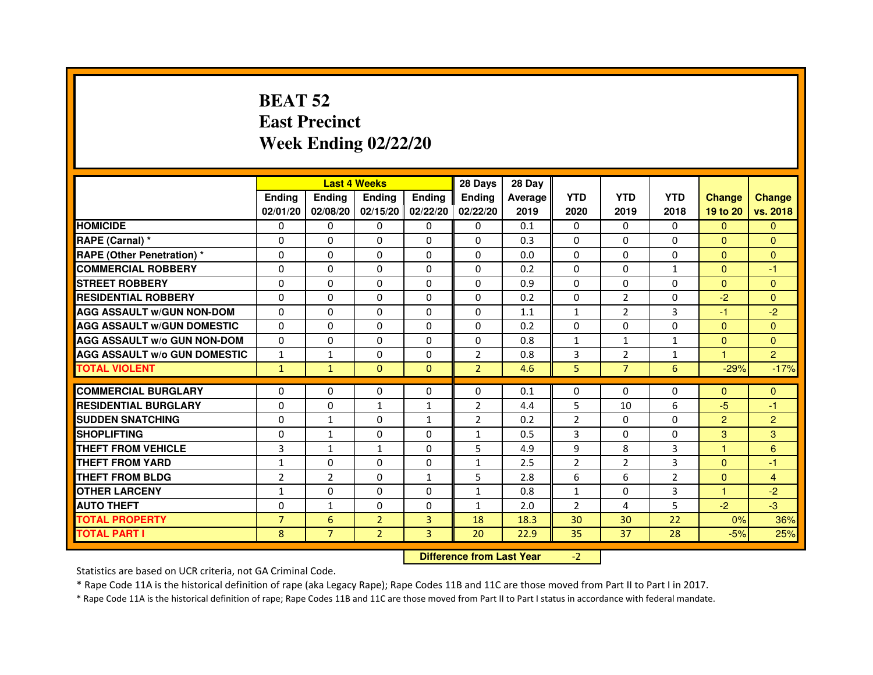# **BEAT 52 East PrecinctWeek Ending 02/22/20**

|                                     |                | <b>Last 4 Weeks</b> |                                  |               | 28 Days        | 28 Day  |                |                |              |                |                |
|-------------------------------------|----------------|---------------------|----------------------------------|---------------|----------------|---------|----------------|----------------|--------------|----------------|----------------|
|                                     | <b>Ending</b>  | <b>Ending</b>       | <b>Ending</b>                    | <b>Ending</b> | <b>Ending</b>  | Average | <b>YTD</b>     | <b>YTD</b>     | <b>YTD</b>   | <b>Change</b>  | <b>Change</b>  |
|                                     | 02/01/20       | 02/08/20            | 02/15/20                         | 02/22/20      | 02/22/20       | 2019    | 2020           | 2019           | 2018         | 19 to 20       | vs. 2018       |
| <b>HOMICIDE</b>                     | $\mathbf{0}$   | $\Omega$            | $\Omega$                         | $\Omega$      | 0              | 0.1     | $\Omega$       | $\Omega$       | 0            | $\Omega$       | $\Omega$       |
| RAPE (Carnal) *                     | 0              | $\Omega$            | 0                                | $\Omega$      | $\mathbf{0}$   | 0.3     | $\mathbf{0}$   | $\Omega$       | 0            | $\mathbf{0}$   | $\Omega$       |
| <b>RAPE (Other Penetration) *</b>   | $\mathbf 0$    | 0                   | $\Omega$                         | $\Omega$      | $\Omega$       | 0.0     | $\Omega$       | $\Omega$       | $\Omega$     | $\Omega$       | $\Omega$       |
| <b>COMMERCIAL ROBBERY</b>           | $\mathbf 0$    | $\mathbf{0}$        | $\Omega$                         | $\mathbf{0}$  | $\mathbf{0}$   | 0.2     | $\mathbf{0}$   | $\mathbf{0}$   | $\mathbf{1}$ | $\Omega$       | $-1$           |
| <b>STREET ROBBERY</b>               | $\Omega$       | $\Omega$            | $\Omega$                         | $\Omega$      | $\Omega$       | 0.9     | $\Omega$       | $\Omega$       | $\Omega$     | $\Omega$       | $\mathbf{0}$   |
| <b>RESIDENTIAL ROBBERY</b>          | 0              | $\Omega$            | 0                                | $\Omega$      | $\Omega$       | 0.2     | $\Omega$       | $\overline{2}$ | $\Omega$     | $-2$           | $\Omega$       |
| <b>AGG ASSAULT W/GUN NON-DOM</b>    | $\Omega$       | 0                   | $\Omega$                         | $\Omega$      | $\Omega$       | 1.1     | $\mathbf{1}$   | $\overline{2}$ | 3            | $-1$           | $-2$           |
| <b>AGG ASSAULT W/GUN DOMESTIC</b>   | $\Omega$       | $\Omega$            | $\Omega$                         | $\Omega$      | $\Omega$       | 0.2     | $\Omega$       | $\Omega$       | $\Omega$     | $\Omega$       | $\Omega$       |
| <b>AGG ASSAULT W/o GUN NON-DOM</b>  | $\Omega$       | 0                   | 0                                | $\mathbf{0}$  | 0              | 0.8     | $\mathbf{1}$   | $\mathbf{1}$   | $\mathbf{1}$ | $\Omega$       | $\mathbf{0}$   |
| <b>AGG ASSAULT W/o GUN DOMESTIC</b> | $\mathbf{1}$   | 1                   | 0                                | $\Omega$      | $\overline{2}$ | 0.8     | 3              | 2              | $\mathbf{1}$ | 1              | $\overline{2}$ |
| <b>TOTAL VIOLENT</b>                | $\mathbf{1}$   | $\mathbf{1}$        | $\mathbf{0}$                     | $\mathbf{0}$  | $\overline{2}$ | 4.6     | 5              | $\overline{7}$ | 6            | $-29%$         | $-17%$         |
| <b>COMMERCIAL BURGLARY</b>          | 0              | 0                   | 0                                | 0             | 0              | 0.1     | 0              | 0              | 0            | $\Omega$       | $\Omega$       |
| <b>RESIDENTIAL BURGLARY</b>         | $\Omega$       | $\Omega$            | $\mathbf{1}$                     | 1             | $\overline{2}$ | 4.4     | 5              | 10             | 6            | $-5$           | $-1$           |
| <b>SUDDEN SNATCHING</b>             | $\Omega$       | $\mathbf{1}$        | $\Omega$                         | $\mathbf{1}$  | $\overline{2}$ | 0.2     | $\overline{2}$ | $\Omega$       | $\Omega$     | $\overline{2}$ | $\overline{2}$ |
| <b>SHOPLIFTING</b>                  | 0              | $\mathbf{1}$        | 0                                | $\mathbf{0}$  | $\mathbf{1}$   | 0.5     | 3              | 0              | 0            | 3              | 3              |
| THEFT FROM VEHICLE                  | 3              | $\mathbf{1}$        | $\mathbf{1}$                     | $\Omega$      | 5              | 4.9     | 9              | 8              | 3            | 1              | 6              |
| <b>THEFT FROM YARD</b>              | $\mathbf{1}$   | 0                   | $\Omega$                         | $\mathbf 0$   | $\mathbf{1}$   | 2.5     | $\overline{2}$ | $\overline{2}$ | 3            | $\Omega$       | $-1$           |
| <b>THEFT FROM BLDG</b>              | $\overline{2}$ | $\overline{2}$      | 0                                | $\mathbf{1}$  | 5              | 2.8     | 6              | 6              | 2            | $\Omega$       | $\overline{4}$ |
| <b>OTHER LARCENY</b>                | $\mathbf{1}$   | $\Omega$            | 0                                | $\Omega$      | $\mathbf{1}$   | 0.8     | $\mathbf{1}$   | $\Omega$       | 3            | 1.             | $-2$           |
| <b>AUTO THEFT</b>                   | $\Omega$       | $\mathbf{1}$        | $\Omega$                         | $\Omega$      | $\mathbf{1}$   | 2.0     | $\overline{2}$ | 4              | 5            | $-2$           | $-3$           |
| <b>TOTAL PROPERTY</b>               | $\overline{7}$ | $6\phantom{1}6$     | $\overline{2}$                   | 3             | 18             | 18.3    | 30             | 30             | 22           | 0%             | 36%            |
| <b>TOTAL PART I</b>                 | 8              | $\overline{7}$      | $\overline{2}$                   | 3             | 20             | 22.9    | 35             | 37             | 28           | $-5%$          | 25%            |
|                                     |                |                     | <b>Difference from Last Year</b> |               | $-2$           |         |                |                |              |                |                |

 **Difference from Last Year**

Statistics are based on UCR criteria, not GA Criminal Code.

\* Rape Code 11A is the historical definition of rape (aka Legacy Rape); Rape Codes 11B and 11C are those moved from Part II to Part I in 2017.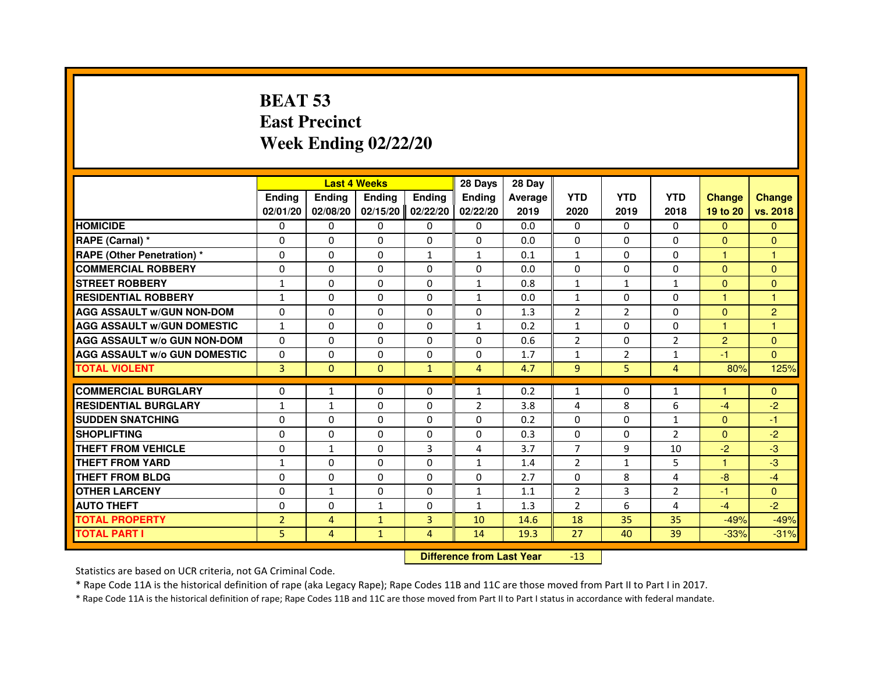# **BEAT 53 East PrecinctWeek Ending 02/22/20**

|                                     |                |                | <b>Last 4 Weeks</b>              |               | 28 Days        | 28 Day  |                |                |                |                |                |
|-------------------------------------|----------------|----------------|----------------------------------|---------------|----------------|---------|----------------|----------------|----------------|----------------|----------------|
|                                     | <b>Ending</b>  | Ending         | Ending                           | <b>Ending</b> | <b>Ending</b>  | Average | <b>YTD</b>     | <b>YTD</b>     | <b>YTD</b>     | <b>Change</b>  | <b>Change</b>  |
|                                     | 02/01/20       | 02/08/20       | 02/15/20                         | 02/22/20      | 02/22/20       | 2019    | 2020           | 2019           | 2018           | 19 to 20       | vs. 2018       |
| <b>HOMICIDE</b>                     | $\Omega$       | $\Omega$       | $\Omega$                         | $\Omega$      | $\mathbf{0}$   | 0.0     | $\Omega$       | 0              | $\Omega$       | $\Omega$       | $\Omega$       |
| RAPE (Carnal) *                     | 0              | 0              | 0                                | 0             | 0              | 0.0     | 0              | 0              | $\Omega$       | $\Omega$       | $\overline{0}$ |
| <b>RAPE (Other Penetration) *</b>   | $\Omega$       | 0              | $\Omega$                         | 1             | 1              | 0.1     | $\mathbf{1}$   | 0              | $\Omega$       | $\mathbf{1}$   | 1              |
| <b>COMMERCIAL ROBBERY</b>           | 0              | $\Omega$       | $\Omega$                         | $\Omega$      | $\Omega$       | 0.0     | $\Omega$       | $\Omega$       | $\Omega$       | $\mathbf{0}$   | $\mathbf{0}$   |
| <b>STREET ROBBERY</b>               | $\mathbf{1}$   | $\Omega$       | $\Omega$                         | $\Omega$      | $\mathbf{1}$   | 0.8     | $\mathbf{1}$   | $\mathbf{1}$   | $\mathbf{1}$   | $\Omega$       | $\mathbf{0}$   |
| <b>RESIDENTIAL ROBBERY</b>          | $\mathbf{1}$   | 0              | $\Omega$                         | 0             | 1              | 0.0     | $\mathbf{1}$   | $\Omega$       | $\Omega$       | $\mathbf{1}$   | 1              |
| <b>AGG ASSAULT w/GUN NON-DOM</b>    | $\Omega$       | $\Omega$       | $\Omega$                         | $\Omega$      | $\Omega$       | 1.3     | $\overline{2}$ | $\overline{2}$ | $\Omega$       | $\Omega$       | $\overline{2}$ |
| <b>AGG ASSAULT W/GUN DOMESTIC</b>   | $\mathbf{1}$   | $\Omega$       | $\Omega$                         | $\Omega$      | $\mathbf{1}$   | 0.2     | $\mathbf{1}$   | $\Omega$       | $\Omega$       | $\mathbf{1}$   | 1              |
| <b>AGG ASSAULT W/o GUN NON-DOM</b>  | $\Omega$       | $\Omega$       | $\Omega$                         | $\Omega$      | $\Omega$       | 0.6     | $\overline{2}$ | $\Omega$       | 2              | $\overline{2}$ | $\Omega$       |
| <b>AGG ASSAULT W/o GUN DOMESTIC</b> | $\Omega$       | $\Omega$       | $\Omega$                         | $\Omega$      | $\Omega$       | 1.7     | $\mathbf{1}$   | $\overline{2}$ | $\mathbf{1}$   | $-1$           | $\Omega$       |
| <b>TOTAL VIOLENT</b>                | 3              | $\mathbf{0}$   | $\mathbf{0}$                     | $\mathbf{1}$  | 4              | 4.7     | 9              | 5              | $\overline{4}$ | 80%            | 125%           |
| <b>COMMERCIAL BURGLARY</b>          | 0              | $\mathbf{1}$   | 0                                | 0             | $\mathbf{1}$   | 0.2     | $\mathbf{1}$   | 0              | 1              | 1              | $\mathbf{0}$   |
| <b>RESIDENTIAL BURGLARY</b>         | $\mathbf{1}$   | $\mathbf{1}$   | $\Omega$                         | $\Omega$      | $\overline{2}$ | 3.8     | 4              | 8              | 6              | $-4$           | $-2$           |
| <b>SUDDEN SNATCHING</b>             | $\Omega$       | $\Omega$       | $\Omega$                         | $\Omega$      | $\Omega$       | 0.2     | $\Omega$       | $\Omega$       | $\mathbf{1}$   | $\Omega$       | $-1$           |
| <b>SHOPLIFTING</b>                  | $\Omega$       | $\Omega$       | $\Omega$                         | $\Omega$      | $\Omega$       | 0.3     | $\Omega$       | $\Omega$       | $\overline{2}$ | $\Omega$       | $-2$           |
| THEFT FROM VEHICLE                  | 0              | $\mathbf{1}$   | $\Omega$                         | 3             | 4              | 3.7     | $\overline{7}$ | 9              | 10             | $-2$           | $-3$           |
| <b>THEFT FROM YARD</b>              | $\mathbf{1}$   | $\Omega$       | $\Omega$                         | $\Omega$      | 1              | 1.4     | $\overline{2}$ | $\mathbf{1}$   | 5              | 1              | $-3$           |
| <b>THEFT FROM BLDG</b>              | $\Omega$       | $\Omega$       | $\Omega$                         | $\Omega$      | $\Omega$       | 2.7     | $\Omega$       | 8              | 4              | $-8$           | $-4$           |
| <b>OTHER LARCENY</b>                | $\Omega$       | $\mathbf{1}$   | 0                                | $\Omega$      | 1              | 1.1     | $\overline{2}$ | 3              | $\overline{2}$ | $-1$           | $\Omega$       |
| <b>AUTO THEFT</b>                   | $\Omega$       | $\Omega$       | $\mathbf{1}$                     | $\Omega$      | $\mathbf{1}$   | 1.3     | $\overline{2}$ | 6              | 4              | $-4$           | $-2$           |
| <b>TOTAL PROPERTY</b>               | $\overline{2}$ | $\overline{4}$ | $\mathbf{1}$                     | 3             | 10             | 14.6    | 18             | 35             | 35             | $-49%$         | $-49%$         |
| <b>TOTAL PART I</b>                 | 5              | $\overline{4}$ | $\mathbf{1}$                     | 4             | 14             | 19.3    | 27             | 40             | 39             | $-33%$         | $-31%$         |
|                                     |                |                | <b>Difference from Last Year</b> |               | $-13$          |         |                |                |                |                |                |

 **Difference from Last Year**

Statistics are based on UCR criteria, not GA Criminal Code.

\* Rape Code 11A is the historical definition of rape (aka Legacy Rape); Rape Codes 11B and 11C are those moved from Part II to Part I in 2017.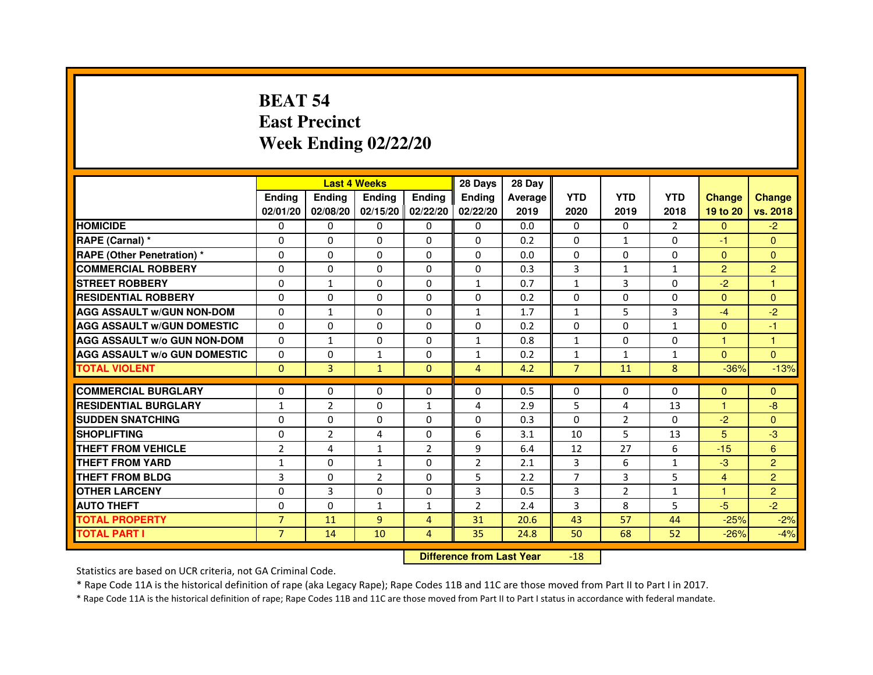# **BEAT 54 East PrecinctWeek Ending 02/22/20**

|                                     |                | <b>Last 4 Weeks</b> |                |                     | 28 Days        | 28 Day  |                |                |              |                |                |
|-------------------------------------|----------------|---------------------|----------------|---------------------|----------------|---------|----------------|----------------|--------------|----------------|----------------|
|                                     | <b>Endina</b>  | Ending              | <b>Endina</b>  | <b>Endina</b>       | <b>Endina</b>  | Average | <b>YTD</b>     | <b>YTD</b>     | <b>YTD</b>   | <b>Change</b>  | <b>Change</b>  |
|                                     | 02/01/20       | 02/08/20            |                | $02/15/20$ 02/22/20 | 02/22/20       | 2019    | 2020           | 2019           | 2018         | 19 to 20       | vs. 2018       |
| <b>HOMICIDE</b>                     | 0              | 0                   | 0              | 0                   | 0              | 0.0     | $\mathbf{0}$   | 0              | 2            | $\mathbf{0}$   | $-2$           |
| RAPE (Carnal) *                     | $\Omega$       | $\Omega$            | $\Omega$       | $\Omega$            | $\Omega$       | 0.2     | $\Omega$       | $\mathbf{1}$   | $\Omega$     | $-1$           | $\Omega$       |
| <b>RAPE (Other Penetration) *</b>   | 0              | $\Omega$            | $\Omega$       | $\Omega$            | $\Omega$       | 0.0     | $\Omega$       | $\Omega$       | $\Omega$     | $\Omega$       | $\Omega$       |
| <b>COMMERCIAL ROBBERY</b>           | 0              | 0                   | 0              | 0                   | $\Omega$       | 0.3     | 3              | $\mathbf{1}$   | 1            | $\overline{2}$ | $\overline{2}$ |
| <b>STREET ROBBERY</b>               | 0              | $\mathbf{1}$        | 0              | $\Omega$            | $\mathbf{1}$   | 0.7     | $\mathbf{1}$   | 3              | $\Omega$     | $-2$           | 1              |
| <b>RESIDENTIAL ROBBERY</b>          | 0              | $\Omega$            | 0              | $\Omega$            | 0              | 0.2     | 0              | 0              | 0            | $\Omega$       | $\Omega$       |
| <b>AGG ASSAULT W/GUN NON-DOM</b>    | $\Omega$       | $\mathbf{1}$        | $\Omega$       | $\Omega$            | $\mathbf{1}$   | 1.7     | $\mathbf{1}$   | 5              | 3            | $-4$           | $-2$           |
| <b>AGG ASSAULT W/GUN DOMESTIC</b>   | $\Omega$       | 0                   | 0              | 0                   | 0              | 0.2     | 0              | $\Omega$       | $\mathbf{1}$ | $\Omega$       | $-1$           |
| <b>AGG ASSAULT W/o GUN NON-DOM</b>  | $\Omega$       | $\mathbf{1}$        | $\Omega$       | 0                   | 1              | 0.8     | $\mathbf{1}$   | $\Omega$       | $\Omega$     | 1              | 1              |
| <b>AGG ASSAULT W/o GUN DOMESTIC</b> | $\Omega$       | 0                   | $\mathbf{1}$   | $\Omega$            | 1              | 0.2     | $\mathbf{1}$   | $\mathbf{1}$   | 1            | $\Omega$       | $\Omega$       |
| <b>TOTAL VIOLENT</b>                | $\Omega$       | 3                   | $\mathbf{1}$   | $\mathbf{0}$        | $\overline{4}$ | 4.2     | $\overline{7}$ | 11             | 8            | $-36%$         | $-13%$         |
|                                     |                |                     |                |                     |                |         |                |                |              |                |                |
| <b>COMMERCIAL BURGLARY</b>          | 0              | 0                   | $\Omega$       | 0                   | $\Omega$       | 0.5     | $\Omega$       | $\Omega$       | $\Omega$     | $\Omega$       | $\Omega$       |
| <b>RESIDENTIAL BURGLARY</b>         | 1              | $\overline{2}$      | 0              | $\mathbf{1}$        | 4              | 2.9     | 5              | 4              | 13           | 1.             | -8             |
| <b>SUDDEN SNATCHING</b>             | 0              | 0                   | $\Omega$       | $\Omega$            | $\Omega$       | 0.3     | $\Omega$       | $\overline{2}$ | $\Omega$     | $-2$           | $\Omega$       |
| <b>SHOPLIFTING</b>                  | $\mathbf 0$    | $\overline{2}$      | 4              | $\Omega$            | 6              | 3.1     | 10             | 5              | 13           | 5              | -3             |
| <b>THEFT FROM VEHICLE</b>           | $\overline{2}$ | 4                   | $\mathbf{1}$   | $\overline{2}$      | 9              | 6.4     | 12             | 27             | 6            | $-15$          | 6              |
| <b>THEFT FROM YARD</b>              | 1              | 0                   | $\mathbf{1}$   | $\Omega$            | $\overline{2}$ | 2.1     | 3              | 6              | $\mathbf{1}$ | $-3$           | $\overline{2}$ |
| <b>THEFT FROM BLDG</b>              | 3              | 0                   | $\overline{2}$ | 0                   | 5              | 2.2     | 7              | 3              | 5            | $\overline{4}$ | $\overline{2}$ |
| <b>OTHER LARCENY</b>                | 0              | 3                   | 0              | $\Omega$            | 3              | 0.5     | 3              | $\overline{2}$ | $\mathbf{1}$ | 1              | $\overline{2}$ |
| <b>AUTO THEFT</b>                   | $\mathbf 0$    | 0                   | $\mathbf{1}$   | $\mathbf{1}$        | $\overline{2}$ | 2.4     | 3              | 8              | 5            | $-5$           | $-2$           |
| <b>TOTAL PROPERTY</b>               | $\overline{7}$ | 11                  | 9              | 4                   | 31             | 20.6    | 43             | 57             | 44           | $-25%$         | $-2%$          |
| <b>TOTAL PART I</b>                 | $\overline{7}$ | 14                  | 10             | $\overline{4}$      | 35             | 24.8    | 50             | 68             | 52           | $-26%$         | $-4%$          |

#### **Difference from Last Year**-18

Statistics are based on UCR criteria, not GA Criminal Code.

\* Rape Code 11A is the historical definition of rape (aka Legacy Rape); Rape Codes 11B and 11C are those moved from Part II to Part I in 2017.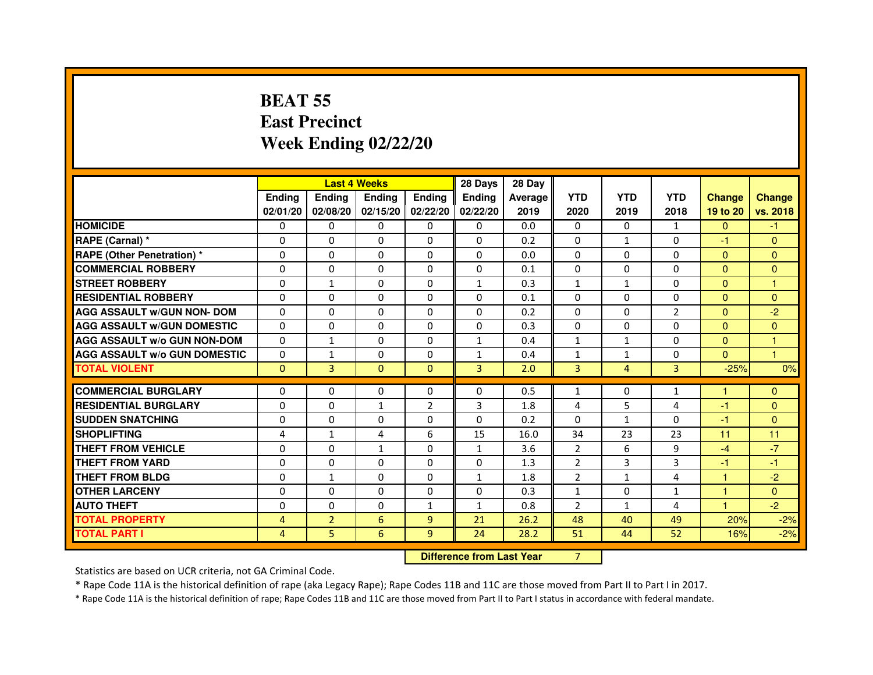# **BEAT 55 East PrecinctWeek Ending 02/22/20**

|                                     |                |                | <b>Last 4 Weeks</b> |                | 28 Days                          | 28 Day  |                |                |                |               |                |
|-------------------------------------|----------------|----------------|---------------------|----------------|----------------------------------|---------|----------------|----------------|----------------|---------------|----------------|
|                                     | <b>Ending</b>  | <b>Ending</b>  | <b>Ending</b>       | <b>Ending</b>  | Ending                           | Average | <b>YTD</b>     | <b>YTD</b>     | <b>YTD</b>     | <b>Change</b> | <b>Change</b>  |
|                                     | 02/01/20       | 02/08/20       | 02/15/20            | 02/22/20       | 02/22/20                         | 2019    | 2020           | 2019           | 2018           | 19 to 20      | vs. 2018       |
| <b>HOMICIDE</b>                     | $\mathbf{0}$   | $\Omega$       | 0                   | $\Omega$       | 0                                | 0.0     | 0              | 0              | $\mathbf{1}$   | $\Omega$      | $-1$           |
| RAPE (Carnal) *                     | $\Omega$       | $\Omega$       | $\Omega$            | $\Omega$       | $\Omega$                         | 0.2     | $\Omega$       | $\mathbf{1}$   | $\Omega$       | $-1$          | $\Omega$       |
| <b>RAPE (Other Penetration) *</b>   | $\Omega$       | $\Omega$       | $\Omega$            | $\Omega$       | $\Omega$                         | 0.0     | $\Omega$       | $\Omega$       | $\Omega$       | $\Omega$      | $\Omega$       |
| <b>COMMERCIAL ROBBERY</b>           | $\Omega$       | $\Omega$       | $\Omega$            | $\Omega$       | $\Omega$                         | 0.1     | $\Omega$       | $\Omega$       | $\Omega$       | $\mathbf{0}$  | $\mathbf{0}$   |
| <b>STREET ROBBERY</b>               | $\Omega$       | $\mathbf{1}$   | $\Omega$            | $\Omega$       | $\mathbf{1}$                     | 0.3     | $\mathbf{1}$   | $\mathbf{1}$   | $\Omega$       | $\Omega$      | 1              |
| <b>RESIDENTIAL ROBBERY</b>          | 0              | 0              | 0                   | 0              | 0                                | 0.1     | 0              | 0              | $\Omega$       | $\Omega$      | $\overline{0}$ |
| <b>AGG ASSAULT w/GUN NON- DOM</b>   | $\Omega$       | $\Omega$       | $\Omega$            | $\Omega$       | $\Omega$                         | 0.2     | $\Omega$       | $\Omega$       | $\overline{2}$ | $\Omega$      | $-2$           |
| <b>AGG ASSAULT W/GUN DOMESTIC</b>   | $\Omega$       | $\Omega$       | $\Omega$            | $\Omega$       | $\Omega$                         | 0.3     | $\Omega$       | $\Omega$       | $\Omega$       | $\Omega$      | $\overline{0}$ |
| <b>AGG ASSAULT W/o GUN NON-DOM</b>  | $\Omega$       | $\mathbf{1}$   | $\Omega$            | $\Omega$       | $\mathbf{1}$                     | 0.4     | $\mathbf{1}$   | $\mathbf{1}$   | $\Omega$       | $\Omega$      | $\mathbf{1}$   |
| <b>AGG ASSAULT W/o GUN DOMESTIC</b> | $\Omega$       | 1              | $\Omega$            | $\Omega$       | $\mathbf{1}$                     | 0.4     | $\mathbf{1}$   | $\mathbf{1}$   | $\Omega$       | $\Omega$      | $\overline{1}$ |
| <b>TOTAL VIOLENT</b>                | $\mathbf{0}$   | $\overline{3}$ | $\mathbf{0}$        | $\mathbf{0}$   | 3                                | 2.0     | 3              | $\overline{4}$ | 3              | $-25%$        | 0%             |
| <b>COMMERCIAL BURGLARY</b>          | 0              | 0              | 0                   | 0              | 0                                | 0.5     | 1              | 0              | $\mathbf{1}$   | 1             | $\mathbf{0}$   |
| <b>RESIDENTIAL BURGLARY</b>         | $\Omega$       | $\Omega$       | $\mathbf{1}$        | $\overline{2}$ | 3                                | 1.8     | 4              | 5              | 4              | $-1$          | $\overline{0}$ |
| <b>SUDDEN SNATCHING</b>             | $\Omega$       | $\Omega$       | $\Omega$            | $\Omega$       | $\Omega$                         | 0.2     | $\Omega$       | $\mathbf{1}$   | $\Omega$       | $-1$          | $\mathbf{0}$   |
| <b>SHOPLIFTING</b>                  | 4              | $\mathbf{1}$   | 4                   | 6              | 15                               | 16.0    | 34             | 23             | 23             | 11            | 11             |
| <b>THEFT FROM VEHICLE</b>           | $\Omega$       | $\Omega$       | $\mathbf{1}$        | $\Omega$       | $\mathbf{1}$                     | 3.6     | $\overline{2}$ | 6              | 9              | $-4$          | $-7$           |
| <b>THEFT FROM YARD</b>              | 0              | 0              | $\Omega$            | $\Omega$       | 0                                | 1.3     | $\overline{2}$ | 3              | 3              | $-1$          | $-1$           |
| <b>THEFT FROM BLDG</b>              | $\Omega$       | $\mathbf{1}$   | $\Omega$            | $\Omega$       | $\mathbf{1}$                     | 1.8     | $\overline{2}$ | $\mathbf{1}$   | 4              | $\mathbf{1}$  | $-2$           |
| <b>OTHER LARCENY</b>                | $\Omega$       | $\Omega$       | $\Omega$            | $\Omega$       | $\Omega$                         | 0.3     | $\mathbf{1}$   | $\Omega$       | 1              | 1             | $\overline{0}$ |
| <b>AUTO THEFT</b>                   | $\Omega$       | $\Omega$       | $\Omega$            | $\mathbf{1}$   | $\mathbf{1}$                     | 0.8     | $\overline{2}$ | $\mathbf{1}$   | $\overline{4}$ | 1             | $-2$           |
| <b>TOTAL PROPERTY</b>               | 4              | $\overline{2}$ | 6                   | 9              | 21                               | 26.2    | 48             | 40             | 49             | 20%           | $-2%$          |
| <b>TOTAL PART I</b>                 | $\overline{4}$ | 5              | 6                   | 9              | 24                               | 28.2    | 51             | 44             | 52             | 16%           | $-2%$          |
|                                     |                |                |                     |                | <b>Difference from Last Year</b> |         | $\overline{7}$ |                |                |               |                |

 **Difference from Last Year**

Statistics are based on UCR criteria, not GA Criminal Code.

\* Rape Code 11A is the historical definition of rape (aka Legacy Rape); Rape Codes 11B and 11C are those moved from Part II to Part I in 2017.